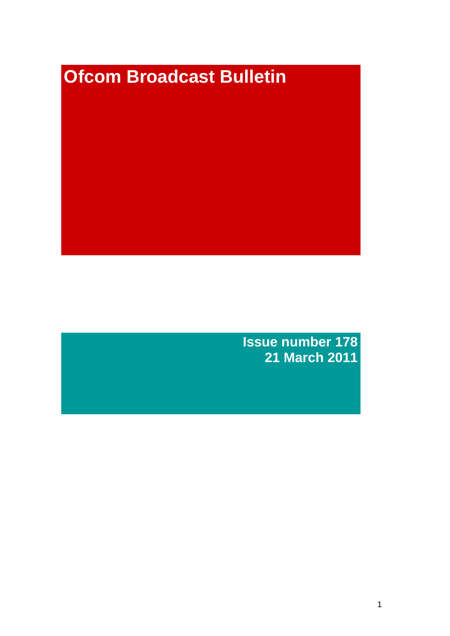# **Ofcom Broadcast Bulletin**

**Issue number 178 21 March 2011**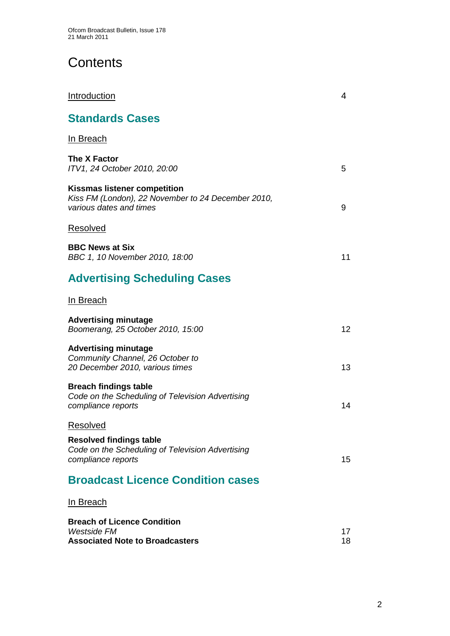# **Contents**

| <b>Introduction</b>                                                                                                  | 4        |
|----------------------------------------------------------------------------------------------------------------------|----------|
| <b>Standards Cases</b>                                                                                               |          |
| <u>In Breach</u>                                                                                                     |          |
| The X Factor<br>ITV1, 24 October 2010, 20:00                                                                         | 5        |
| <b>Kissmas listener competition</b><br>Kiss FM (London), 22 November to 24 December 2010,<br>various dates and times | 9        |
| <b>Resolved</b>                                                                                                      |          |
| <b>BBC News at Six</b><br>BBC 1, 10 November 2010, 18:00                                                             | 11       |
| <b>Advertising Scheduling Cases</b>                                                                                  |          |
| In Breach                                                                                                            |          |
| <b>Advertising minutage</b><br>Boomerang, 25 October 2010, 15:00                                                     | 12       |
| <b>Advertising minutage</b><br>Community Channel, 26 October to<br>20 December 2010, various times                   | 13       |
| <b>Breach findings table</b><br>Code on the Scheduling of Television Advertising<br>compliance reports               | 14       |
| <b>Resolved</b>                                                                                                      |          |
| <b>Resolved findings table</b><br>Code on the Scheduling of Television Advertising<br>compliance reports             | 15       |
| <b>Broadcast Licence Condition cases</b>                                                                             |          |
| <u>In Breach</u>                                                                                                     |          |
| <b>Breach of Licence Condition</b><br><b>Westside FM</b><br><b>Associated Note to Broadcasters</b>                   | 17<br>18 |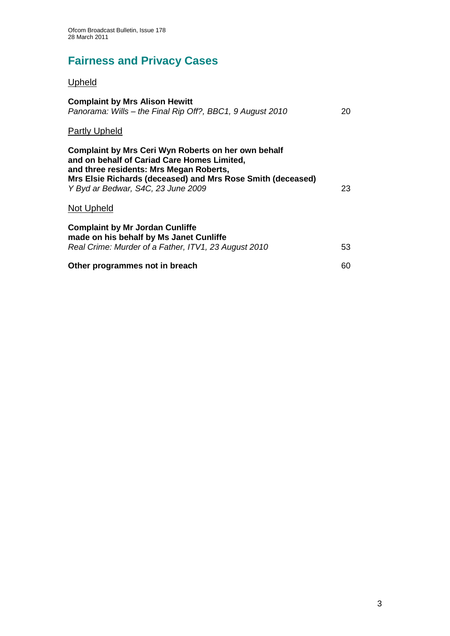# **Fairness and Privacy Cases**

## Upheld

| <b>Complaint by Mrs Alison Hewitt</b><br>Panorama: Wills – the Final Rip Off?, BBC1, 9 August 2010                                                                                                                                                 | 20 |
|----------------------------------------------------------------------------------------------------------------------------------------------------------------------------------------------------------------------------------------------------|----|
| <b>Partly Upheld</b>                                                                                                                                                                                                                               |    |
| Complaint by Mrs Ceri Wyn Roberts on her own behalf<br>and on behalf of Cariad Care Homes Limited,<br>and three residents: Mrs Megan Roberts,<br>Mrs Elsie Richards (deceased) and Mrs Rose Smith (deceased)<br>Y Byd ar Bedwar, S4C, 23 June 2009 | 23 |
| Not Upheld                                                                                                                                                                                                                                         |    |
| <b>Complaint by Mr Jordan Cunliffe</b><br>made on his behalf by Ms Janet Cunliffe<br>Real Crime: Murder of a Father, ITV1, 23 August 2010                                                                                                          | 53 |
| Other programmes not in breach                                                                                                                                                                                                                     | 60 |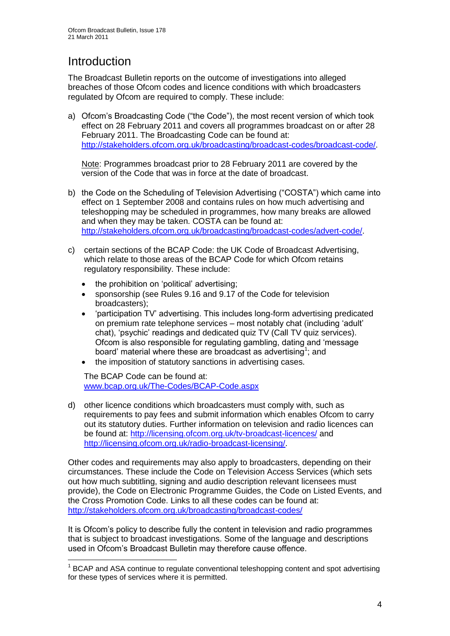# **Introduction**

1

The Broadcast Bulletin reports on the outcome of investigations into alleged breaches of those Ofcom codes and licence conditions with which broadcasters regulated by Ofcom are required to comply. These include:

a) Ofcom"s Broadcasting Code ("the Code"), the most recent version of which took effect on 28 February 2011 and covers all programmes broadcast on or after 28 February 2011. The Broadcasting Code can be found at: [http://stakeholders.ofcom.org.uk/broadcasting/broadcast-codes/broadcast-code/.](http://stakeholders.ofcom.org.uk/broadcasting/broadcast-codes/broadcast-code/)

Note: Programmes broadcast prior to 28 February 2011 are covered by the version of the Code that was in force at the date of broadcast.

- b) the Code on the Scheduling of Television Advertising ("COSTA") which came into effect on 1 September 2008 and contains rules on how much advertising and teleshopping may be scheduled in programmes, how many breaks are allowed and when they may be taken. COSTA can be found at: [http://stakeholders.ofcom.org.uk/broadcasting/broadcast-codes/advert-code/.](http://stakeholders.ofcom.org.uk/broadcasting/broadcast-codes/advert-code/)
- c) certain sections of the BCAP Code: the UK Code of Broadcast Advertising, which relate to those areas of the BCAP Code for which Ofcom retains regulatory responsibility. These include:
	- the prohibition on "political" advertising;
	- sponsorship (see Rules 9.16 and 9.17 of the Code for television broadcasters);
	- "participation TV" advertising. This includes long-form advertising predicated on premium rate telephone services – most notably chat (including "adult" chat), "psychic" readings and dedicated quiz TV (Call TV quiz services). Ofcom is also responsible for regulating gambling, dating and "message board' material where these are broadcast as advertising<sup>1</sup>; and
	- the imposition of statutory sanctions in advertising cases.

The BCAP Code can be found at: [www.bcap.org.uk/The-Codes/BCAP-Code.aspx](http://www.bcap.org.uk/The-Codes/BCAP-Code.aspx)

d) other licence conditions which broadcasters must comply with, such as requirements to pay fees and submit information which enables Ofcom to carry out its statutory duties. Further information on television and radio licences can be found at:<http://licensing.ofcom.org.uk/tv-broadcast-licences/> and [http://licensing.ofcom.org.uk/radio-broadcast-licensing/.](http://licensing.ofcom.org.uk/radio-broadcast-licensing/)

Other codes and requirements may also apply to broadcasters, depending on their circumstances. These include the Code on Television Access Services (which sets out how much subtitling, signing and audio description relevant licensees must provide), the Code on Electronic Programme Guides, the Code on Listed Events, and the Cross Promotion Code. Links to all these codes can be found at: <http://stakeholders.ofcom.org.uk/broadcasting/broadcast-codes/>

It is Ofcom"s policy to describe fully the content in television and radio programmes that is subject to broadcast investigations. Some of the language and descriptions used in Ofcom"s Broadcast Bulletin may therefore cause offence.

<sup>&</sup>lt;sup>1</sup> BCAP and ASA continue to regulate conventional teleshopping content and spot advertising for these types of services where it is permitted.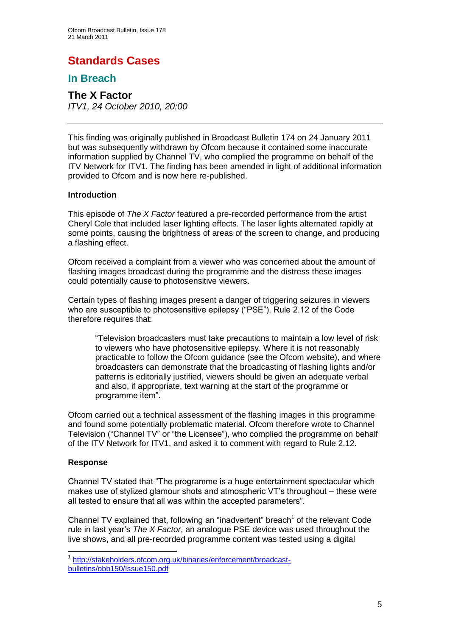# **Standards Cases**

## **In Breach**

**The X Factor** *ITV1, 24 October 2010, 20:00*

This finding was originally published in Broadcast Bulletin 174 on 24 January 2011 but was subsequently withdrawn by Ofcom because it contained some inaccurate information supplied by Channel TV, who complied the programme on behalf of the ITV Network for ITV1. The finding has been amended in light of additional information provided to Ofcom and is now here re-published.

#### **Introduction**

This episode of *The X Factor* featured a pre-recorded performance from the artist Cheryl Cole that included laser lighting effects. The laser lights alternated rapidly at some points, causing the brightness of areas of the screen to change, and producing a flashing effect.

Ofcom received a complaint from a viewer who was concerned about the amount of flashing images broadcast during the programme and the distress these images could potentially cause to photosensitive viewers.

Certain types of flashing images present a danger of triggering seizures in viewers who are susceptible to photosensitive epilepsy ("PSE"). Rule 2.12 of the Code therefore requires that:

"Television broadcasters must take precautions to maintain a low level of risk to viewers who have photosensitive epilepsy. Where it is not reasonably practicable to follow the Ofcom guidance (see the Ofcom website), and where broadcasters can demonstrate that the broadcasting of flashing lights and/or patterns is editorially justified, viewers should be given an adequate verbal and also, if appropriate, text warning at the start of the programme or programme item".

Ofcom carried out a technical assessment of the flashing images in this programme and found some potentially problematic material. Ofcom therefore wrote to Channel Television ("Channel TV" or "the Licensee"), who complied the programme on behalf of the ITV Network for ITV1, and asked it to comment with regard to Rule 2.12.

#### **Response**

1

Channel TV stated that "The programme is a huge entertainment spectacular which makes use of stylized glamour shots and atmospheric VT"s throughout – these were all tested to ensure that all was within the accepted parameters".

Channel TV explained that, following an "inadvertent" breach<sup>1</sup> of the relevant Code rule in last year"s *The X Factor*, an analogue PSE device was used throughout the live shows, and all pre-recorded programme content was tested using a digital

<sup>1</sup> [http://stakeholders.ofcom.org.uk/binaries/enforcement/broadcast](http://stakeholders.ofcom.org.uk/binaries/enforcement/broadcast-bulletins/obb150/Issue150.pdf)[bulletins/obb150/Issue150.pdf](http://stakeholders.ofcom.org.uk/binaries/enforcement/broadcast-bulletins/obb150/Issue150.pdf)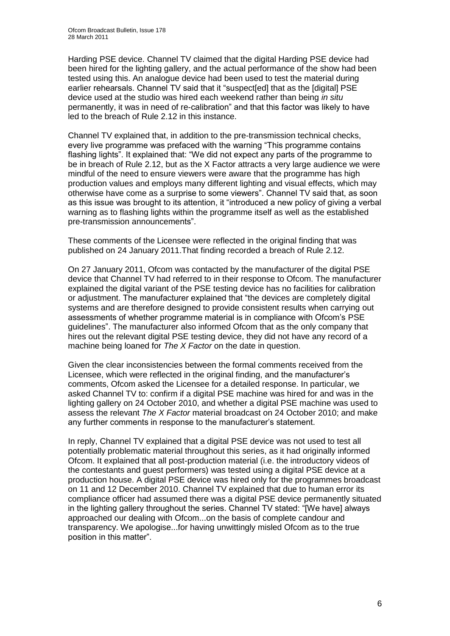Harding PSE device. Channel TV claimed that the digital Harding PSE device had been hired for the lighting gallery, and the actual performance of the show had been tested using this. An analogue device had been used to test the material during earlier rehearsals. Channel TV said that it "suspect[ed] that as the [digital] PSE device used at the studio was hired each weekend rather than being *in situ* permanently, it was in need of re-calibration" and that this factor was likely to have led to the breach of Rule 2.12 in this instance.

Channel TV explained that, in addition to the pre-transmission technical checks, every live programme was prefaced with the warning "This programme contains flashing lights". It explained that: "We did not expect any parts of the programme to be in breach of Rule 2.12, but as the X Factor attracts a very large audience we were mindful of the need to ensure viewers were aware that the programme has high production values and employs many different lighting and visual effects, which may otherwise have come as a surprise to some viewers". Channel TV said that, as soon as this issue was brought to its attention, it "introduced a new policy of giving a verbal warning as to flashing lights within the programme itself as well as the established pre-transmission announcements".

These comments of the Licensee were reflected in the original finding that was published on 24 January 2011.That finding recorded a breach of Rule 2.12.

On 27 January 2011, Ofcom was contacted by the manufacturer of the digital PSE device that Channel TV had referred to in their response to Ofcom. The manufacturer explained the digital variant of the PSE testing device has no facilities for calibration or adjustment. The manufacturer explained that "the devices are completely digital systems and are therefore designed to provide consistent results when carrying out assessments of whether programme material is in compliance with Ofcom"s PSE guidelines". The manufacturer also informed Ofcom that as the only company that hires out the relevant digital PSE testing device, they did not have any record of a machine being loaned for *The X Factor* on the date in question.

Given the clear inconsistencies between the formal comments received from the Licensee, which were reflected in the original finding, and the manufacturer"s comments, Ofcom asked the Licensee for a detailed response. In particular, we asked Channel TV to: confirm if a digital PSE machine was hired for and was in the lighting gallery on 24 October 2010, and whether a digital PSE machine was used to assess the relevant *The X Factor* material broadcast on 24 October 2010; and make any further comments in response to the manufacturer's statement.

In reply, Channel TV explained that a digital PSE device was not used to test all potentially problematic material throughout this series, as it had originally informed Ofcom. It explained that all post-production material (i.e. the introductory videos of the contestants and guest performers) was tested using a digital PSE device at a production house. A digital PSE device was hired only for the programmes broadcast on 11 and 12 December 2010. Channel TV explained that due to human error its compliance officer had assumed there was a digital PSE device permanently situated in the lighting gallery throughout the series. Channel TV stated: "[We have] always approached our dealing with Ofcom...on the basis of complete candour and transparency. We apologise...for having unwittingly misled Ofcom as to the true position in this matter".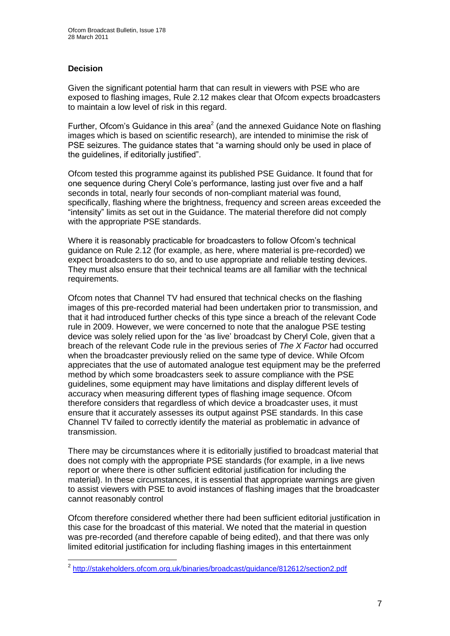#### **Decision**

Given the significant potential harm that can result in viewers with PSE who are exposed to flashing images, Rule 2.12 makes clear that Ofcom expects broadcasters to maintain a low level of risk in this regard.

Further, Ofcom's Guidance in this area<sup>2</sup> (and the annexed Guidance Note on flashing images which is based on scientific research), are intended to minimise the risk of PSE seizures. The guidance states that "a warning should only be used in place of the guidelines, if editorially justified".

Ofcom tested this programme against its published PSE Guidance. It found that for one sequence during Cheryl Cole"s performance, lasting just over five and a half seconds in total, nearly four seconds of non-compliant material was found, specifically, flashing where the brightness, frequency and screen areas exceeded the "intensity" limits as set out in the Guidance. The material therefore did not comply with the appropriate PSE standards.

Where it is reasonably practicable for broadcasters to follow Ofcom"s technical guidance on Rule 2.12 (for example, as here, where material is pre-recorded) we expect broadcasters to do so, and to use appropriate and reliable testing devices. They must also ensure that their technical teams are all familiar with the technical requirements.

Ofcom notes that Channel TV had ensured that technical checks on the flashing images of this pre-recorded material had been undertaken prior to transmission, and that it had introduced further checks of this type since a breach of the relevant Code rule in 2009. However, we were concerned to note that the analogue PSE testing device was solely relied upon for the "as live" broadcast by Cheryl Cole, given that a breach of the relevant Code rule in the previous series of *The X Factor* had occurred when the broadcaster previously relied on the same type of device. While Ofcom appreciates that the use of automated analogue test equipment may be the preferred method by which some broadcasters seek to assure compliance with the PSE guidelines, some equipment may have limitations and display different levels of accuracy when measuring different types of flashing image sequence. Ofcom therefore considers that regardless of which device a broadcaster uses, it must ensure that it accurately assesses its output against PSE standards. In this case Channel TV failed to correctly identify the material as problematic in advance of transmission.

There may be circumstances where it is editorially justified to broadcast material that does not comply with the appropriate PSE standards (for example, in a live news report or where there is other sufficient editorial justification for including the material). In these circumstances, it is essential that appropriate warnings are given to assist viewers with PSE to avoid instances of flashing images that the broadcaster cannot reasonably control

Ofcom therefore considered whether there had been sufficient editorial justification in this case for the broadcast of this material. We noted that the material in question was pre-recorded (and therefore capable of being edited), and that there was only limited editorial justification for including flashing images in this entertainment

 2 <http://stakeholders.ofcom.org.uk/binaries/broadcast/guidance/812612/section2.pdf>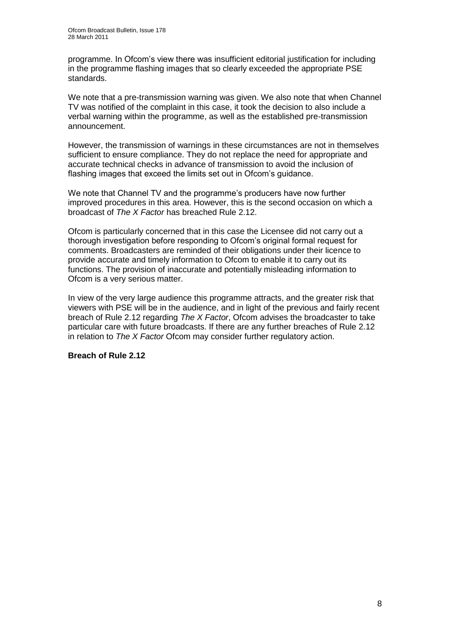programme. In Ofcom"s view there was insufficient editorial justification for including in the programme flashing images that so clearly exceeded the appropriate PSE standards.

We note that a pre-transmission warning was given. We also note that when Channel TV was notified of the complaint in this case, it took the decision to also include a verbal warning within the programme, as well as the established pre-transmission announcement.

However, the transmission of warnings in these circumstances are not in themselves sufficient to ensure compliance. They do not replace the need for appropriate and accurate technical checks in advance of transmission to avoid the inclusion of flashing images that exceed the limits set out in Ofcom's guidance.

We note that Channel TV and the programme's producers have now further improved procedures in this area. However, this is the second occasion on which a broadcast of *The X Factor* has breached Rule 2.12.

Ofcom is particularly concerned that in this case the Licensee did not carry out a thorough investigation before responding to Ofcom"s original formal request for comments. Broadcasters are reminded of their obligations under their licence to provide accurate and timely information to Ofcom to enable it to carry out its functions. The provision of inaccurate and potentially misleading information to Ofcom is a very serious matter.

In view of the very large audience this programme attracts, and the greater risk that viewers with PSE will be in the audience, and in light of the previous and fairly recent breach of Rule 2.12 regarding *The X Factor*, Ofcom advises the broadcaster to take particular care with future broadcasts. If there are any further breaches of Rule 2.12 in relation to *The X Factor* Ofcom may consider further regulatory action.

**Breach of Rule 2.12**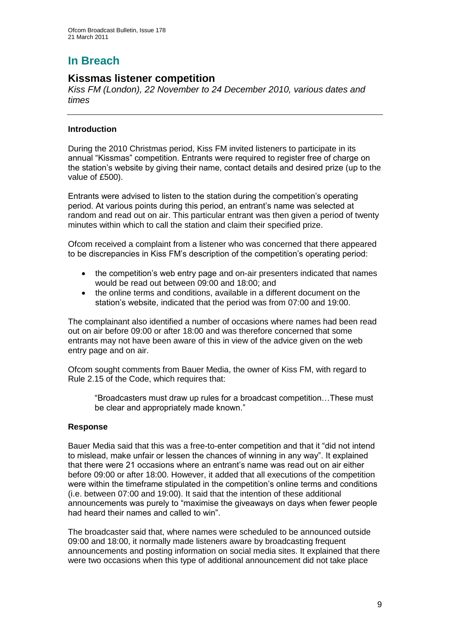# **In Breach**

## **Kissmas listener competition**

*Kiss FM (London), 22 November to 24 December 2010, various dates and times*

#### **Introduction**

During the 2010 Christmas period, Kiss FM invited listeners to participate in its annual "Kissmas" competition. Entrants were required to register free of charge on the station"s website by giving their name, contact details and desired prize (up to the value of £500).

Entrants were advised to listen to the station during the competition"s operating period. At various points during this period, an entrant"s name was selected at random and read out on air. This particular entrant was then given a period of twenty minutes within which to call the station and claim their specified prize.

Ofcom received a complaint from a listener who was concerned that there appeared to be discrepancies in Kiss FM"s description of the competition"s operating period:

- the competition"s web entry page and on-air presenters indicated that names would be read out between 09:00 and 18:00; and
- the online terms and conditions, available in a different document on the station"s website, indicated that the period was from 07:00 and 19:00.

The complainant also identified a number of occasions where names had been read out on air before 09:00 or after 18:00 and was therefore concerned that some entrants may not have been aware of this in view of the advice given on the web entry page and on air.

Ofcom sought comments from Bauer Media, the owner of Kiss FM, with regard to Rule 2.15 of the Code, which requires that:

"Broadcasters must draw up rules for a broadcast competition…These must be clear and appropriately made known."

#### **Response**

Bauer Media said that this was a free-to-enter competition and that it "did not intend to mislead, make unfair or lessen the chances of winning in any way". It explained that there were 21 occasions where an entrant"s name was read out on air either before 09:00 or after 18:00. However, it added that all executions of the competition were within the timeframe stipulated in the competition"s online terms and conditions (i.e. between 07:00 and 19:00). It said that the intention of these additional announcements was purely to "maximise the giveaways on days when fewer people had heard their names and called to win".

The broadcaster said that, where names were scheduled to be announced outside 09:00 and 18:00, it normally made listeners aware by broadcasting frequent announcements and posting information on social media sites. It explained that there were two occasions when this type of additional announcement did not take place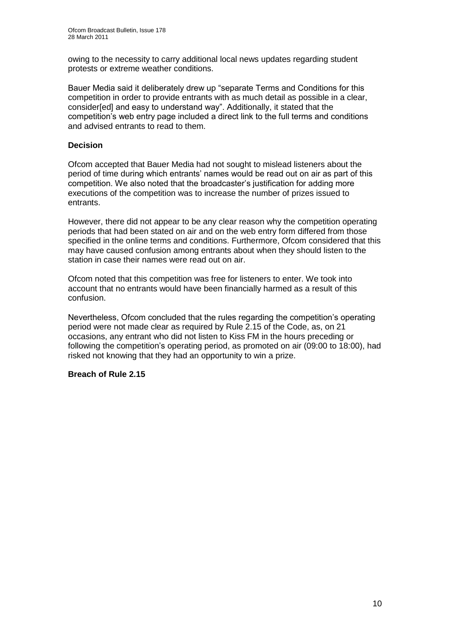owing to the necessity to carry additional local news updates regarding student protests or extreme weather conditions.

Bauer Media said it deliberately drew up "separate Terms and Conditions for this competition in order to provide entrants with as much detail as possible in a clear, consider[ed] and easy to understand way". Additionally, it stated that the competition"s web entry page included a direct link to the full terms and conditions and advised entrants to read to them.

#### **Decision**

Ofcom accepted that Bauer Media had not sought to mislead listeners about the period of time during which entrants" names would be read out on air as part of this competition. We also noted that the broadcaster"s justification for adding more executions of the competition was to increase the number of prizes issued to entrants.

However, there did not appear to be any clear reason why the competition operating periods that had been stated on air and on the web entry form differed from those specified in the online terms and conditions. Furthermore, Ofcom considered that this may have caused confusion among entrants about when they should listen to the station in case their names were read out on air.

Ofcom noted that this competition was free for listeners to enter. We took into account that no entrants would have been financially harmed as a result of this confusion.

Nevertheless, Ofcom concluded that the rules regarding the competition"s operating period were not made clear as required by Rule 2.15 of the Code, as, on 21 occasions, any entrant who did not listen to Kiss FM in the hours preceding or following the competition's operating period, as promoted on air (09:00 to 18:00), had risked not knowing that they had an opportunity to win a prize.

#### **Breach of Rule 2.15**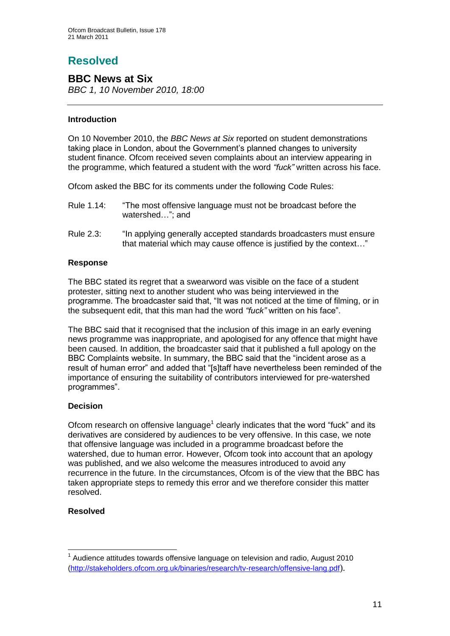# **Resolved**

## **BBC News at Six**

*BBC 1, 10 November 2010, 18:00*

#### **Introduction**

On 10 November 2010, the *BBC News at Six* reported on student demonstrations taking place in London, about the Government"s planned changes to university student finance. Ofcom received seven complaints about an interview appearing in the programme, which featured a student with the word *"fuck"* written across his face.

Ofcom asked the BBC for its comments under the following Code Rules:

- Rule 1.14: "The most offensive language must not be broadcast before the watershed…"; and
- Rule 2.3: "In applying generally accepted standards broadcasters must ensure that material which may cause offence is justified by the context…"

#### **Response**

The BBC stated its regret that a swearword was visible on the face of a student protester, sitting next to another student who was being interviewed in the programme. The broadcaster said that, "It was not noticed at the time of filming, or in the subsequent edit, that this man had the word *"fuck"* written on his face".

The BBC said that it recognised that the inclusion of this image in an early evening news programme was inappropriate, and apologised for any offence that might have been caused. In addition, the broadcaster said that it published a full apology on the BBC Complaints website. In summary, the BBC said that the "incident arose as a result of human error" and added that "[s]taff have nevertheless been reminded of the importance of ensuring the suitability of contributors interviewed for pre-watershed programmes".

#### **Decision**

Ofcom research on offensive language<sup>1</sup> clearly indicates that the word "fuck" and its derivatives are considered by audiences to be very offensive. In this case, we note that offensive language was included in a programme broadcast before the watershed, due to human error. However, Ofcom took into account that an apology was published, and we also welcome the measures introduced to avoid any recurrence in the future. In the circumstances, Ofcom is of the view that the BBC has taken appropriate steps to remedy this error and we therefore consider this matter resolved.

#### **Resolved**

1

 $1$  Audience attitudes towards offensive language on television and radio, August 2010 [\(http://stakeholders.ofcom.org.uk/binaries/research/tv-research/offensive-lang.pdf](http://stakeholders.ofcom.org.uk/binaries/research/tv-research/offensive-lang.pdf)).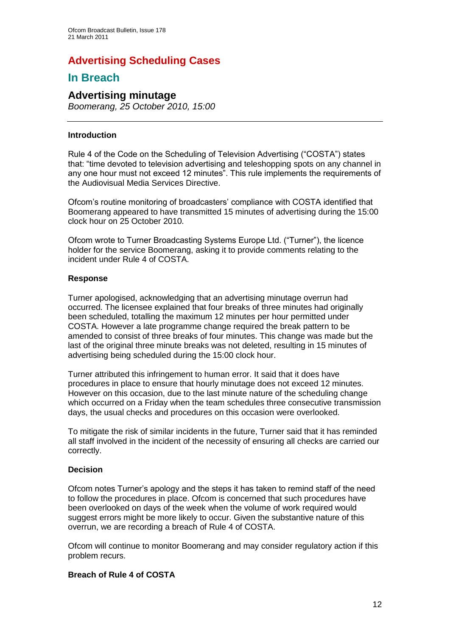# **Advertising Scheduling Cases**

## **In Breach**

## **Advertising minutage**

*Boomerang, 25 October 2010, 15:00*

#### **Introduction**

Rule 4 of the Code on the Scheduling of Television Advertising ("COSTA") states that: "time devoted to television advertising and teleshopping spots on any channel in any one hour must not exceed 12 minutes". This rule implements the requirements of the Audiovisual Media Services Directive.

Ofcom"s routine monitoring of broadcasters" compliance with COSTA identified that Boomerang appeared to have transmitted 15 minutes of advertising during the 15:00 clock hour on 25 October 2010.

Ofcom wrote to Turner Broadcasting Systems Europe Ltd. ("Turner"), the licence holder for the service Boomerang, asking it to provide comments relating to the incident under Rule 4 of COSTA.

#### **Response**

Turner apologised, acknowledging that an advertising minutage overrun had occurred. The licensee explained that four breaks of three minutes had originally been scheduled, totalling the maximum 12 minutes per hour permitted under COSTA. However a late programme change required the break pattern to be amended to consist of three breaks of four minutes. This change was made but the last of the original three minute breaks was not deleted, resulting in 15 minutes of advertising being scheduled during the 15:00 clock hour.

Turner attributed this infringement to human error. It said that it does have procedures in place to ensure that hourly minutage does not exceed 12 minutes. However on this occasion, due to the last minute nature of the scheduling change which occurred on a Friday when the team schedules three consecutive transmission days, the usual checks and procedures on this occasion were overlooked.

To mitigate the risk of similar incidents in the future, Turner said that it has reminded all staff involved in the incident of the necessity of ensuring all checks are carried our correctly.

#### **Decision**

Ofcom notes Turner"s apology and the steps it has taken to remind staff of the need to follow the procedures in place. Ofcom is concerned that such procedures have been overlooked on days of the week when the volume of work required would suggest errors might be more likely to occur. Given the substantive nature of this overrun, we are recording a breach of Rule 4 of COSTA.

Ofcom will continue to monitor Boomerang and may consider regulatory action if this problem recurs.

#### **Breach of Rule 4 of COSTA**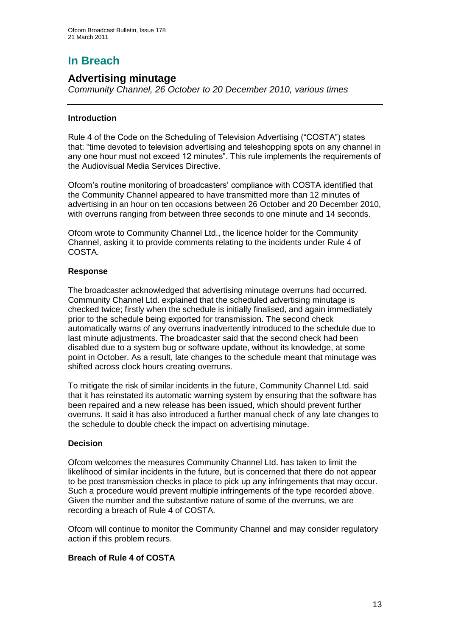# **In Breach**

## **Advertising minutage**

*Community Channel, 26 October to 20 December 2010, various times*

#### **Introduction**

Rule 4 of the Code on the Scheduling of Television Advertising ("COSTA") states that: "time devoted to television advertising and teleshopping spots on any channel in any one hour must not exceed 12 minutes". This rule implements the requirements of the Audiovisual Media Services Directive.

Ofcom"s routine monitoring of broadcasters" compliance with COSTA identified that the Community Channel appeared to have transmitted more than 12 minutes of advertising in an hour on ten occasions between 26 October and 20 December 2010, with overruns ranging from between three seconds to one minute and 14 seconds.

Ofcom wrote to Community Channel Ltd., the licence holder for the Community Channel, asking it to provide comments relating to the incidents under Rule 4 of COSTA.

#### **Response**

The broadcaster acknowledged that advertising minutage overruns had occurred. Community Channel Ltd. explained that the scheduled advertising minutage is checked twice; firstly when the schedule is initially finalised, and again immediately prior to the schedule being exported for transmission. The second check automatically warns of any overruns inadvertently introduced to the schedule due to last minute adjustments. The broadcaster said that the second check had been disabled due to a system bug or software update, without its knowledge, at some point in October. As a result, late changes to the schedule meant that minutage was shifted across clock hours creating overruns.

To mitigate the risk of similar incidents in the future, Community Channel Ltd. said that it has reinstated its automatic warning system by ensuring that the software has been repaired and a new release has been issued, which should prevent further overruns. It said it has also introduced a further manual check of any late changes to the schedule to double check the impact on advertising minutage.

#### **Decision**

Ofcom welcomes the measures Community Channel Ltd. has taken to limit the likelihood of similar incidents in the future, but is concerned that there do not appear to be post transmission checks in place to pick up any infringements that may occur. Such a procedure would prevent multiple infringements of the type recorded above. Given the number and the substantive nature of some of the overruns, we are recording a breach of Rule 4 of COSTA.

Ofcom will continue to monitor the Community Channel and may consider regulatory action if this problem recurs.

#### **Breach of Rule 4 of COSTA**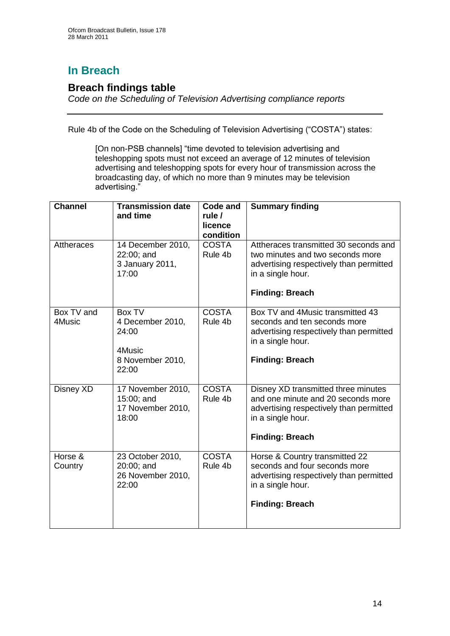# **In Breach**

## **Breach findings table**

*Code on the Scheduling of Television Advertising compliance reports*

Rule 4b of the Code on the Scheduling of Television Advertising ("COSTA") states:

[On non-PSB channels] "time devoted to television advertising and teleshopping spots must not exceed an average of 12 minutes of television advertising and teleshopping spots for every hour of transmission across the broadcasting day, of which no more than 9 minutes may be television advertising."

| <b>Channel</b>       | <b>Transmission date</b><br>and time                                       | <b>Code and</b><br>rule /<br>licence<br>condition | <b>Summary finding</b>                                                                                                                                              |
|----------------------|----------------------------------------------------------------------------|---------------------------------------------------|---------------------------------------------------------------------------------------------------------------------------------------------------------------------|
| <b>Attheraces</b>    | 14 December 2010,<br>22:00; and<br>3 January 2011,<br>17:00                | <b>COSTA</b><br>Rule 4b                           | Attheraces transmitted 30 seconds and<br>two minutes and two seconds more<br>advertising respectively than permitted<br>in a single hour.<br><b>Finding: Breach</b> |
| Box TV and<br>4Music | Box TV<br>4 December 2010,<br>24:00<br>4Music<br>8 November 2010,<br>22:00 | <b>COSTA</b><br>Rule 4b                           | Box TV and 4Music transmitted 43<br>seconds and ten seconds more<br>advertising respectively than permitted<br>in a single hour.<br><b>Finding: Breach</b>          |
| Disney XD            | 17 November 2010,<br>15:00; and<br>17 November 2010,<br>18:00              | <b>COSTA</b><br>Rule 4b                           | Disney XD transmitted three minutes<br>and one minute and 20 seconds more<br>advertising respectively than permitted<br>in a single hour.<br><b>Finding: Breach</b> |
| Horse &<br>Country   | 23 October 2010,<br>20:00; and<br>26 November 2010,<br>22:00               | <b>COSTA</b><br>Rule 4b                           | Horse & Country transmitted 22<br>seconds and four seconds more<br>advertising respectively than permitted<br>in a single hour.<br><b>Finding: Breach</b>           |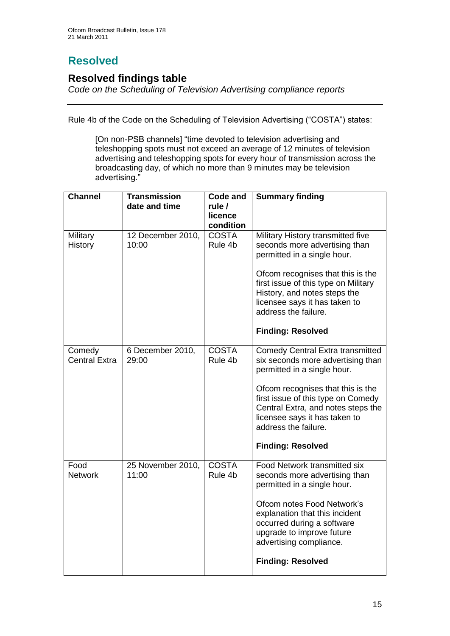# **Resolved**

## **Resolved findings table**

*Code on the Scheduling of Television Advertising compliance reports*

Rule 4b of the Code on the Scheduling of Television Advertising ("COSTA") states:

[On non-PSB channels] "time devoted to television advertising and teleshopping spots must not exceed an average of 12 minutes of television advertising and teleshopping spots for every hour of transmission across the broadcasting day, of which no more than 9 minutes may be television advertising."

| <b>Channel</b>                 | <b>Transmission</b><br>date and time | <b>Code and</b><br>rule /<br>licence | <b>Summary finding</b>                                                                                                                                                                                                                                                                                            |
|--------------------------------|--------------------------------------|--------------------------------------|-------------------------------------------------------------------------------------------------------------------------------------------------------------------------------------------------------------------------------------------------------------------------------------------------------------------|
| Military<br><b>History</b>     | 12 December 2010,<br>10:00           | condition<br><b>COSTA</b><br>Rule 4b | Military History transmitted five<br>seconds more advertising than<br>permitted in a single hour.<br>Ofcom recognises that this is the<br>first issue of this type on Military<br>History, and notes steps the<br>licensee says it has taken to<br>address the failure.<br><b>Finding: Resolved</b>               |
| Comedy<br><b>Central Extra</b> | 6 December 2010,<br>29:00            | <b>COSTA</b><br>Rule 4b              | <b>Comedy Central Extra transmitted</b><br>six seconds more advertising than<br>permitted in a single hour.<br>Ofcom recognises that this is the<br>first issue of this type on Comedy<br>Central Extra, and notes steps the<br>licensee says it has taken to<br>address the failure.<br><b>Finding: Resolved</b> |
| Food<br><b>Network</b>         | 25 November 2010,<br>11:00           | <b>COSTA</b><br>Rule 4b              | <b>Food Network transmitted six</b><br>seconds more advertising than<br>permitted in a single hour.<br>Ofcom notes Food Network's<br>explanation that this incident<br>occurred during a software<br>upgrade to improve future<br>advertising compliance.<br><b>Finding: Resolved</b>                             |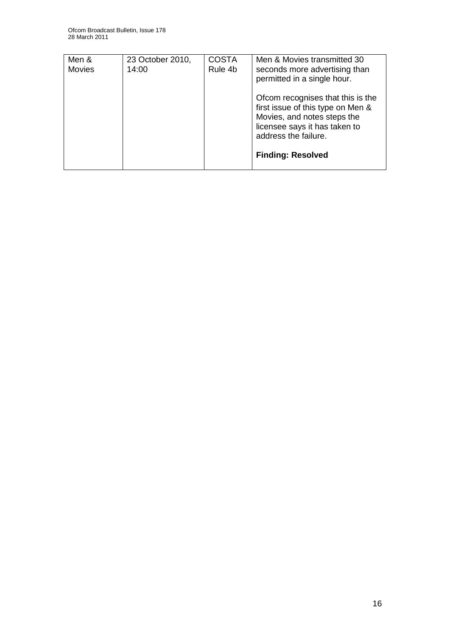| Men &<br><b>Movies</b> | 23 October 2010,<br>14:00 | <b>COSTA</b><br>Rule 4b | Men & Movies transmitted 30<br>seconds more advertising than     |
|------------------------|---------------------------|-------------------------|------------------------------------------------------------------|
|                        |                           |                         | permitted in a single hour.<br>Ofcom recognises that this is the |
|                        |                           |                         | first issue of this type on Men &<br>Movies, and notes steps the |
|                        |                           |                         | licensee says it has taken to<br>address the failure.            |
|                        |                           |                         | <b>Finding: Resolved</b>                                         |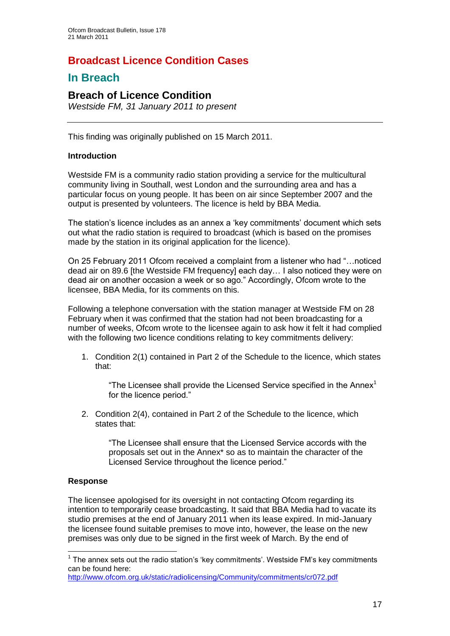# **Broadcast Licence Condition Cases**

## **In Breach**

## **Breach of Licence Condition**

*Westside FM, 31 January 2011 to present*

This finding was originally published on 15 March 2011.

#### **Introduction**

Westside FM is a community radio station providing a service for the multicultural community living in Southall, west London and the surrounding area and has a particular focus on young people. It has been on air since September 2007 and the output is presented by volunteers. The licence is held by BBA Media.

The station's licence includes as an annex a 'key commitments' document which sets out what the radio station is required to broadcast (which is based on the promises made by the station in its original application for the licence).

On 25 February 2011 Ofcom received a complaint from a listener who had "…noticed dead air on 89.6 [the Westside FM frequency] each day… I also noticed they were on dead air on another occasion a week or so ago." Accordingly, Ofcom wrote to the licensee, BBA Media, for its comments on this.

Following a telephone conversation with the station manager at Westside FM on 28 February when it was confirmed that the station had not been broadcasting for a number of weeks, Ofcom wrote to the licensee again to ask how it felt it had complied with the following two licence conditions relating to key commitments delivery:

1. Condition 2(1) contained in Part 2 of the Schedule to the licence, which states that:

"The Licensee shall provide the Licensed Service specified in the Annex $1$ for the licence period."

2. Condition 2(4), contained in Part 2 of the Schedule to the licence, which states that:

"The Licensee shall ensure that the Licensed Service accords with the proposals set out in the Annex\* so as to maintain the character of the Licensed Service throughout the licence period."

#### **Response**

1

The licensee apologised for its oversight in not contacting Ofcom regarding its intention to temporarily cease broadcasting. It said that BBA Media had to vacate its studio premises at the end of January 2011 when its lease expired. In mid-January the licensee found suitable premises to move into, however, the lease on the new premises was only due to be signed in the first week of March. By the end of

<http://www.ofcom.org.uk/static/radiolicensing/Community/commitments/cr072.pdf>

 $1$  The annex sets out the radio station's 'key commitments'. Westside FM's key commitments can be found here: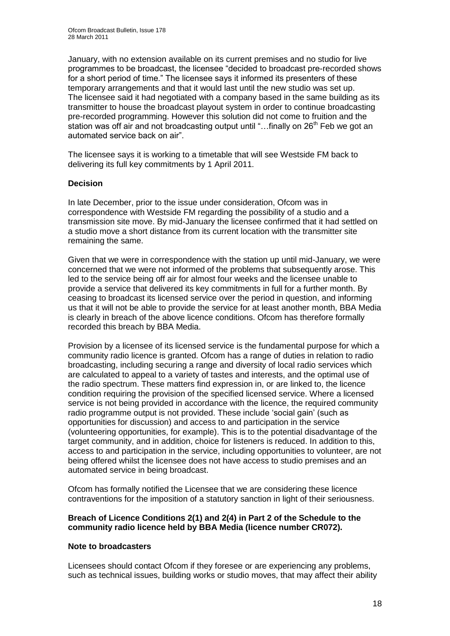January, with no extension available on its current premises and no studio for live programmes to be broadcast, the licensee "decided to broadcast pre-recorded shows for a short period of time." The licensee says it informed its presenters of these temporary arrangements and that it would last until the new studio was set up. The licensee said it had negotiated with a company based in the same building as its transmitter to house the broadcast playout system in order to continue broadcasting pre-recorded programming. However this solution did not come to fruition and the station was off air and not broadcasting output until "...finally on  $26<sup>th</sup>$  Feb we got an automated service back on air".

The licensee says it is working to a timetable that will see Westside FM back to delivering its full key commitments by 1 April 2011.

#### **Decision**

In late December, prior to the issue under consideration, Ofcom was in correspondence with Westside FM regarding the possibility of a studio and a transmission site move. By mid-January the licensee confirmed that it had settled on a studio move a short distance from its current location with the transmitter site remaining the same.

Given that we were in correspondence with the station up until mid-January, we were concerned that we were not informed of the problems that subsequently arose. This led to the service being off air for almost four weeks and the licensee unable to provide a service that delivered its key commitments in full for a further month. By ceasing to broadcast its licensed service over the period in question, and informing us that it will not be able to provide the service for at least another month, BBA Media is clearly in breach of the above licence conditions. Ofcom has therefore formally recorded this breach by BBA Media.

Provision by a licensee of its licensed service is the fundamental purpose for which a community radio licence is granted. Ofcom has a range of duties in relation to radio broadcasting, including securing a range and diversity of local radio services which are calculated to appeal to a variety of tastes and interests, and the optimal use of the radio spectrum. These matters find expression in, or are linked to, the licence condition requiring the provision of the specified licensed service. Where a licensed service is not being provided in accordance with the licence, the required community radio programme output is not provided. These include "social gain" (such as opportunities for discussion) and access to and participation in the service (volunteering opportunities, for example). This is to the potential disadvantage of the target community, and in addition, choice for listeners is reduced. In addition to this, access to and participation in the service, including opportunities to volunteer, are not being offered whilst the licensee does not have access to studio premises and an automated service in being broadcast.

Ofcom has formally notified the Licensee that we are considering these licence contraventions for the imposition of a statutory sanction in light of their seriousness.

#### **Breach of Licence Conditions 2(1) and 2(4) in Part 2 of the Schedule to the community radio licence held by BBA Media (licence number CR072).**

#### **Note to broadcasters**

Licensees should contact Ofcom if they foresee or are experiencing any problems, such as technical issues, building works or studio moves, that may affect their ability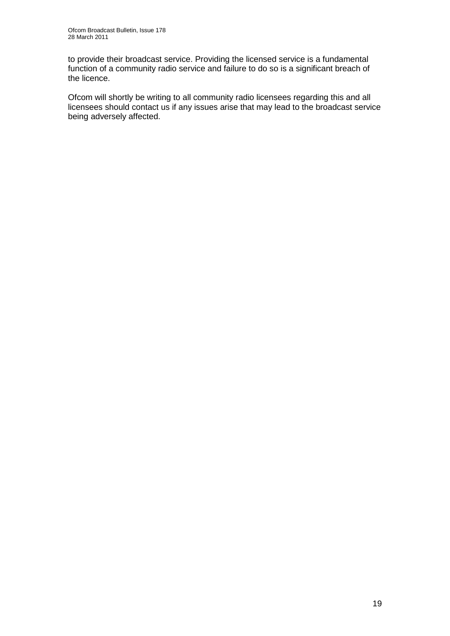to provide their broadcast service. Providing the licensed service is a fundamental function of a community radio service and failure to do so is a significant breach of the licence.

Ofcom will shortly be writing to all community radio licensees regarding this and all licensees should contact us if any issues arise that may lead to the broadcast service being adversely affected.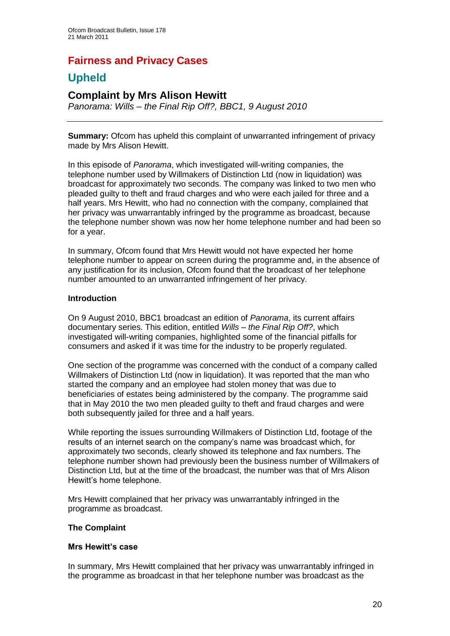# **Fairness and Privacy Cases**

# **Upheld**

## **Complaint by Mrs Alison Hewitt**

*Panorama: Wills – the Final Rip Off?, BBC1, 9 August 2010*

**Summary:** Ofcom has upheld this complaint of unwarranted infringement of privacy made by Mrs Alison Hewitt.

In this episode of *Panorama*, which investigated will-writing companies, the telephone number used by Willmakers of Distinction Ltd (now in liquidation) was broadcast for approximately two seconds. The company was linked to two men who pleaded guilty to theft and fraud charges and who were each jailed for three and a half years. Mrs Hewitt, who had no connection with the company, complained that her privacy was unwarrantably infringed by the programme as broadcast, because the telephone number shown was now her home telephone number and had been so for a year.

In summary, Ofcom found that Mrs Hewitt would not have expected her home telephone number to appear on screen during the programme and, in the absence of any justification for its inclusion, Ofcom found that the broadcast of her telephone number amounted to an unwarranted infringement of her privacy.

#### **Introduction**

On 9 August 2010, BBC1 broadcast an edition of *Panorama*, its current affairs documentary series. This edition, entitled *Wills – the Final Rip Off?*, which investigated will-writing companies, highlighted some of the financial pitfalls for consumers and asked if it was time for the industry to be properly regulated.

One section of the programme was concerned with the conduct of a company called Willmakers of Distinction Ltd (now in liquidation). It was reported that the man who started the company and an employee had stolen money that was due to beneficiaries of estates being administered by the company. The programme said that in May 2010 the two men pleaded guilty to theft and fraud charges and were both subsequently jailed for three and a half years.

While reporting the issues surrounding Willmakers of Distinction Ltd, footage of the results of an internet search on the company"s name was broadcast which, for approximately two seconds, clearly showed its telephone and fax numbers. The telephone number shown had previously been the business number of Willmakers of Distinction Ltd, but at the time of the broadcast, the number was that of Mrs Alison Hewitt"s home telephone.

Mrs Hewitt complained that her privacy was unwarrantably infringed in the programme as broadcast.

#### **The Complaint**

#### **Mrs Hewitt's case**

In summary, Mrs Hewitt complained that her privacy was unwarrantably infringed in the programme as broadcast in that her telephone number was broadcast as the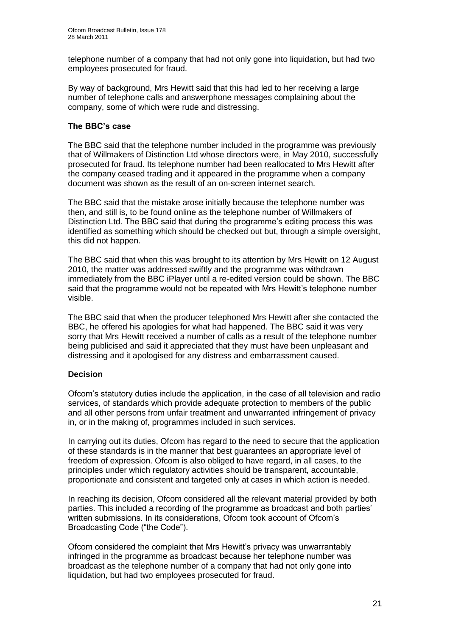telephone number of a company that had not only gone into liquidation, but had two employees prosecuted for fraud.

By way of background, Mrs Hewitt said that this had led to her receiving a large number of telephone calls and answerphone messages complaining about the company, some of which were rude and distressing.

#### **The BBC's case**

The BBC said that the telephone number included in the programme was previously that of Willmakers of Distinction Ltd whose directors were, in May 2010, successfully prosecuted for fraud. Its telephone number had been reallocated to Mrs Hewitt after the company ceased trading and it appeared in the programme when a company document was shown as the result of an on-screen internet search.

The BBC said that the mistake arose initially because the telephone number was then, and still is, to be found online as the telephone number of Willmakers of Distinction Ltd. The BBC said that during the programme"s editing process this was identified as something which should be checked out but, through a simple oversight, this did not happen.

The BBC said that when this was brought to its attention by Mrs Hewitt on 12 August 2010, the matter was addressed swiftly and the programme was withdrawn immediately from the BBC iPlayer until a re-edited version could be shown. The BBC said that the programme would not be repeated with Mrs Hewitt"s telephone number visible.

The BBC said that when the producer telephoned Mrs Hewitt after she contacted the BBC, he offered his apologies for what had happened. The BBC said it was very sorry that Mrs Hewitt received a number of calls as a result of the telephone number being publicised and said it appreciated that they must have been unpleasant and distressing and it apologised for any distress and embarrassment caused.

#### **Decision**

Ofcom"s statutory duties include the application, in the case of all television and radio services, of standards which provide adequate protection to members of the public and all other persons from unfair treatment and unwarranted infringement of privacy in, or in the making of, programmes included in such services.

In carrying out its duties, Ofcom has regard to the need to secure that the application of these standards is in the manner that best guarantees an appropriate level of freedom of expression. Ofcom is also obliged to have regard, in all cases, to the principles under which regulatory activities should be transparent, accountable, proportionate and consistent and targeted only at cases in which action is needed.

In reaching its decision, Ofcom considered all the relevant material provided by both parties. This included a recording of the programme as broadcast and both parties" written submissions. In its considerations, Ofcom took account of Ofcom's Broadcasting Code ("the Code").

Ofcom considered the complaint that Mrs Hewitt"s privacy was unwarrantably infringed in the programme as broadcast because her telephone number was broadcast as the telephone number of a company that had not only gone into liquidation, but had two employees prosecuted for fraud.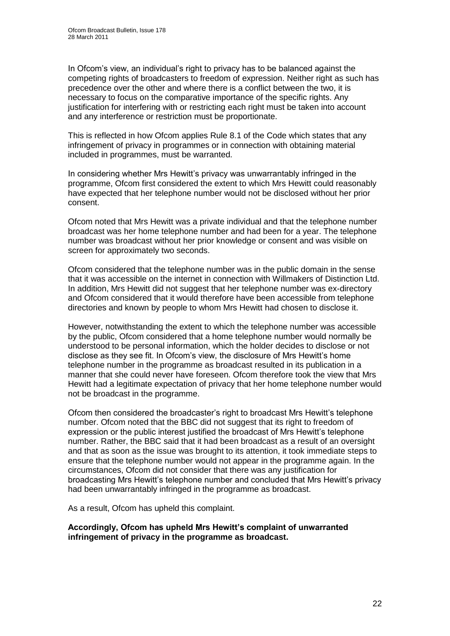In Ofcom's view, an individual's right to privacy has to be balanced against the competing rights of broadcasters to freedom of expression. Neither right as such has precedence over the other and where there is a conflict between the two, it is necessary to focus on the comparative importance of the specific rights. Any justification for interfering with or restricting each right must be taken into account and any interference or restriction must be proportionate.

This is reflected in how Ofcom applies Rule 8.1 of the Code which states that any infringement of privacy in programmes or in connection with obtaining material included in programmes, must be warranted.

In considering whether Mrs Hewitt"s privacy was unwarrantably infringed in the programme, Ofcom first considered the extent to which Mrs Hewitt could reasonably have expected that her telephone number would not be disclosed without her prior consent.

Ofcom noted that Mrs Hewitt was a private individual and that the telephone number broadcast was her home telephone number and had been for a year. The telephone number was broadcast without her prior knowledge or consent and was visible on screen for approximately two seconds.

Ofcom considered that the telephone number was in the public domain in the sense that it was accessible on the internet in connection with Willmakers of Distinction Ltd. In addition, Mrs Hewitt did not suggest that her telephone number was ex-directory and Ofcom considered that it would therefore have been accessible from telephone directories and known by people to whom Mrs Hewitt had chosen to disclose it.

However, notwithstanding the extent to which the telephone number was accessible by the public, Ofcom considered that a home telephone number would normally be understood to be personal information, which the holder decides to disclose or not disclose as they see fit. In Ofcom's view, the disclosure of Mrs Hewitt's home telephone number in the programme as broadcast resulted in its publication in a manner that she could never have foreseen. Ofcom therefore took the view that Mrs Hewitt had a legitimate expectation of privacy that her home telephone number would not be broadcast in the programme.

Ofcom then considered the broadcaster"s right to broadcast Mrs Hewitt"s telephone number. Ofcom noted that the BBC did not suggest that its right to freedom of expression or the public interest justified the broadcast of Mrs Hewitt"s telephone number. Rather, the BBC said that it had been broadcast as a result of an oversight and that as soon as the issue was brought to its attention, it took immediate steps to ensure that the telephone number would not appear in the programme again. In the circumstances, Ofcom did not consider that there was any justification for broadcasting Mrs Hewitt"s telephone number and concluded that Mrs Hewitt"s privacy had been unwarrantably infringed in the programme as broadcast.

As a result, Ofcom has upheld this complaint.

**Accordingly, Ofcom has upheld Mrs Hewitt's complaint of unwarranted infringement of privacy in the programme as broadcast.**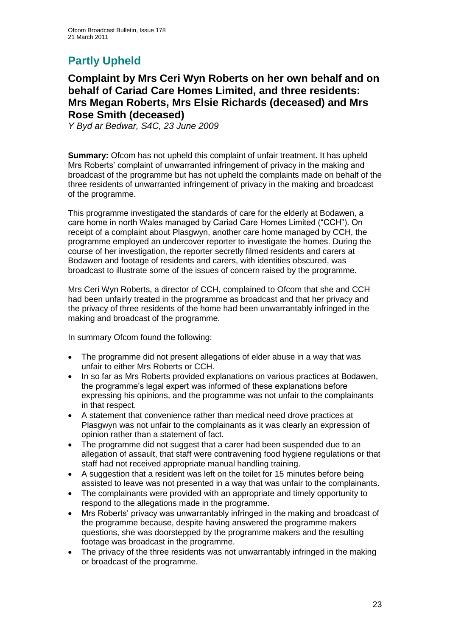# **Partly Upheld**

## **Complaint by Mrs Ceri Wyn Roberts on her own behalf and on behalf of Cariad Care Homes Limited, and three residents: Mrs Megan Roberts, Mrs Elsie Richards (deceased) and Mrs Rose Smith (deceased)**

*Y Byd ar Bedwar, S4C, 23 June 2009*

**Summary:** Ofcom has not upheld this complaint of unfair treatment. It has upheld Mrs Roberts" complaint of unwarranted infringement of privacy in the making and broadcast of the programme but has not upheld the complaints made on behalf of the three residents of unwarranted infringement of privacy in the making and broadcast of the programme.

This programme investigated the standards of care for the elderly at Bodawen, a care home in north Wales managed by Cariad Care Homes Limited ("CCH"). On receipt of a complaint about Plasgwyn, another care home managed by CCH, the programme employed an undercover reporter to investigate the homes. During the course of her investigation, the reporter secretly filmed residents and carers at Bodawen and footage of residents and carers, with identities obscured, was broadcast to illustrate some of the issues of concern raised by the programme.

Mrs Ceri Wyn Roberts, a director of CCH, complained to Ofcom that she and CCH had been unfairly treated in the programme as broadcast and that her privacy and the privacy of three residents of the home had been unwarrantably infringed in the making and broadcast of the programme.

In summary Ofcom found the following:

- The programme did not present allegations of elder abuse in a way that was unfair to either Mrs Roberts or CCH.
- In so far as Mrs Roberts provided explanations on various practices at Bodawen, the programme"s legal expert was informed of these explanations before expressing his opinions, and the programme was not unfair to the complainants in that respect.
- A statement that convenience rather than medical need drove practices at Plasgwyn was not unfair to the complainants as it was clearly an expression of opinion rather than a statement of fact.
- The programme did not suggest that a carer had been suspended due to an allegation of assault, that staff were contravening food hygiene regulations or that staff had not received appropriate manual handling training.
- A suggestion that a resident was left on the toilet for 15 minutes before being assisted to leave was not presented in a way that was unfair to the complainants.
- The complainants were provided with an appropriate and timely opportunity to respond to the allegations made in the programme.
- Mrs Roberts" privacy was unwarrantably infringed in the making and broadcast of the programme because, despite having answered the programme makers questions, she was doorstepped by the programme makers and the resulting footage was broadcast in the programme.
- The privacy of the three residents was not unwarrantably infringed in the making or broadcast of the programme.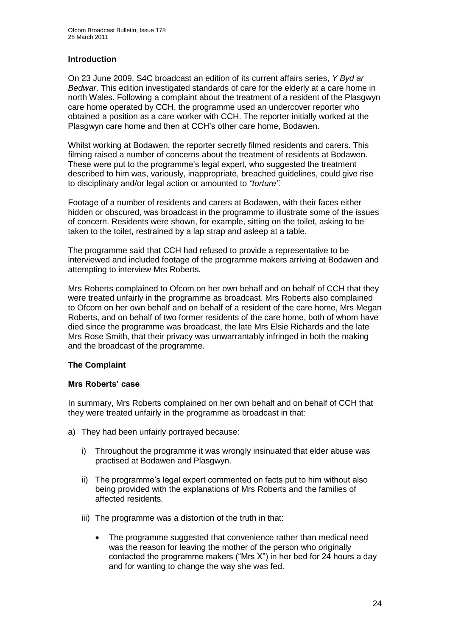#### **Introduction**

On 23 June 2009, S4C broadcast an edition of its current affairs series, *Y Byd ar Bedwar*. This edition investigated standards of care for the elderly at a care home in north Wales. Following a complaint about the treatment of a resident of the Plasgwyn care home operated by CCH, the programme used an undercover reporter who obtained a position as a care worker with CCH. The reporter initially worked at the Plasgwyn care home and then at CCH"s other care home, Bodawen.

Whilst working at Bodawen, the reporter secretly filmed residents and carers. This filming raised a number of concerns about the treatment of residents at Bodawen. These were put to the programme"s legal expert, who suggested the treatment described to him was, variously, inappropriate, breached guidelines, could give rise to disciplinary and/or legal action or amounted to *"torture"*.

Footage of a number of residents and carers at Bodawen, with their faces either hidden or obscured, was broadcast in the programme to illustrate some of the issues of concern. Residents were shown, for example, sitting on the toilet, asking to be taken to the toilet, restrained by a lap strap and asleep at a table.

The programme said that CCH had refused to provide a representative to be interviewed and included footage of the programme makers arriving at Bodawen and attempting to interview Mrs Roberts.

Mrs Roberts complained to Ofcom on her own behalf and on behalf of CCH that they were treated unfairly in the programme as broadcast. Mrs Roberts also complained to Ofcom on her own behalf and on behalf of a resident of the care home, Mrs Megan Roberts, and on behalf of two former residents of the care home, both of whom have died since the programme was broadcast, the late Mrs Elsie Richards and the late Mrs Rose Smith, that their privacy was unwarrantably infringed in both the making and the broadcast of the programme.

#### **The Complaint**

#### **Mrs Roberts' case**

In summary, Mrs Roberts complained on her own behalf and on behalf of CCH that they were treated unfairly in the programme as broadcast in that:

- a) They had been unfairly portrayed because:
	- i) Throughout the programme it was wrongly insinuated that elder abuse was practised at Bodawen and Plasgwyn.
	- ii) The programme's legal expert commented on facts put to him without also being provided with the explanations of Mrs Roberts and the families of affected residents.
	- iii) The programme was a distortion of the truth in that:
		- The programme suggested that convenience rather than medical need was the reason for leaving the mother of the person who originally contacted the programme makers ("Mrs X") in her bed for 24 hours a day and for wanting to change the way she was fed.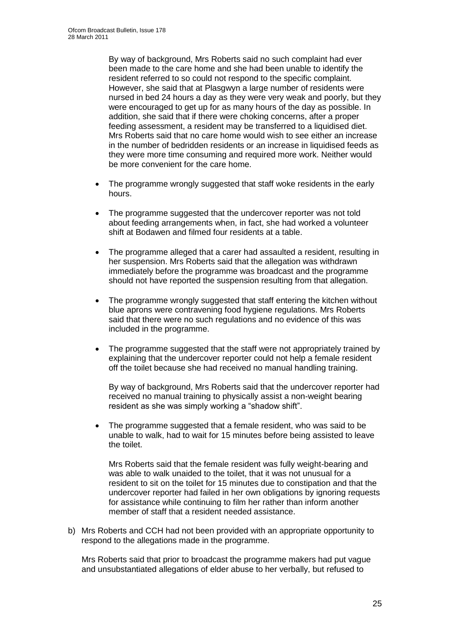By way of background, Mrs Roberts said no such complaint had ever been made to the care home and she had been unable to identify the resident referred to so could not respond to the specific complaint. However, she said that at Plasgwyn a large number of residents were nursed in bed 24 hours a day as they were very weak and poorly, but they were encouraged to get up for as many hours of the day as possible. In addition, she said that if there were choking concerns, after a proper feeding assessment, a resident may be transferred to a liquidised diet. Mrs Roberts said that no care home would wish to see either an increase in the number of bedridden residents or an increase in liquidised feeds as they were more time consuming and required more work. Neither would be more convenient for the care home.

- The programme wrongly suggested that staff woke residents in the early hours.
- The programme suggested that the undercover reporter was not told about feeding arrangements when, in fact, she had worked a volunteer shift at Bodawen and filmed four residents at a table.
- The programme alleged that a carer had assaulted a resident, resulting in her suspension. Mrs Roberts said that the allegation was withdrawn immediately before the programme was broadcast and the programme should not have reported the suspension resulting from that allegation.
- The programme wrongly suggested that staff entering the kitchen without blue aprons were contravening food hygiene regulations. Mrs Roberts said that there were no such regulations and no evidence of this was included in the programme.
- The programme suggested that the staff were not appropriately trained by explaining that the undercover reporter could not help a female resident off the toilet because she had received no manual handling training.

By way of background, Mrs Roberts said that the undercover reporter had received no manual training to physically assist a non-weight bearing resident as she was simply working a "shadow shift".

 The programme suggested that a female resident, who was said to be unable to walk, had to wait for 15 minutes before being assisted to leave the toilet.

Mrs Roberts said that the female resident was fully weight-bearing and was able to walk unaided to the toilet, that it was not unusual for a resident to sit on the toilet for 15 minutes due to constipation and that the undercover reporter had failed in her own obligations by ignoring requests for assistance while continuing to film her rather than inform another member of staff that a resident needed assistance.

b) Mrs Roberts and CCH had not been provided with an appropriate opportunity to respond to the allegations made in the programme.

Mrs Roberts said that prior to broadcast the programme makers had put vague and unsubstantiated allegations of elder abuse to her verbally, but refused to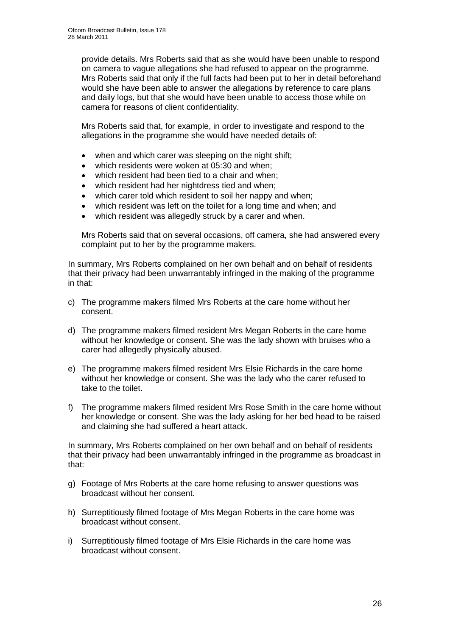provide details. Mrs Roberts said that as she would have been unable to respond on camera to vague allegations she had refused to appear on the programme. Mrs Roberts said that only if the full facts had been put to her in detail beforehand would she have been able to answer the allegations by reference to care plans and daily logs, but that she would have been unable to access those while on camera for reasons of client confidentiality.

Mrs Roberts said that, for example, in order to investigate and respond to the allegations in the programme she would have needed details of:

- when and which carer was sleeping on the night shift:
- which residents were woken at 05:30 and when;
- which resident had been tied to a chair and when;
- which resident had her nightdress tied and when;
- which carer told which resident to soil her nappy and when;
- which resident was left on the toilet for a long time and when; and
- which resident was allegedly struck by a carer and when.

Mrs Roberts said that on several occasions, off camera, she had answered every complaint put to her by the programme makers.

In summary, Mrs Roberts complained on her own behalf and on behalf of residents that their privacy had been unwarrantably infringed in the making of the programme in that:

- c) The programme makers filmed Mrs Roberts at the care home without her consent.
- d) The programme makers filmed resident Mrs Megan Roberts in the care home without her knowledge or consent. She was the lady shown with bruises who a carer had allegedly physically abused.
- e) The programme makers filmed resident Mrs Elsie Richards in the care home without her knowledge or consent. She was the lady who the carer refused to take to the toilet.
- f) The programme makers filmed resident Mrs Rose Smith in the care home without her knowledge or consent. She was the lady asking for her bed head to be raised and claiming she had suffered a heart attack.

In summary, Mrs Roberts complained on her own behalf and on behalf of residents that their privacy had been unwarrantably infringed in the programme as broadcast in that:

- g) Footage of Mrs Roberts at the care home refusing to answer questions was broadcast without her consent.
- h) Surreptitiously filmed footage of Mrs Megan Roberts in the care home was broadcast without consent.
- i) Surreptitiously filmed footage of Mrs Elsie Richards in the care home was broadcast without consent.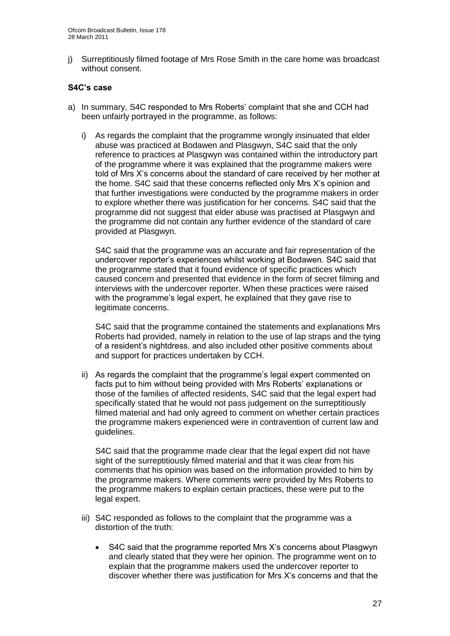j) Surreptitiously filmed footage of Mrs Rose Smith in the care home was broadcast without consent.

#### **S4C's case**

- a) In summary, S4C responded to Mrs Roberts' complaint that she and CCH had been unfairly portrayed in the programme, as follows:
	- i) As regards the complaint that the programme wrongly insinuated that elder abuse was practiced at Bodawen and Plasgwyn, S4C said that the only reference to practices at Plasgwyn was contained within the introductory part of the programme where it was explained that the programme makers were told of Mrs X"s concerns about the standard of care received by her mother at the home. S4C said that these concerns reflected only Mrs X"s opinion and that further investigations were conducted by the programme makers in order to explore whether there was justification for her concerns. S4C said that the programme did not suggest that elder abuse was practised at Plasgwyn and the programme did not contain any further evidence of the standard of care provided at Plasgwyn.

S4C said that the programme was an accurate and fair representation of the undercover reporter"s experiences whilst working at Bodawen. S4C said that the programme stated that it found evidence of specific practices which caused concern and presented that evidence in the form of secret filming and interviews with the undercover reporter. When these practices were raised with the programme's legal expert, he explained that they gave rise to legitimate concerns.

S4C said that the programme contained the statements and explanations Mrs Roberts had provided, namely in relation to the use of lap straps and the tying of a resident"s nightdress, and also included other positive comments about and support for practices undertaken by CCH.

ii) As regards the complaint that the programme"s legal expert commented on facts put to him without being provided with Mrs Roberts' explanations or those of the families of affected residents, S4C said that the legal expert had specifically stated that he would not pass judgement on the surreptitiously filmed material and had only agreed to comment on whether certain practices the programme makers experienced were in contravention of current law and guidelines.

S4C said that the programme made clear that the legal expert did not have sight of the surreptitiously filmed material and that it was clear from his comments that his opinion was based on the information provided to him by the programme makers. Where comments were provided by Mrs Roberts to the programme makers to explain certain practices, these were put to the legal expert.

- iii) S4C responded as follows to the complaint that the programme was a distortion of the truth:
	- S4C said that the programme reported Mrs X"s concerns about Plasgwyn and clearly stated that they were her opinion. The programme went on to explain that the programme makers used the undercover reporter to discover whether there was justification for Mrs X"s concerns and that the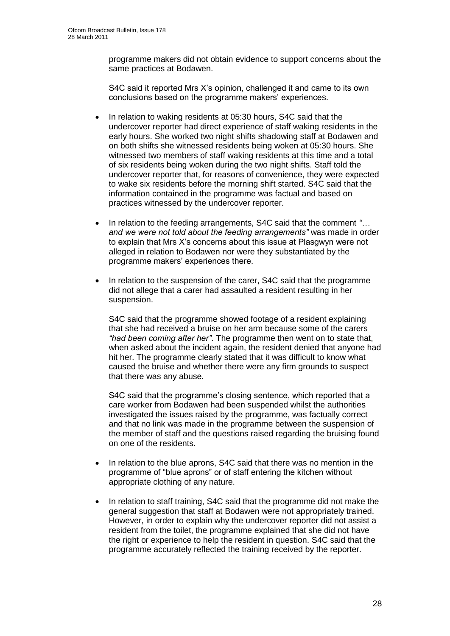programme makers did not obtain evidence to support concerns about the same practices at Bodawen.

S4C said it reported Mrs X"s opinion, challenged it and came to its own conclusions based on the programme makers' experiences.

- In relation to waking residents at 05:30 hours, S4C said that the undercover reporter had direct experience of staff waking residents in the early hours. She worked two night shifts shadowing staff at Bodawen and on both shifts she witnessed residents being woken at 05:30 hours. She witnessed two members of staff waking residents at this time and a total of six residents being woken during the two night shifts. Staff told the undercover reporter that, for reasons of convenience, they were expected to wake six residents before the morning shift started. S4C said that the information contained in the programme was factual and based on practices witnessed by the undercover reporter.
- In relation to the feeding arrangements, S4C said that the comment *"… and we were not told about the feeding arrangements"* was made in order to explain that Mrs X"s concerns about this issue at Plasgwyn were not alleged in relation to Bodawen nor were they substantiated by the programme makers" experiences there.
- In relation to the suspension of the carer, S4C said that the programme did not allege that a carer had assaulted a resident resulting in her suspension.

S4C said that the programme showed footage of a resident explaining that she had received a bruise on her arm because some of the carers *"had been coming after her"*. The programme then went on to state that, when asked about the incident again, the resident denied that anyone had hit her. The programme clearly stated that it was difficult to know what caused the bruise and whether there were any firm grounds to suspect that there was any abuse.

S4C said that the programme's closing sentence, which reported that a care worker from Bodawen had been suspended whilst the authorities investigated the issues raised by the programme, was factually correct and that no link was made in the programme between the suspension of the member of staff and the questions raised regarding the bruising found on one of the residents.

- In relation to the blue aprons, S4C said that there was no mention in the programme of "blue aprons" or of staff entering the kitchen without appropriate clothing of any nature.
- In relation to staff training, S4C said that the programme did not make the general suggestion that staff at Bodawen were not appropriately trained. However, in order to explain why the undercover reporter did not assist a resident from the toilet, the programme explained that she did not have the right or experience to help the resident in question. S4C said that the programme accurately reflected the training received by the reporter.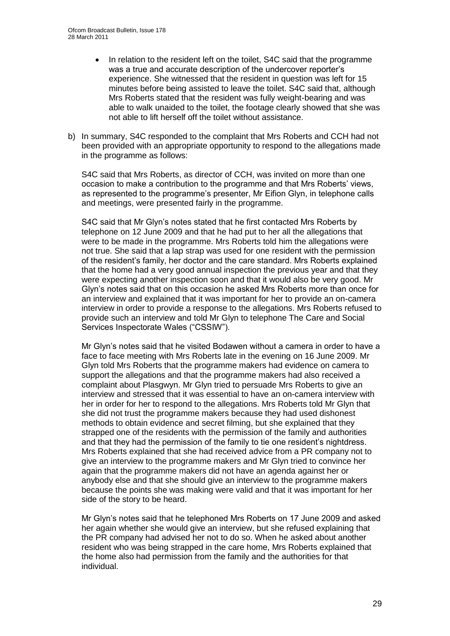- In relation to the resident left on the toilet, S4C said that the programme was a true and accurate description of the undercover reporter"s experience. She witnessed that the resident in question was left for 15 minutes before being assisted to leave the toilet. S4C said that, although Mrs Roberts stated that the resident was fully weight-bearing and was able to walk unaided to the toilet, the footage clearly showed that she was not able to lift herself off the toilet without assistance.
- b) In summary, S4C responded to the complaint that Mrs Roberts and CCH had not been provided with an appropriate opportunity to respond to the allegations made in the programme as follows:

S4C said that Mrs Roberts, as director of CCH, was invited on more than one occasion to make a contribution to the programme and that Mrs Roberts" views, as represented to the programme"s presenter, Mr Eifion Glyn, in telephone calls and meetings, were presented fairly in the programme.

S4C said that Mr Glyn"s notes stated that he first contacted Mrs Roberts by telephone on 12 June 2009 and that he had put to her all the allegations that were to be made in the programme. Mrs Roberts told him the allegations were not true. She said that a lap strap was used for one resident with the permission of the resident"s family, her doctor and the care standard. Mrs Roberts explained that the home had a very good annual inspection the previous year and that they were expecting another inspection soon and that it would also be very good. Mr Glyn"s notes said that on this occasion he asked Mrs Roberts more than once for an interview and explained that it was important for her to provide an on-camera interview in order to provide a response to the allegations. Mrs Roberts refused to provide such an interview and told Mr Glyn to telephone The Care and Social Services Inspectorate Wales ("CSSIW").

Mr Glyn"s notes said that he visited Bodawen without a camera in order to have a face to face meeting with Mrs Roberts late in the evening on 16 June 2009. Mr Glyn told Mrs Roberts that the programme makers had evidence on camera to support the allegations and that the programme makers had also received a complaint about Plasgwyn. Mr Glyn tried to persuade Mrs Roberts to give an interview and stressed that it was essential to have an on-camera interview with her in order for her to respond to the allegations. Mrs Roberts told Mr Glyn that she did not trust the programme makers because they had used dishonest methods to obtain evidence and secret filming, but she explained that they strapped one of the residents with the permission of the family and authorities and that they had the permission of the family to tie one resident's nightdress. Mrs Roberts explained that she had received advice from a PR company not to give an interview to the programme makers and Mr Glyn tried to convince her again that the programme makers did not have an agenda against her or anybody else and that she should give an interview to the programme makers because the points she was making were valid and that it was important for her side of the story to be heard.

Mr Glyn"s notes said that he telephoned Mrs Roberts on 17 June 2009 and asked her again whether she would give an interview, but she refused explaining that the PR company had advised her not to do so. When he asked about another resident who was being strapped in the care home, Mrs Roberts explained that the home also had permission from the family and the authorities for that individual.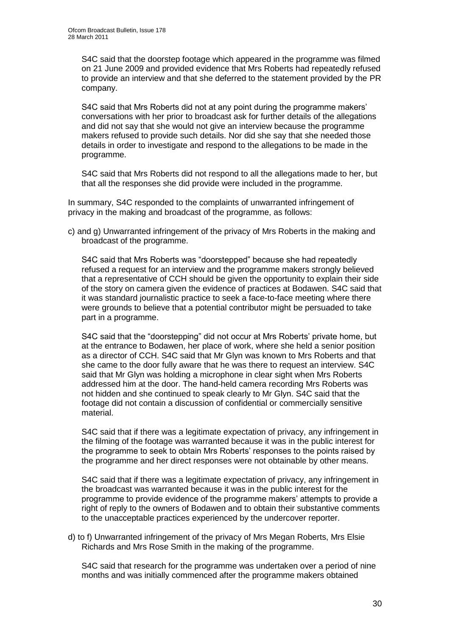S4C said that the doorstep footage which appeared in the programme was filmed on 21 June 2009 and provided evidence that Mrs Roberts had repeatedly refused to provide an interview and that she deferred to the statement provided by the PR company.

S4C said that Mrs Roberts did not at any point during the programme makers' conversations with her prior to broadcast ask for further details of the allegations and did not say that she would not give an interview because the programme makers refused to provide such details. Nor did she say that she needed those details in order to investigate and respond to the allegations to be made in the programme.

S4C said that Mrs Roberts did not respond to all the allegations made to her, but that all the responses she did provide were included in the programme.

In summary, S4C responded to the complaints of unwarranted infringement of privacy in the making and broadcast of the programme, as follows:

c) and g) Unwarranted infringement of the privacy of Mrs Roberts in the making and broadcast of the programme.

S4C said that Mrs Roberts was "doorstepped" because she had repeatedly refused a request for an interview and the programme makers strongly believed that a representative of CCH should be given the opportunity to explain their side of the story on camera given the evidence of practices at Bodawen. S4C said that it was standard journalistic practice to seek a face-to-face meeting where there were grounds to believe that a potential contributor might be persuaded to take part in a programme.

S4C said that the "doorstepping" did not occur at Mrs Roberts' private home, but at the entrance to Bodawen, her place of work, where she held a senior position as a director of CCH. S4C said that Mr Glyn was known to Mrs Roberts and that she came to the door fully aware that he was there to request an interview. S4C said that Mr Glyn was holding a microphone in clear sight when Mrs Roberts addressed him at the door. The hand-held camera recording Mrs Roberts was not hidden and she continued to speak clearly to Mr Glyn. S4C said that the footage did not contain a discussion of confidential or commercially sensitive material.

S4C said that if there was a legitimate expectation of privacy, any infringement in the filming of the footage was warranted because it was in the public interest for the programme to seek to obtain Mrs Roberts" responses to the points raised by the programme and her direct responses were not obtainable by other means.

S4C said that if there was a legitimate expectation of privacy, any infringement in the broadcast was warranted because it was in the public interest for the programme to provide evidence of the programme makers" attempts to provide a right of reply to the owners of Bodawen and to obtain their substantive comments to the unacceptable practices experienced by the undercover reporter.

d) to f) Unwarranted infringement of the privacy of Mrs Megan Roberts, Mrs Elsie Richards and Mrs Rose Smith in the making of the programme.

S4C said that research for the programme was undertaken over a period of nine months and was initially commenced after the programme makers obtained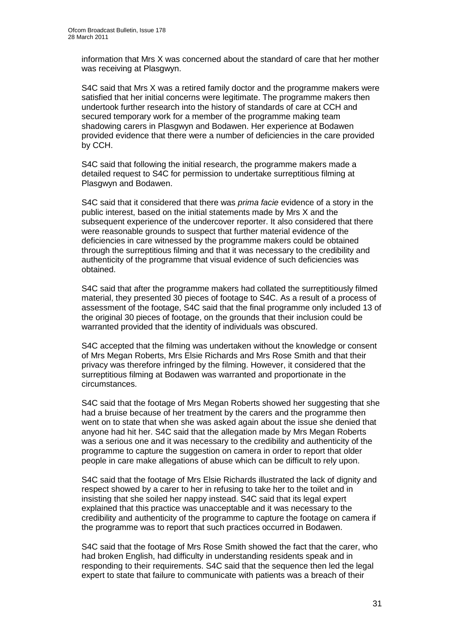information that Mrs X was concerned about the standard of care that her mother was receiving at Plasgwyn.

S4C said that Mrs X was a retired family doctor and the programme makers were satisfied that her initial concerns were legitimate. The programme makers then undertook further research into the history of standards of care at CCH and secured temporary work for a member of the programme making team shadowing carers in Plasgwyn and Bodawen. Her experience at Bodawen provided evidence that there were a number of deficiencies in the care provided by CCH.

S4C said that following the initial research, the programme makers made a detailed request to S4C for permission to undertake surreptitious filming at Plasgwyn and Bodawen.

S4C said that it considered that there was *prima facie* evidence of a story in the public interest, based on the initial statements made by Mrs X and the subsequent experience of the undercover reporter. It also considered that there were reasonable grounds to suspect that further material evidence of the deficiencies in care witnessed by the programme makers could be obtained through the surreptitious filming and that it was necessary to the credibility and authenticity of the programme that visual evidence of such deficiencies was obtained.

S4C said that after the programme makers had collated the surreptitiously filmed material, they presented 30 pieces of footage to S4C. As a result of a process of assessment of the footage, S4C said that the final programme only included 13 of the original 30 pieces of footage, on the grounds that their inclusion could be warranted provided that the identity of individuals was obscured.

S4C accepted that the filming was undertaken without the knowledge or consent of Mrs Megan Roberts, Mrs Elsie Richards and Mrs Rose Smith and that their privacy was therefore infringed by the filming. However, it considered that the surreptitious filming at Bodawen was warranted and proportionate in the circumstances.

S4C said that the footage of Mrs Megan Roberts showed her suggesting that she had a bruise because of her treatment by the carers and the programme then went on to state that when she was asked again about the issue she denied that anyone had hit her. S4C said that the allegation made by Mrs Megan Roberts was a serious one and it was necessary to the credibility and authenticity of the programme to capture the suggestion on camera in order to report that older people in care make allegations of abuse which can be difficult to rely upon.

S4C said that the footage of Mrs Elsie Richards illustrated the lack of dignity and respect showed by a carer to her in refusing to take her to the toilet and in insisting that she soiled her nappy instead. S4C said that its legal expert explained that this practice was unacceptable and it was necessary to the credibility and authenticity of the programme to capture the footage on camera if the programme was to report that such practices occurred in Bodawen.

S4C said that the footage of Mrs Rose Smith showed the fact that the carer, who had broken English, had difficulty in understanding residents speak and in responding to their requirements. S4C said that the sequence then led the legal expert to state that failure to communicate with patients was a breach of their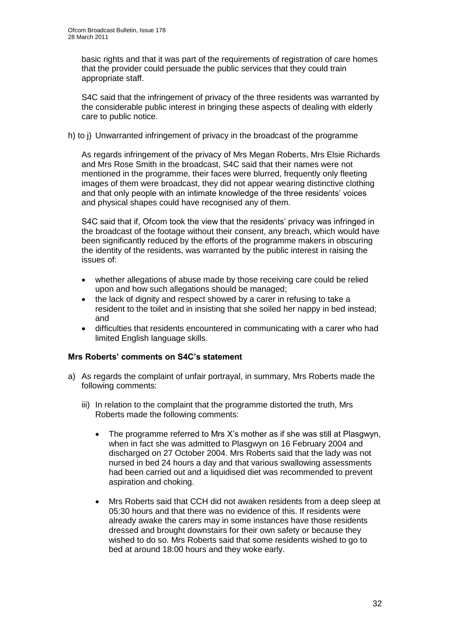basic rights and that it was part of the requirements of registration of care homes that the provider could persuade the public services that they could train appropriate staff.

S4C said that the infringement of privacy of the three residents was warranted by the considerable public interest in bringing these aspects of dealing with elderly care to public notice.

h) to j) Unwarranted infringement of privacy in the broadcast of the programme

As regards infringement of the privacy of Mrs Megan Roberts, Mrs Elsie Richards and Mrs Rose Smith in the broadcast, S4C said that their names were not mentioned in the programme, their faces were blurred, frequently only fleeting images of them were broadcast, they did not appear wearing distinctive clothing and that only people with an intimate knowledge of the three residents" voices and physical shapes could have recognised any of them.

S4C said that if, Ofcom took the view that the residents' privacy was infringed in the broadcast of the footage without their consent, any breach, which would have been significantly reduced by the efforts of the programme makers in obscuring the identity of the residents, was warranted by the public interest in raising the issues of:

- whether allegations of abuse made by those receiving care could be relied upon and how such allegations should be managed;
- the lack of dignity and respect showed by a carer in refusing to take a resident to the toilet and in insisting that she soiled her nappy in bed instead; and
- difficulties that residents encountered in communicating with a carer who had limited English language skills.

#### **Mrs Roberts' comments on S4C's statement**

- a) As regards the complaint of unfair portrayal, in summary, Mrs Roberts made the following comments:
	- iii) In relation to the complaint that the programme distorted the truth, Mrs Roberts made the following comments:
		- The programme referred to Mrs X"s mother as if she was still at Plasgwyn, when in fact she was admitted to Plasgwyn on 16 February 2004 and discharged on 27 October 2004. Mrs Roberts said that the lady was not nursed in bed 24 hours a day and that various swallowing assessments had been carried out and a liquidised diet was recommended to prevent aspiration and choking.
		- Mrs Roberts said that CCH did not awaken residents from a deep sleep at 05:30 hours and that there was no evidence of this. If residents were already awake the carers may in some instances have those residents dressed and brought downstairs for their own safety or because they wished to do so. Mrs Roberts said that some residents wished to go to bed at around 18:00 hours and they woke early.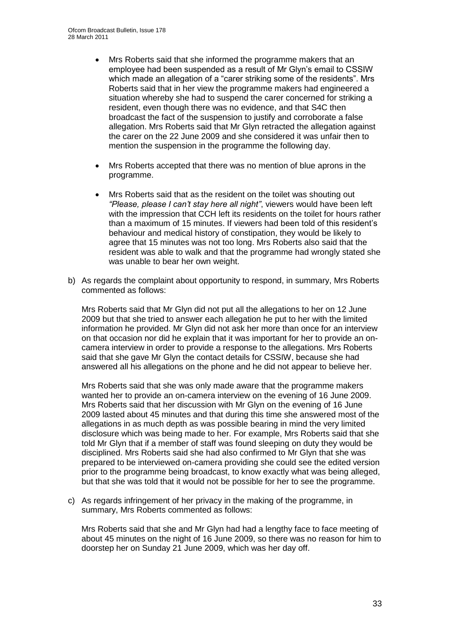- Mrs Roberts said that she informed the programme makers that an employee had been suspended as a result of Mr Glyn"s email to CSSIW which made an allegation of a "carer striking some of the residents". Mrs Roberts said that in her view the programme makers had engineered a situation whereby she had to suspend the carer concerned for striking a resident, even though there was no evidence, and that S4C then broadcast the fact of the suspension to justify and corroborate a false allegation. Mrs Roberts said that Mr Glyn retracted the allegation against the carer on the 22 June 2009 and she considered it was unfair then to mention the suspension in the programme the following day.
- Mrs Roberts accepted that there was no mention of blue aprons in the programme.
- Mrs Roberts said that as the resident on the toilet was shouting out *"Please, please I can't stay here all night"*, viewers would have been left with the impression that CCH left its residents on the toilet for hours rather than a maximum of 15 minutes. If viewers had been told of this resident"s behaviour and medical history of constipation, they would be likely to agree that 15 minutes was not too long. Mrs Roberts also said that the resident was able to walk and that the programme had wrongly stated she was unable to bear her own weight.
- b) As regards the complaint about opportunity to respond, in summary, Mrs Roberts commented as follows:

Mrs Roberts said that Mr Glyn did not put all the allegations to her on 12 June 2009 but that she tried to answer each allegation he put to her with the limited information he provided. Mr Glyn did not ask her more than once for an interview on that occasion nor did he explain that it was important for her to provide an oncamera interview in order to provide a response to the allegations. Mrs Roberts said that she gave Mr Glyn the contact details for CSSIW, because she had answered all his allegations on the phone and he did not appear to believe her.

Mrs Roberts said that she was only made aware that the programme makers wanted her to provide an on-camera interview on the evening of 16 June 2009. Mrs Roberts said that her discussion with Mr Glyn on the evening of 16 June 2009 lasted about 45 minutes and that during this time she answered most of the allegations in as much depth as was possible bearing in mind the very limited disclosure which was being made to her. For example, Mrs Roberts said that she told Mr Glyn that if a member of staff was found sleeping on duty they would be disciplined. Mrs Roberts said she had also confirmed to Mr Glyn that she was prepared to be interviewed on-camera providing she could see the edited version prior to the programme being broadcast, to know exactly what was being alleged, but that she was told that it would not be possible for her to see the programme.

c) As regards infringement of her privacy in the making of the programme, in summary, Mrs Roberts commented as follows:

Mrs Roberts said that she and Mr Glyn had had a lengthy face to face meeting of about 45 minutes on the night of 16 June 2009, so there was no reason for him to doorstep her on Sunday 21 June 2009, which was her day off.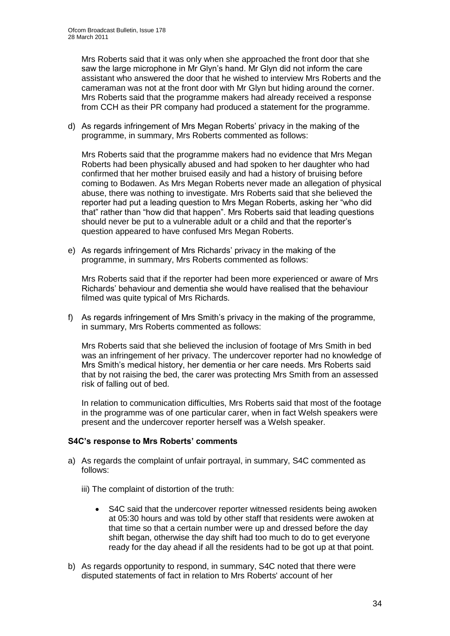Mrs Roberts said that it was only when she approached the front door that she saw the large microphone in Mr Glyn"s hand. Mr Glyn did not inform the care assistant who answered the door that he wished to interview Mrs Roberts and the cameraman was not at the front door with Mr Glyn but hiding around the corner. Mrs Roberts said that the programme makers had already received a response from CCH as their PR company had produced a statement for the programme.

d) As regards infringement of Mrs Megan Roberts" privacy in the making of the programme, in summary, Mrs Roberts commented as follows:

Mrs Roberts said that the programme makers had no evidence that Mrs Megan Roberts had been physically abused and had spoken to her daughter who had confirmed that her mother bruised easily and had a history of bruising before coming to Bodawen. As Mrs Megan Roberts never made an allegation of physical abuse, there was nothing to investigate. Mrs Roberts said that she believed the reporter had put a leading question to Mrs Megan Roberts, asking her "who did that" rather than "how did that happen". Mrs Roberts said that leading questions should never be put to a vulnerable adult or a child and that the reporter"s question appeared to have confused Mrs Megan Roberts.

e) As regards infringement of Mrs Richards' privacy in the making of the programme, in summary, Mrs Roberts commented as follows:

Mrs Roberts said that if the reporter had been more experienced or aware of Mrs Richards" behaviour and dementia she would have realised that the behaviour filmed was quite typical of Mrs Richards.

f) As regards infringement of Mrs Smith's privacy in the making of the programme, in summary, Mrs Roberts commented as follows:

Mrs Roberts said that she believed the inclusion of footage of Mrs Smith in bed was an infringement of her privacy. The undercover reporter had no knowledge of Mrs Smith"s medical history, her dementia or her care needs. Mrs Roberts said that by not raising the bed, the carer was protecting Mrs Smith from an assessed risk of falling out of bed.

In relation to communication difficulties, Mrs Roberts said that most of the footage in the programme was of one particular carer, when in fact Welsh speakers were present and the undercover reporter herself was a Welsh speaker.

#### **S4C's response to Mrs Roberts' comments**

- a) As regards the complaint of unfair portrayal, in summary, S4C commented as follows:
	- iii) The complaint of distortion of the truth:
		- S4C said that the undercover reporter witnessed residents being awoken at 05:30 hours and was told by other staff that residents were awoken at that time so that a certain number were up and dressed before the day shift began, otherwise the day shift had too much to do to get everyone ready for the day ahead if all the residents had to be got up at that point.
- b) As regards opportunity to respond, in summary, S4C noted that there were disputed statements of fact in relation to Mrs Roberts' account of her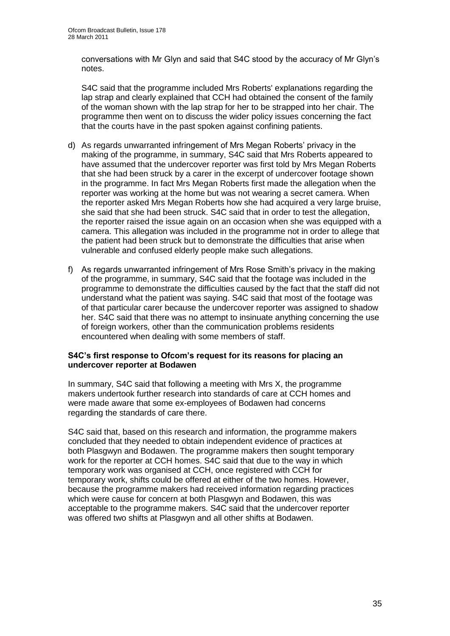conversations with Mr Glyn and said that S4C stood by the accuracy of Mr Glyn"s notes.

S4C said that the programme included Mrs Roberts' explanations regarding the lap strap and clearly explained that CCH had obtained the consent of the family of the woman shown with the lap strap for her to be strapped into her chair. The programme then went on to discuss the wider policy issues concerning the fact that the courts have in the past spoken against confining patients.

- d) As regards unwarranted infringement of Mrs Megan Roberts" privacy in the making of the programme, in summary, S4C said that Mrs Roberts appeared to have assumed that the undercover reporter was first told by Mrs Megan Roberts that she had been struck by a carer in the excerpt of undercover footage shown in the programme. In fact Mrs Megan Roberts first made the allegation when the reporter was working at the home but was not wearing a secret camera. When the reporter asked Mrs Megan Roberts how she had acquired a very large bruise, she said that she had been struck. S4C said that in order to test the allegation, the reporter raised the issue again on an occasion when she was equipped with a camera. This allegation was included in the programme not in order to allege that the patient had been struck but to demonstrate the difficulties that arise when vulnerable and confused elderly people make such allegations.
- f) As regards unwarranted infringement of Mrs Rose Smith's privacy in the making of the programme, in summary, S4C said that the footage was included in the programme to demonstrate the difficulties caused by the fact that the staff did not understand what the patient was saying. S4C said that most of the footage was of that particular carer because the undercover reporter was assigned to shadow her. S4C said that there was no attempt to insinuate anything concerning the use of foreign workers, other than the communication problems residents encountered when dealing with some members of staff.

#### **S4C's first response to Ofcom's request for its reasons for placing an undercover reporter at Bodawen**

In summary, S4C said that following a meeting with Mrs X, the programme makers undertook further research into standards of care at CCH homes and were made aware that some ex-employees of Bodawen had concerns regarding the standards of care there.

S4C said that, based on this research and information, the programme makers concluded that they needed to obtain independent evidence of practices at both Plasgwyn and Bodawen. The programme makers then sought temporary work for the reporter at CCH homes. S4C said that due to the way in which temporary work was organised at CCH, once registered with CCH for temporary work, shifts could be offered at either of the two homes. However, because the programme makers had received information regarding practices which were cause for concern at both Plasgwyn and Bodawen, this was acceptable to the programme makers. S4C said that the undercover reporter was offered two shifts at Plasgwyn and all other shifts at Bodawen.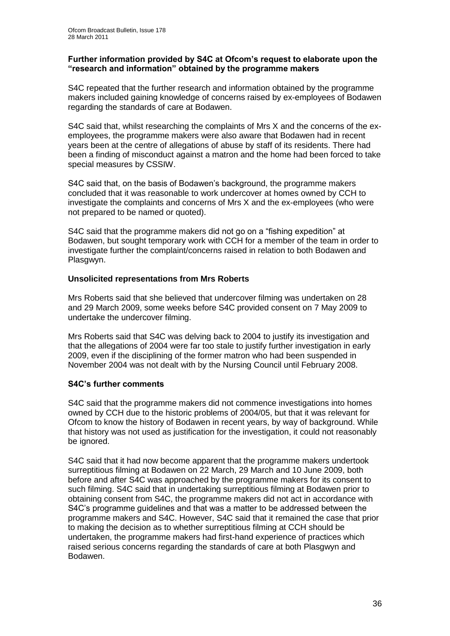#### **Further information provided by S4C at Ofcom's request to elaborate upon the "research and information" obtained by the programme makers**

S4C repeated that the further research and information obtained by the programme makers included gaining knowledge of concerns raised by ex-employees of Bodawen regarding the standards of care at Bodawen.

S4C said that, whilst researching the complaints of Mrs X and the concerns of the exemployees, the programme makers were also aware that Bodawen had in recent years been at the centre of allegations of abuse by staff of its residents. There had been a finding of misconduct against a matron and the home had been forced to take special measures by CSSIW.

S4C said that, on the basis of Bodawen"s background, the programme makers concluded that it was reasonable to work undercover at homes owned by CCH to investigate the complaints and concerns of Mrs X and the ex-employees (who were not prepared to be named or quoted).

S4C said that the programme makers did not go on a "fishing expedition" at Bodawen, but sought temporary work with CCH for a member of the team in order to investigate further the complaint/concerns raised in relation to both Bodawen and Plasgwyn.

#### **Unsolicited representations from Mrs Roberts**

Mrs Roberts said that she believed that undercover filming was undertaken on 28 and 29 March 2009, some weeks before S4C provided consent on 7 May 2009 to undertake the undercover filming.

Mrs Roberts said that S4C was delving back to 2004 to justify its investigation and that the allegations of 2004 were far too stale to justify further investigation in early 2009, even if the disciplining of the former matron who had been suspended in November 2004 was not dealt with by the Nursing Council until February 2008.

#### **S4C's further comments**

S4C said that the programme makers did not commence investigations into homes owned by CCH due to the historic problems of 2004/05, but that it was relevant for Ofcom to know the history of Bodawen in recent years, by way of background. While that history was not used as justification for the investigation, it could not reasonably be ignored.

S4C said that it had now become apparent that the programme makers undertook surreptitious filming at Bodawen on 22 March, 29 March and 10 June 2009, both before and after S4C was approached by the programme makers for its consent to such filming. S4C said that in undertaking surreptitious filming at Bodawen prior to obtaining consent from S4C, the programme makers did not act in accordance with S4C"s programme guidelines and that was a matter to be addressed between the programme makers and S4C. However, S4C said that it remained the case that prior to making the decision as to whether surreptitious filming at CCH should be undertaken, the programme makers had first-hand experience of practices which raised serious concerns regarding the standards of care at both Plasgwyn and Bodawen.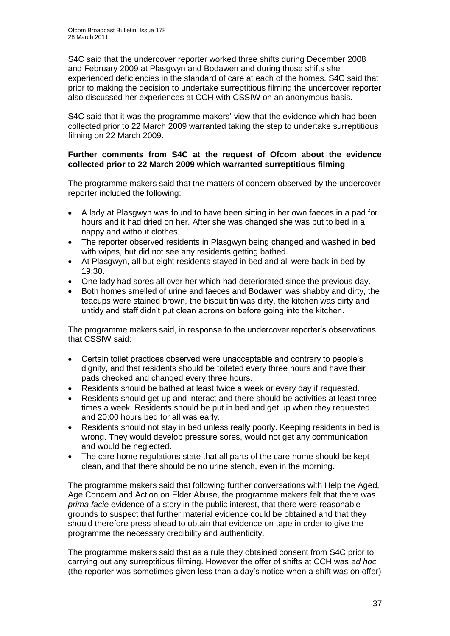S4C said that the undercover reporter worked three shifts during December 2008 and February 2009 at Plasgwyn and Bodawen and during those shifts she experienced deficiencies in the standard of care at each of the homes. S4C said that prior to making the decision to undertake surreptitious filming the undercover reporter also discussed her experiences at CCH with CSSIW on an anonymous basis.

S4C said that it was the programme makers' view that the evidence which had been collected prior to 22 March 2009 warranted taking the step to undertake surreptitious filming on 22 March 2009.

#### **Further comments from S4C at the request of Ofcom about the evidence collected prior to 22 March 2009 which warranted surreptitious filming**

The programme makers said that the matters of concern observed by the undercover reporter included the following:

- A lady at Plasgwyn was found to have been sitting in her own faeces in a pad for hours and it had dried on her. After she was changed she was put to bed in a nappy and without clothes.
- The reporter observed residents in Plasgwyn being changed and washed in bed with wipes, but did not see any residents getting bathed.
- At Plasgwyn, all but eight residents stayed in bed and all were back in bed by 19:30.
- One lady had sores all over her which had deteriorated since the previous day.
- Both homes smelled of urine and faeces and Bodawen was shabby and dirty, the teacups were stained brown, the biscuit tin was dirty, the kitchen was dirty and untidy and staff didn"t put clean aprons on before going into the kitchen.

The programme makers said, in response to the undercover reporter"s observations, that CSSIW said:

- Certain toilet practices observed were unacceptable and contrary to people's dignity, and that residents should be toileted every three hours and have their pads checked and changed every three hours.
- Residents should be bathed at least twice a week or every day if requested.
- Residents should get up and interact and there should be activities at least three times a week. Residents should be put in bed and get up when they requested and 20:00 hours bed for all was early.
- Residents should not stay in bed unless really poorly. Keeping residents in bed is wrong. They would develop pressure sores, would not get any communication and would be neglected.
- The care home regulations state that all parts of the care home should be kept clean, and that there should be no urine stench, even in the morning.

The programme makers said that following further conversations with Help the Aged, Age Concern and Action on Elder Abuse, the programme makers felt that there was *prima facie* evidence of a story in the public interest, that there were reasonable grounds to suspect that further material evidence could be obtained and that they should therefore press ahead to obtain that evidence on tape in order to give the programme the necessary credibility and authenticity.

The programme makers said that as a rule they obtained consent from S4C prior to carrying out any surreptitious filming. However the offer of shifts at CCH was *ad hoc* (the reporter was sometimes given less than a day"s notice when a shift was on offer)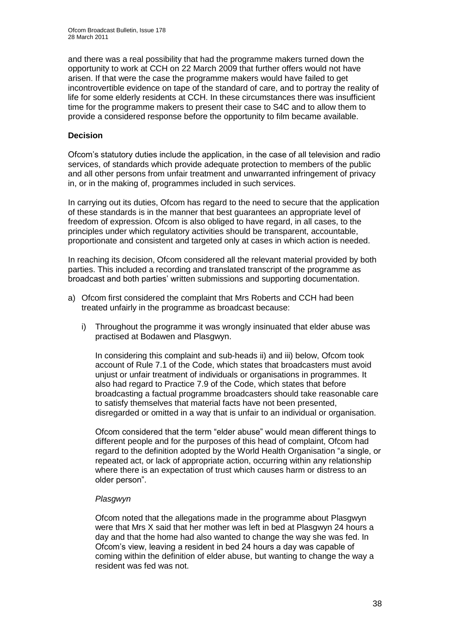and there was a real possibility that had the programme makers turned down the opportunity to work at CCH on 22 March 2009 that further offers would not have arisen. If that were the case the programme makers would have failed to get incontrovertible evidence on tape of the standard of care, and to portray the reality of life for some elderly residents at CCH. In these circumstances there was insufficient time for the programme makers to present their case to S4C and to allow them to provide a considered response before the opportunity to film became available.

#### **Decision**

Ofcom"s statutory duties include the application, in the case of all television and radio services, of standards which provide adequate protection to members of the public and all other persons from unfair treatment and unwarranted infringement of privacy in, or in the making of, programmes included in such services.

In carrying out its duties, Ofcom has regard to the need to secure that the application of these standards is in the manner that best guarantees an appropriate level of freedom of expression. Ofcom is also obliged to have regard, in all cases, to the principles under which regulatory activities should be transparent, accountable, proportionate and consistent and targeted only at cases in which action is needed.

In reaching its decision, Ofcom considered all the relevant material provided by both parties. This included a recording and translated transcript of the programme as broadcast and both parties" written submissions and supporting documentation.

- a) Ofcom first considered the complaint that Mrs Roberts and CCH had been treated unfairly in the programme as broadcast because:
	- i) Throughout the programme it was wrongly insinuated that elder abuse was practised at Bodawen and Plasgwyn.

In considering this complaint and sub-heads ii) and iii) below, Ofcom took account of Rule 7.1 of the Code, which states that broadcasters must avoid unjust or unfair treatment of individuals or organisations in programmes. It also had regard to Practice 7.9 of the Code, which states that before broadcasting a factual programme broadcasters should take reasonable care to satisfy themselves that material facts have not been presented, disregarded or omitted in a way that is unfair to an individual or organisation.

Ofcom considered that the term "elder abuse" would mean different things to different people and for the purposes of this head of complaint, Ofcom had regard to the definition adopted by the World Health Organisation "a single, or repeated act, or lack of appropriate action, occurring within any relationship where there is an expectation of trust which causes harm or distress to an older person".

#### *Plasgwyn*

Ofcom noted that the allegations made in the programme about Plasgwyn were that Mrs X said that her mother was left in bed at Plasgwyn 24 hours a day and that the home had also wanted to change the way she was fed. In Ofcom"s view, leaving a resident in bed 24 hours a day was capable of coming within the definition of elder abuse, but wanting to change the way a resident was fed was not.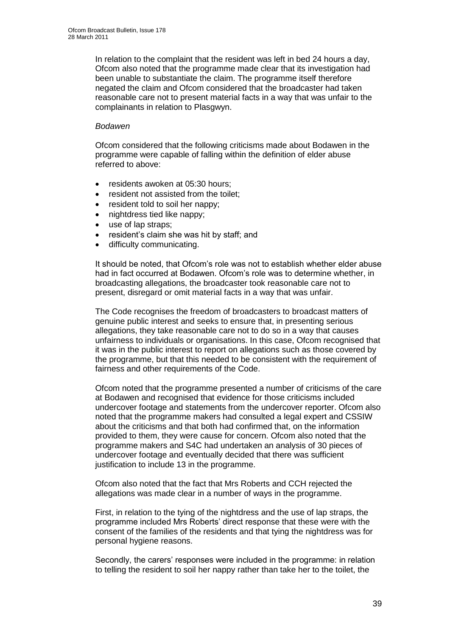In relation to the complaint that the resident was left in bed 24 hours a day, Ofcom also noted that the programme made clear that its investigation had been unable to substantiate the claim. The programme itself therefore negated the claim and Ofcom considered that the broadcaster had taken reasonable care not to present material facts in a way that was unfair to the complainants in relation to Plasgwyn.

#### *Bodawen*

Ofcom considered that the following criticisms made about Bodawen in the programme were capable of falling within the definition of elder abuse referred to above:

- residents awoken at 05:30 hours;
- resident not assisted from the toilet;
- resident told to soil her nappy;
- nightdress tied like nappy;
- use of lap straps:
- resident"s claim she was hit by staff; and
- difficulty communicating.

It should be noted, that Ofcom"s role was not to establish whether elder abuse had in fact occurred at Bodawen. Ofcom"s role was to determine whether, in broadcasting allegations, the broadcaster took reasonable care not to present, disregard or omit material facts in a way that was unfair.

The Code recognises the freedom of broadcasters to broadcast matters of genuine public interest and seeks to ensure that, in presenting serious allegations, they take reasonable care not to do so in a way that causes unfairness to individuals or organisations. In this case, Ofcom recognised that it was in the public interest to report on allegations such as those covered by the programme, but that this needed to be consistent with the requirement of fairness and other requirements of the Code.

Ofcom noted that the programme presented a number of criticisms of the care at Bodawen and recognised that evidence for those criticisms included undercover footage and statements from the undercover reporter. Ofcom also noted that the programme makers had consulted a legal expert and CSSIW about the criticisms and that both had confirmed that, on the information provided to them, they were cause for concern. Ofcom also noted that the programme makers and S4C had undertaken an analysis of 30 pieces of undercover footage and eventually decided that there was sufficient justification to include 13 in the programme.

Ofcom also noted that the fact that Mrs Roberts and CCH rejected the allegations was made clear in a number of ways in the programme.

First, in relation to the tying of the nightdress and the use of lap straps, the programme included Mrs Roberts" direct response that these were with the consent of the families of the residents and that tying the nightdress was for personal hygiene reasons.

Secondly, the carers' responses were included in the programme: in relation to telling the resident to soil her nappy rather than take her to the toilet, the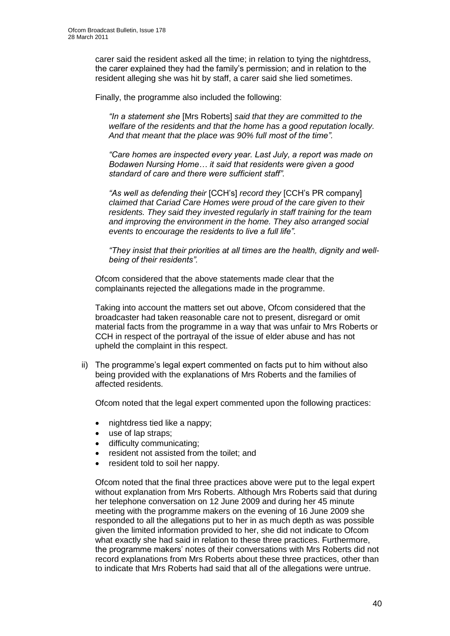carer said the resident asked all the time; in relation to tying the nightdress, the carer explained they had the family"s permission; and in relation to the resident alleging she was hit by staff, a carer said she lied sometimes.

Finally, the programme also included the following:

*"In a statement she* [Mrs Roberts] *said that they are committed to the welfare of the residents and that the home has a good reputation locally. And that meant that the place was 90% full most of the time".*

*"Care homes are inspected every year. Last July, a report was made on Bodawen Nursing Home… it said that residents were given a good standard of care and there were sufficient staff".*

*"As well as defending their* [CCH"s] *record they* [CCH"s PR company] *claimed that Cariad Care Homes were proud of the care given to their residents. They said they invested regularly in staff training for the team and improving the environment in the home. They also arranged social events to encourage the residents to live a full life".*

*"They insist that their priorities at all times are the health, dignity and wellbeing of their residents".*

Ofcom considered that the above statements made clear that the complainants rejected the allegations made in the programme.

Taking into account the matters set out above, Ofcom considered that the broadcaster had taken reasonable care not to present, disregard or omit material facts from the programme in a way that was unfair to Mrs Roberts or CCH in respect of the portrayal of the issue of elder abuse and has not upheld the complaint in this respect.

ii) The programme's legal expert commented on facts put to him without also being provided with the explanations of Mrs Roberts and the families of affected residents.

Ofcom noted that the legal expert commented upon the following practices:

- nightdress tied like a nappy;
- use of lap straps;
- difficulty communicating;
- resident not assisted from the toilet; and
- resident told to soil her nappy.

Ofcom noted that the final three practices above were put to the legal expert without explanation from Mrs Roberts. Although Mrs Roberts said that during her telephone conversation on 12 June 2009 and during her 45 minute meeting with the programme makers on the evening of 16 June 2009 she responded to all the allegations put to her in as much depth as was possible given the limited information provided to her, she did not indicate to Ofcom what exactly she had said in relation to these three practices. Furthermore, the programme makers" notes of their conversations with Mrs Roberts did not record explanations from Mrs Roberts about these three practices, other than to indicate that Mrs Roberts had said that all of the allegations were untrue.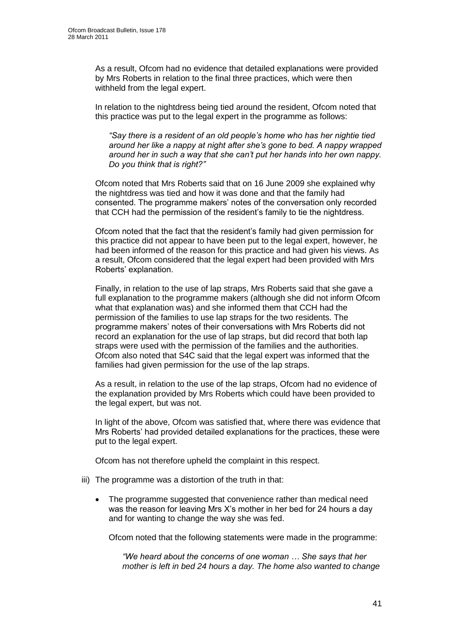As a result, Ofcom had no evidence that detailed explanations were provided by Mrs Roberts in relation to the final three practices, which were then withheld from the legal expert.

In relation to the nightdress being tied around the resident, Ofcom noted that this practice was put to the legal expert in the programme as follows:

*"Say there is a resident of an old people's home who has her nightie tied around her like a nappy at night after she's gone to bed. A nappy wrapped around her in such a way that she can't put her hands into her own nappy. Do you think that is right?"*

Ofcom noted that Mrs Roberts said that on 16 June 2009 she explained why the nightdress was tied and how it was done and that the family had consented. The programme makers" notes of the conversation only recorded that CCH had the permission of the resident"s family to tie the nightdress.

Ofcom noted that the fact that the resident"s family had given permission for this practice did not appear to have been put to the legal expert, however, he had been informed of the reason for this practice and had given his views. As a result, Ofcom considered that the legal expert had been provided with Mrs Roberts" explanation.

Finally, in relation to the use of lap straps, Mrs Roberts said that she gave a full explanation to the programme makers (although she did not inform Ofcom what that explanation was) and she informed them that CCH had the permission of the families to use lap straps for the two residents. The programme makers" notes of their conversations with Mrs Roberts did not record an explanation for the use of lap straps, but did record that both lap straps were used with the permission of the families and the authorities. Ofcom also noted that S4C said that the legal expert was informed that the families had given permission for the use of the lap straps.

As a result, in relation to the use of the lap straps, Ofcom had no evidence of the explanation provided by Mrs Roberts which could have been provided to the legal expert, but was not.

In light of the above, Ofcom was satisfied that, where there was evidence that Mrs Roberts" had provided detailed explanations for the practices, these were put to the legal expert.

Ofcom has not therefore upheld the complaint in this respect.

- iii) The programme was a distortion of the truth in that:
	- The programme suggested that convenience rather than medical need was the reason for leaving Mrs X"s mother in her bed for 24 hours a day and for wanting to change the way she was fed.

Ofcom noted that the following statements were made in the programme:

*"We heard about the concerns of one woman … She says that her mother is left in bed 24 hours a day. The home also wanted to change*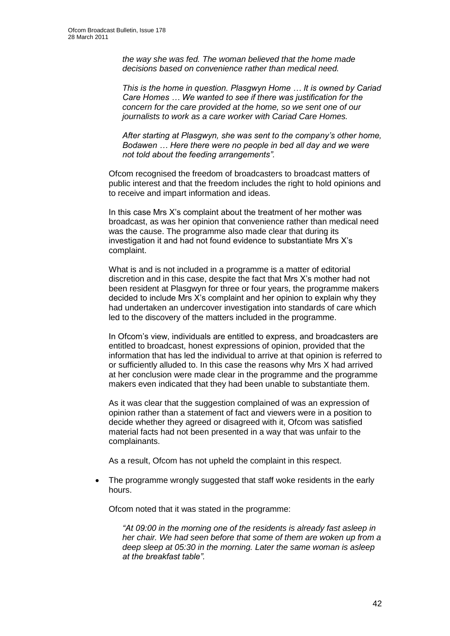*the way she was fed. The woman believed that the home made decisions based on convenience rather than medical need.*

*This is the home in question. Plasgwyn Home … It is owned by Cariad Care Homes … We wanted to see if there was justification for the concern for the care provided at the home, so we sent one of our journalists to work as a care worker with Cariad Care Homes.*

*After starting at Plasgwyn, she was sent to the company's other home, Bodawen … Here there were no people in bed all day and we were not told about the feeding arrangements".*

Ofcom recognised the freedom of broadcasters to broadcast matters of public interest and that the freedom includes the right to hold opinions and to receive and impart information and ideas.

In this case Mrs X"s complaint about the treatment of her mother was broadcast, as was her opinion that convenience rather than medical need was the cause. The programme also made clear that during its investigation it and had not found evidence to substantiate Mrs X"s complaint.

What is and is not included in a programme is a matter of editorial discretion and in this case, despite the fact that Mrs X"s mother had not been resident at Plasgwyn for three or four years, the programme makers decided to include Mrs X"s complaint and her opinion to explain why they had undertaken an undercover investigation into standards of care which led to the discovery of the matters included in the programme.

In Ofcom"s view, individuals are entitled to express, and broadcasters are entitled to broadcast, honest expressions of opinion, provided that the information that has led the individual to arrive at that opinion is referred to or sufficiently alluded to. In this case the reasons why Mrs X had arrived at her conclusion were made clear in the programme and the programme makers even indicated that they had been unable to substantiate them.

As it was clear that the suggestion complained of was an expression of opinion rather than a statement of fact and viewers were in a position to decide whether they agreed or disagreed with it, Ofcom was satisfied material facts had not been presented in a way that was unfair to the complainants.

As a result, Ofcom has not upheld the complaint in this respect.

 The programme wrongly suggested that staff woke residents in the early hours.

Ofcom noted that it was stated in the programme:

*"At 09:00 in the morning one of the residents is already fast asleep in her chair. We had seen before that some of them are woken up from a deep sleep at 05:30 in the morning. Later the same woman is asleep at the breakfast table".*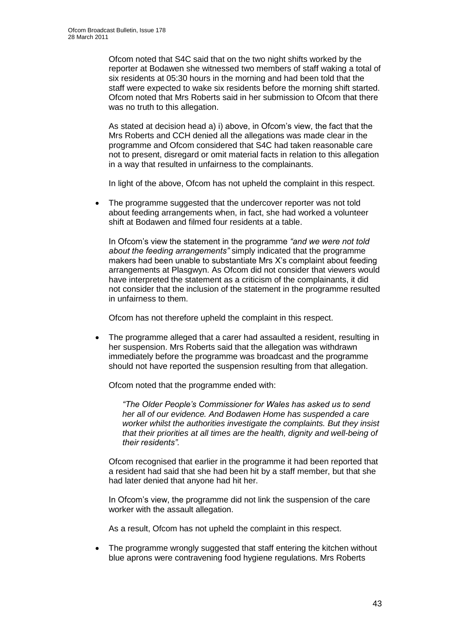Ofcom noted that S4C said that on the two night shifts worked by the reporter at Bodawen she witnessed two members of staff waking a total of six residents at 05:30 hours in the morning and had been told that the staff were expected to wake six residents before the morning shift started. Ofcom noted that Mrs Roberts said in her submission to Ofcom that there was no truth to this allegation.

As stated at decision head a) i) above, in Ofcom"s view, the fact that the Mrs Roberts and CCH denied all the allegations was made clear in the programme and Ofcom considered that S4C had taken reasonable care not to present, disregard or omit material facts in relation to this allegation in a way that resulted in unfairness to the complainants.

In light of the above, Ofcom has not upheld the complaint in this respect.

The programme suggested that the undercover reporter was not told about feeding arrangements when, in fact, she had worked a volunteer shift at Bodawen and filmed four residents at a table.

In Ofcom"s view the statement in the programme *"and we were not told about the feeding arrangements"* simply indicated that the programme makers had been unable to substantiate Mrs X"s complaint about feeding arrangements at Plasgwyn. As Ofcom did not consider that viewers would have interpreted the statement as a criticism of the complainants, it did not consider that the inclusion of the statement in the programme resulted in unfairness to them.

Ofcom has not therefore upheld the complaint in this respect.

 The programme alleged that a carer had assaulted a resident, resulting in her suspension. Mrs Roberts said that the allegation was withdrawn immediately before the programme was broadcast and the programme should not have reported the suspension resulting from that allegation.

Ofcom noted that the programme ended with:

*"The Older People's Commissioner for Wales has asked us to send her all of our evidence. And Bodawen Home has suspended a care worker whilst the authorities investigate the complaints. But they insist that their priorities at all times are the health, dignity and well-being of their residents".*

Ofcom recognised that earlier in the programme it had been reported that a resident had said that she had been hit by a staff member, but that she had later denied that anyone had hit her.

In Ofcom"s view, the programme did not link the suspension of the care worker with the assault allegation.

As a result, Ofcom has not upheld the complaint in this respect.

 The programme wrongly suggested that staff entering the kitchen without blue aprons were contravening food hygiene regulations. Mrs Roberts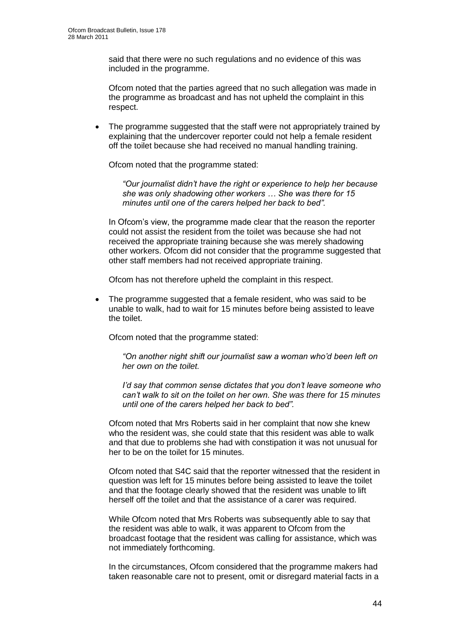said that there were no such regulations and no evidence of this was included in the programme.

Ofcom noted that the parties agreed that no such allegation was made in the programme as broadcast and has not upheld the complaint in this respect.

 The programme suggested that the staff were not appropriately trained by explaining that the undercover reporter could not help a female resident off the toilet because she had received no manual handling training.

Ofcom noted that the programme stated:

*"Our journalist didn't have the right or experience to help her because she was only shadowing other workers … She was there for 15 minutes until one of the carers helped her back to bed".*

In Ofcom"s view, the programme made clear that the reason the reporter could not assist the resident from the toilet was because she had not received the appropriate training because she was merely shadowing other workers. Ofcom did not consider that the programme suggested that other staff members had not received appropriate training.

Ofcom has not therefore upheld the complaint in this respect.

 The programme suggested that a female resident, who was said to be unable to walk, had to wait for 15 minutes before being assisted to leave the toilet.

Ofcom noted that the programme stated:

*"On another night shift our journalist saw a woman who'd been left on her own on the toilet.* 

*I'd say that common sense dictates that you don't leave someone who can't walk to sit on the toilet on her own. She was there for 15 minutes until one of the carers helped her back to bed".*

Ofcom noted that Mrs Roberts said in her complaint that now she knew who the resident was, she could state that this resident was able to walk and that due to problems she had with constipation it was not unusual for her to be on the toilet for 15 minutes.

Ofcom noted that S4C said that the reporter witnessed that the resident in question was left for 15 minutes before being assisted to leave the toilet and that the footage clearly showed that the resident was unable to lift herself off the toilet and that the assistance of a carer was required.

While Ofcom noted that Mrs Roberts was subsequently able to say that the resident was able to walk, it was apparent to Ofcom from the broadcast footage that the resident was calling for assistance, which was not immediately forthcoming.

In the circumstances, Ofcom considered that the programme makers had taken reasonable care not to present, omit or disregard material facts in a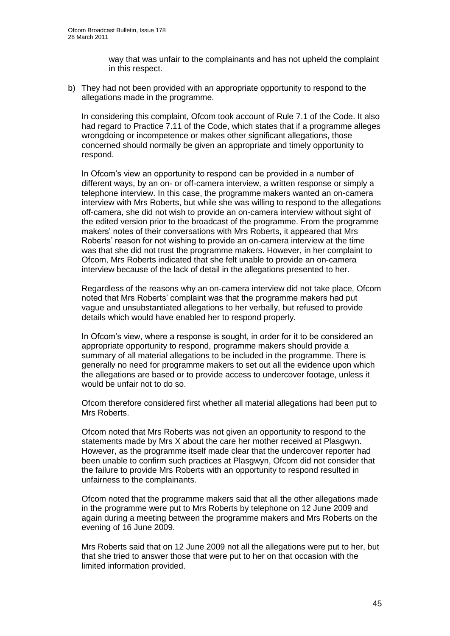way that was unfair to the complainants and has not upheld the complaint in this respect.

b) They had not been provided with an appropriate opportunity to respond to the allegations made in the programme.

In considering this complaint, Ofcom took account of Rule 7.1 of the Code. It also had regard to Practice 7.11 of the Code, which states that if a programme alleges wrongdoing or incompetence or makes other significant allegations, those concerned should normally be given an appropriate and timely opportunity to respond.

In Ofcom"s view an opportunity to respond can be provided in a number of different ways, by an on- or off-camera interview, a written response or simply a telephone interview. In this case, the programme makers wanted an on-camera interview with Mrs Roberts, but while she was willing to respond to the allegations off-camera, she did not wish to provide an on-camera interview without sight of the edited version prior to the broadcast of the programme. From the programme makers" notes of their conversations with Mrs Roberts, it appeared that Mrs Roberts' reason for not wishing to provide an on-camera interview at the time was that she did not trust the programme makers. However, in her complaint to Ofcom, Mrs Roberts indicated that she felt unable to provide an on-camera interview because of the lack of detail in the allegations presented to her.

Regardless of the reasons why an on-camera interview did not take place, Ofcom noted that Mrs Roberts" complaint was that the programme makers had put vague and unsubstantiated allegations to her verbally, but refused to provide details which would have enabled her to respond properly.

In Ofcom"s view, where a response is sought, in order for it to be considered an appropriate opportunity to respond, programme makers should provide a summary of all material allegations to be included in the programme. There is generally no need for programme makers to set out all the evidence upon which the allegations are based or to provide access to undercover footage, unless it would be unfair not to do so.

Ofcom therefore considered first whether all material allegations had been put to Mrs Roberts.

Ofcom noted that Mrs Roberts was not given an opportunity to respond to the statements made by Mrs X about the care her mother received at Plasgwyn. However, as the programme itself made clear that the undercover reporter had been unable to confirm such practices at Plasgwyn, Ofcom did not consider that the failure to provide Mrs Roberts with an opportunity to respond resulted in unfairness to the complainants.

Ofcom noted that the programme makers said that all the other allegations made in the programme were put to Mrs Roberts by telephone on 12 June 2009 and again during a meeting between the programme makers and Mrs Roberts on the evening of 16 June 2009.

Mrs Roberts said that on 12 June 2009 not all the allegations were put to her, but that she tried to answer those that were put to her on that occasion with the limited information provided.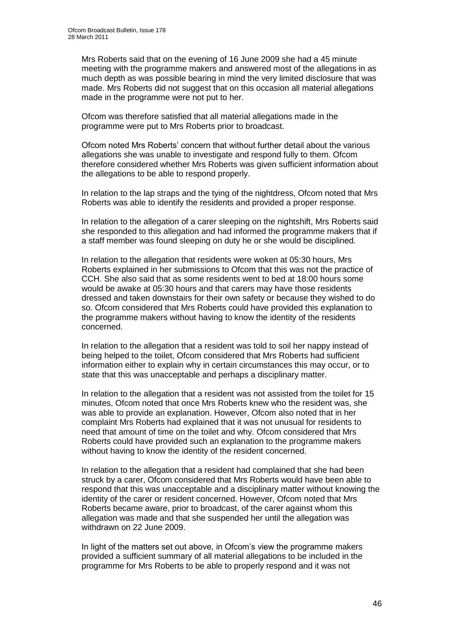Mrs Roberts said that on the evening of 16 June 2009 she had a 45 minute meeting with the programme makers and answered most of the allegations in as much depth as was possible bearing in mind the very limited disclosure that was made. Mrs Roberts did not suggest that on this occasion all material allegations made in the programme were not put to her.

Ofcom was therefore satisfied that all material allegations made in the programme were put to Mrs Roberts prior to broadcast.

Ofcom noted Mrs Roberts" concern that without further detail about the various allegations she was unable to investigate and respond fully to them. Ofcom therefore considered whether Mrs Roberts was given sufficient information about the allegations to be able to respond properly.

In relation to the lap straps and the tying of the nightdress, Ofcom noted that Mrs Roberts was able to identify the residents and provided a proper response.

In relation to the allegation of a carer sleeping on the nightshift, Mrs Roberts said she responded to this allegation and had informed the programme makers that if a staff member was found sleeping on duty he or she would be disciplined.

In relation to the allegation that residents were woken at 05:30 hours, Mrs Roberts explained in her submissions to Ofcom that this was not the practice of CCH. She also said that as some residents went to bed at 18:00 hours some would be awake at 05:30 hours and that carers may have those residents dressed and taken downstairs for their own safety or because they wished to do so. Ofcom considered that Mrs Roberts could have provided this explanation to the programme makers without having to know the identity of the residents concerned.

In relation to the allegation that a resident was told to soil her nappy instead of being helped to the toilet, Ofcom considered that Mrs Roberts had sufficient information either to explain why in certain circumstances this may occur, or to state that this was unacceptable and perhaps a disciplinary matter.

In relation to the allegation that a resident was not assisted from the toilet for 15 minutes, Ofcom noted that once Mrs Roberts knew who the resident was, she was able to provide an explanation. However, Ofcom also noted that in her complaint Mrs Roberts had explained that it was not unusual for residents to need that amount of time on the toilet and why. Ofcom considered that Mrs Roberts could have provided such an explanation to the programme makers without having to know the identity of the resident concerned.

In relation to the allegation that a resident had complained that she had been struck by a carer, Ofcom considered that Mrs Roberts would have been able to respond that this was unacceptable and a disciplinary matter without knowing the identity of the carer or resident concerned. However, Ofcom noted that Mrs Roberts became aware, prior to broadcast, of the carer against whom this allegation was made and that she suspended her until the allegation was withdrawn on 22 June 2009.

In light of the matters set out above, in Ofcom's view the programme makers provided a sufficient summary of all material allegations to be included in the programme for Mrs Roberts to be able to properly respond and it was not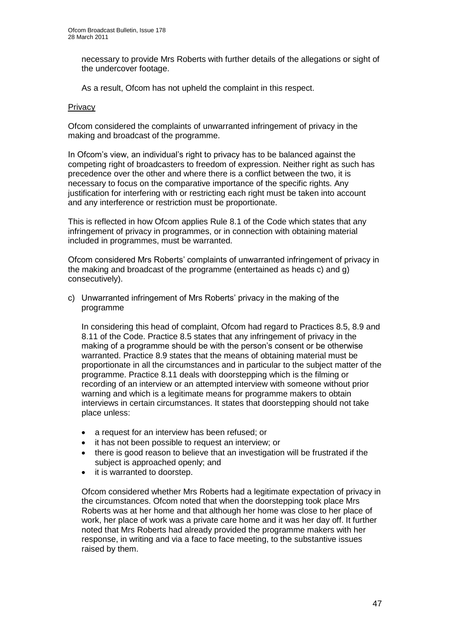necessary to provide Mrs Roberts with further details of the allegations or sight of the undercover footage.

As a result, Ofcom has not upheld the complaint in this respect.

#### **Privacy**

Ofcom considered the complaints of unwarranted infringement of privacy in the making and broadcast of the programme.

In Ofcom"s view, an individual"s right to privacy has to be balanced against the competing right of broadcasters to freedom of expression. Neither right as such has precedence over the other and where there is a conflict between the two, it is necessary to focus on the comparative importance of the specific rights. Any justification for interfering with or restricting each right must be taken into account and any interference or restriction must be proportionate.

This is reflected in how Ofcom applies Rule 8.1 of the Code which states that any infringement of privacy in programmes, or in connection with obtaining material included in programmes, must be warranted.

Ofcom considered Mrs Roberts" complaints of unwarranted infringement of privacy in the making and broadcast of the programme (entertained as heads c) and g) consecutively).

c) Unwarranted infringement of Mrs Roberts" privacy in the making of the programme

In considering this head of complaint, Ofcom had regard to Practices 8.5, 8.9 and 8.11 of the Code. Practice 8.5 states that any infringement of privacy in the making of a programme should be with the person"s consent or be otherwise warranted. Practice 8.9 states that the means of obtaining material must be proportionate in all the circumstances and in particular to the subject matter of the programme. Practice 8.11 deals with doorstepping which is the filming or recording of an interview or an attempted interview with someone without prior warning and which is a legitimate means for programme makers to obtain interviews in certain circumstances. It states that doorstepping should not take place unless:

- a request for an interview has been refused; or
- it has not been possible to request an interview; or
- there is good reason to believe that an investigation will be frustrated if the subject is approached openly; and
- it is warranted to doorstep.

Ofcom considered whether Mrs Roberts had a legitimate expectation of privacy in the circumstances. Ofcom noted that when the doorstepping took place Mrs Roberts was at her home and that although her home was close to her place of work, her place of work was a private care home and it was her day off. It further noted that Mrs Roberts had already provided the programme makers with her response, in writing and via a face to face meeting, to the substantive issues raised by them.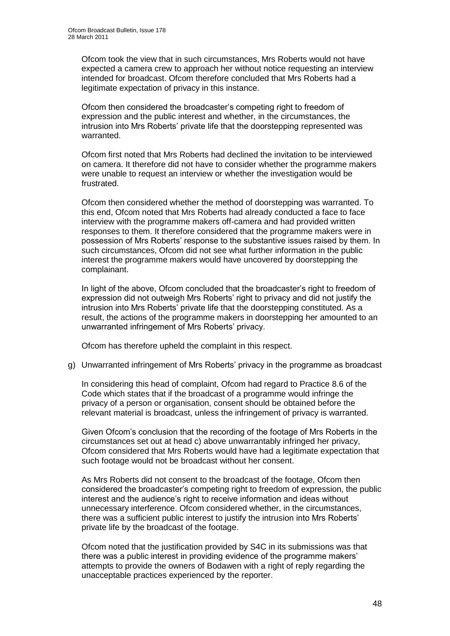Ofcom took the view that in such circumstances, Mrs Roberts would not have expected a camera crew to approach her without notice requesting an interview intended for broadcast. Ofcom therefore concluded that Mrs Roberts had a legitimate expectation of privacy in this instance.

Ofcom then considered the broadcaster"s competing right to freedom of expression and the public interest and whether, in the circumstances, the intrusion into Mrs Roberts" private life that the doorstepping represented was warranted.

Ofcom first noted that Mrs Roberts had declined the invitation to be interviewed on camera. It therefore did not have to consider whether the programme makers were unable to request an interview or whether the investigation would be frustrated.

Ofcom then considered whether the method of doorstepping was warranted. To this end, Ofcom noted that Mrs Roberts had already conducted a face to face interview with the programme makers off-camera and had provided written responses to them. It therefore considered that the programme makers were in possession of Mrs Roberts" response to the substantive issues raised by them. In such circumstances, Ofcom did not see what further information in the public interest the programme makers would have uncovered by doorstepping the complainant.

In light of the above, Ofcom concluded that the broadcaster"s right to freedom of expression did not outweigh Mrs Roberts" right to privacy and did not justify the intrusion into Mrs Roberts' private life that the doorstepping constituted. As a result, the actions of the programme makers in doorstepping her amounted to an unwarranted infringement of Mrs Roberts' privacy.

Ofcom has therefore upheld the complaint in this respect.

g) Unwarranted infringement of Mrs Roberts" privacy in the programme as broadcast

In considering this head of complaint, Ofcom had regard to Practice 8.6 of the Code which states that if the broadcast of a programme would infringe the privacy of a person or organisation, consent should be obtained before the relevant material is broadcast, unless the infringement of privacy is warranted.

Given Ofcom"s conclusion that the recording of the footage of Mrs Roberts in the circumstances set out at head c) above unwarrantably infringed her privacy, Ofcom considered that Mrs Roberts would have had a legitimate expectation that such footage would not be broadcast without her consent.

As Mrs Roberts did not consent to the broadcast of the footage, Ofcom then considered the broadcaster"s competing right to freedom of expression, the public interest and the audience"s right to receive information and ideas without unnecessary interference. Ofcom considered whether, in the circumstances, there was a sufficient public interest to justify the intrusion into Mrs Roberts" private life by the broadcast of the footage.

Ofcom noted that the justification provided by S4C in its submissions was that there was a public interest in providing evidence of the programme makers" attempts to provide the owners of Bodawen with a right of reply regarding the unacceptable practices experienced by the reporter.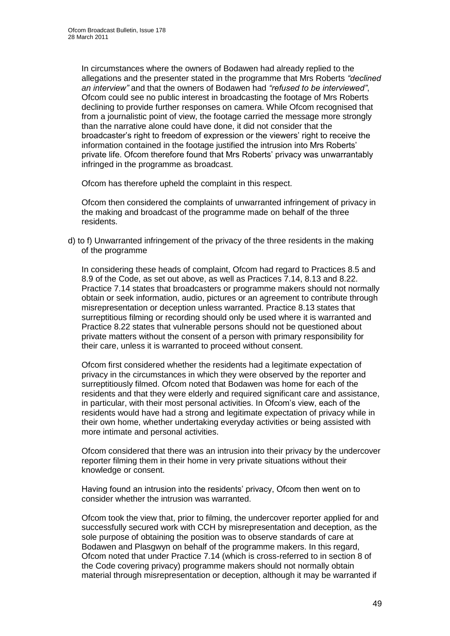In circumstances where the owners of Bodawen had already replied to the allegations and the presenter stated in the programme that Mrs Roberts *"declined an interview"* and that the owners of Bodawen had *"refused to be interviewed"*, Ofcom could see no public interest in broadcasting the footage of Mrs Roberts declining to provide further responses on camera. While Ofcom recognised that from a journalistic point of view, the footage carried the message more strongly than the narrative alone could have done, it did not consider that the broadcaster"s right to freedom of expression or the viewers" right to receive the information contained in the footage justified the intrusion into Mrs Roberts' private life. Ofcom therefore found that Mrs Roberts" privacy was unwarrantably infringed in the programme as broadcast.

Ofcom has therefore upheld the complaint in this respect.

Ofcom then considered the complaints of unwarranted infringement of privacy in the making and broadcast of the programme made on behalf of the three residents.

d) to f) Unwarranted infringement of the privacy of the three residents in the making of the programme

In considering these heads of complaint, Ofcom had regard to Practices 8.5 and 8.9 of the Code, as set out above, as well as Practices 7.14, 8.13 and 8.22. Practice 7.14 states that broadcasters or programme makers should not normally obtain or seek information, audio, pictures or an agreement to contribute through misrepresentation or deception unless warranted. Practice 8.13 states that surreptitious filming or recording should only be used where it is warranted and Practice 8.22 states that vulnerable persons should not be questioned about private matters without the consent of a person with primary responsibility for their care, unless it is warranted to proceed without consent.

Ofcom first considered whether the residents had a legitimate expectation of privacy in the circumstances in which they were observed by the reporter and surreptitiously filmed. Ofcom noted that Bodawen was home for each of the residents and that they were elderly and required significant care and assistance, in particular, with their most personal activities. In Ofcom"s view, each of the residents would have had a strong and legitimate expectation of privacy while in their own home, whether undertaking everyday activities or being assisted with more intimate and personal activities.

Ofcom considered that there was an intrusion into their privacy by the undercover reporter filming them in their home in very private situations without their knowledge or consent.

Having found an intrusion into the residents" privacy, Ofcom then went on to consider whether the intrusion was warranted.

Ofcom took the view that, prior to filming, the undercover reporter applied for and successfully secured work with CCH by misrepresentation and deception, as the sole purpose of obtaining the position was to observe standards of care at Bodawen and Plasgwyn on behalf of the programme makers. In this regard, Ofcom noted that under Practice 7.14 (which is cross-referred to in section 8 of the Code covering privacy) programme makers should not normally obtain material through misrepresentation or deception, although it may be warranted if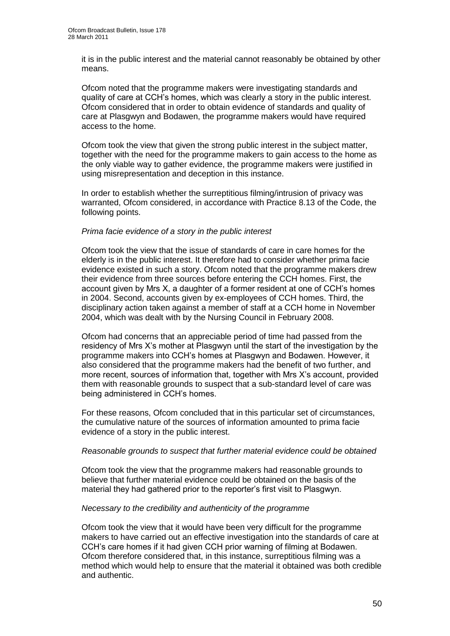it is in the public interest and the material cannot reasonably be obtained by other means.

Ofcom noted that the programme makers were investigating standards and quality of care at CCH"s homes, which was clearly a story in the public interest. Ofcom considered that in order to obtain evidence of standards and quality of care at Plasgwyn and Bodawen, the programme makers would have required access to the home.

Ofcom took the view that given the strong public interest in the subject matter, together with the need for the programme makers to gain access to the home as the only viable way to gather evidence, the programme makers were justified in using misrepresentation and deception in this instance.

In order to establish whether the surreptitious filming/intrusion of privacy was warranted, Ofcom considered, in accordance with Practice 8.13 of the Code, the following points.

#### *Prima facie evidence of a story in the public interest*

Ofcom took the view that the issue of standards of care in care homes for the elderly is in the public interest. It therefore had to consider whether prima facie evidence existed in such a story. Ofcom noted that the programme makers drew their evidence from three sources before entering the CCH homes. First, the account given by Mrs X, a daughter of a former resident at one of CCH"s homes in 2004. Second, accounts given by ex-employees of CCH homes. Third, the disciplinary action taken against a member of staff at a CCH home in November 2004, which was dealt with by the Nursing Council in February 2008.

Ofcom had concerns that an appreciable period of time had passed from the residency of Mrs X"s mother at Plasgwyn until the start of the investigation by the programme makers into CCH"s homes at Plasgwyn and Bodawen. However, it also considered that the programme makers had the benefit of two further, and more recent, sources of information that, together with Mrs X"s account, provided them with reasonable grounds to suspect that a sub-standard level of care was being administered in CCH"s homes.

For these reasons, Ofcom concluded that in this particular set of circumstances, the cumulative nature of the sources of information amounted to prima facie evidence of a story in the public interest.

#### *Reasonable grounds to suspect that further material evidence could be obtained*

Ofcom took the view that the programme makers had reasonable grounds to believe that further material evidence could be obtained on the basis of the material they had gathered prior to the reporter"s first visit to Plasgwyn.

#### *Necessary to the credibility and authenticity of the programme*

Ofcom took the view that it would have been very difficult for the programme makers to have carried out an effective investigation into the standards of care at CCH"s care homes if it had given CCH prior warning of filming at Bodawen. Ofcom therefore considered that, in this instance, surreptitious filming was a method which would help to ensure that the material it obtained was both credible and authentic.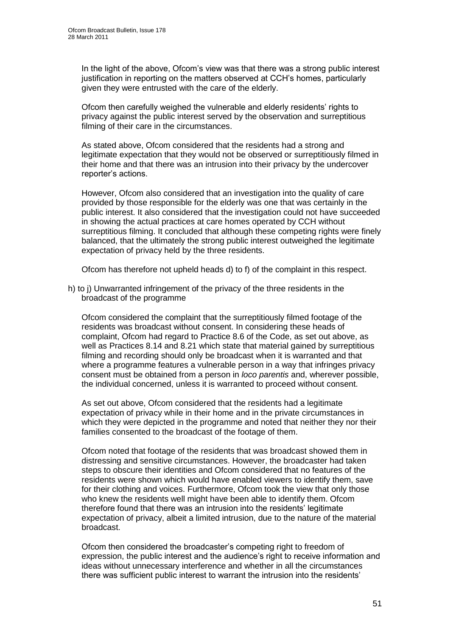In the light of the above, Ofcom"s view was that there was a strong public interest justification in reporting on the matters observed at CCH"s homes, particularly given they were entrusted with the care of the elderly.

Ofcom then carefully weighed the vulnerable and elderly residents" rights to privacy against the public interest served by the observation and surreptitious filming of their care in the circumstances.

As stated above, Ofcom considered that the residents had a strong and legitimate expectation that they would not be observed or surreptitiously filmed in their home and that there was an intrusion into their privacy by the undercover reporter"s actions.

However, Ofcom also considered that an investigation into the quality of care provided by those responsible for the elderly was one that was certainly in the public interest. It also considered that the investigation could not have succeeded in showing the actual practices at care homes operated by CCH without surreptitious filming. It concluded that although these competing rights were finely balanced, that the ultimately the strong public interest outweighed the legitimate expectation of privacy held by the three residents.

Ofcom has therefore not upheld heads d) to f) of the complaint in this respect.

h) to j) Unwarranted infringement of the privacy of the three residents in the broadcast of the programme

Ofcom considered the complaint that the surreptitiously filmed footage of the residents was broadcast without consent. In considering these heads of complaint, Ofcom had regard to Practice 8.6 of the Code, as set out above, as well as Practices 8.14 and 8.21 which state that material gained by surreptitious filming and recording should only be broadcast when it is warranted and that where a programme features a vulnerable person in a way that infringes privacy consent must be obtained from a person in *loco parentis* and, wherever possible, the individual concerned, unless it is warranted to proceed without consent.

As set out above, Ofcom considered that the residents had a legitimate expectation of privacy while in their home and in the private circumstances in which they were depicted in the programme and noted that neither they nor their families consented to the broadcast of the footage of them.

Ofcom noted that footage of the residents that was broadcast showed them in distressing and sensitive circumstances. However, the broadcaster had taken steps to obscure their identities and Ofcom considered that no features of the residents were shown which would have enabled viewers to identify them, save for their clothing and voices. Furthermore, Ofcom took the view that only those who knew the residents well might have been able to identify them. Ofcom therefore found that there was an intrusion into the residents" legitimate expectation of privacy, albeit a limited intrusion, due to the nature of the material broadcast.

Ofcom then considered the broadcaster"s competing right to freedom of expression, the public interest and the audience"s right to receive information and ideas without unnecessary interference and whether in all the circumstances there was sufficient public interest to warrant the intrusion into the residents"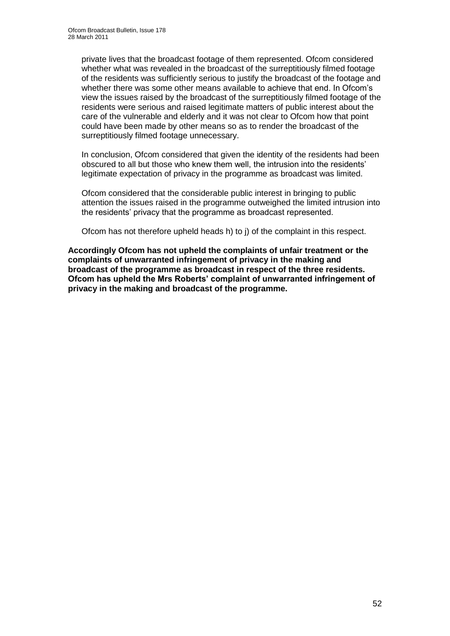private lives that the broadcast footage of them represented. Ofcom considered whether what was revealed in the broadcast of the surreptitiously filmed footage of the residents was sufficiently serious to justify the broadcast of the footage and whether there was some other means available to achieve that end. In Ofcom's view the issues raised by the broadcast of the surreptitiously filmed footage of the residents were serious and raised legitimate matters of public interest about the care of the vulnerable and elderly and it was not clear to Ofcom how that point could have been made by other means so as to render the broadcast of the surreptitiously filmed footage unnecessary.

In conclusion, Ofcom considered that given the identity of the residents had been obscured to all but those who knew them well, the intrusion into the residents" legitimate expectation of privacy in the programme as broadcast was limited.

Ofcom considered that the considerable public interest in bringing to public attention the issues raised in the programme outweighed the limited intrusion into the residents" privacy that the programme as broadcast represented.

Ofcom has not therefore upheld heads h) to j) of the complaint in this respect.

**Accordingly Ofcom has not upheld the complaints of unfair treatment or the complaints of unwarranted infringement of privacy in the making and broadcast of the programme as broadcast in respect of the three residents. Ofcom has upheld the Mrs Roberts' complaint of unwarranted infringement of privacy in the making and broadcast of the programme.**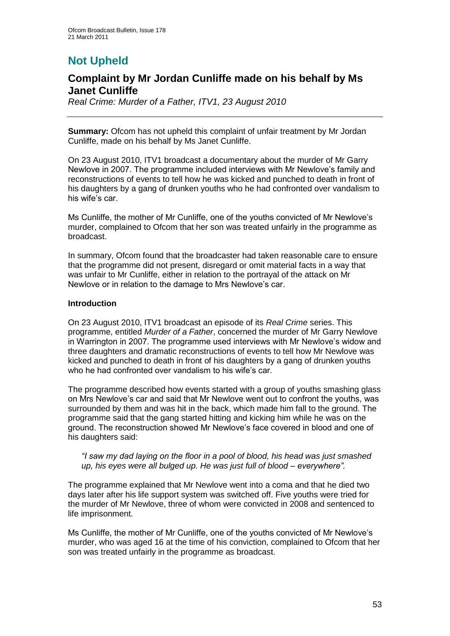# **Not Upheld**

## **Complaint by Mr Jordan Cunliffe made on his behalf by Ms Janet Cunliffe**

*Real Crime: Murder of a Father, ITV1, 23 August 2010*

**Summary:** Ofcom has not upheld this complaint of unfair treatment by Mr Jordan Cunliffe, made on his behalf by Ms Janet Cunliffe.

On 23 August 2010, ITV1 broadcast a documentary about the murder of Mr Garry Newlove in 2007. The programme included interviews with Mr Newlove"s family and reconstructions of events to tell how he was kicked and punched to death in front of his daughters by a gang of drunken youths who he had confronted over vandalism to his wife's car.

Ms Cunliffe, the mother of Mr Cunliffe, one of the youths convicted of Mr Newlove"s murder, complained to Ofcom that her son was treated unfairly in the programme as broadcast.

In summary, Ofcom found that the broadcaster had taken reasonable care to ensure that the programme did not present, disregard or omit material facts in a way that was unfair to Mr Cunliffe, either in relation to the portrayal of the attack on Mr Newlove or in relation to the damage to Mrs Newlove"s car.

#### **Introduction**

On 23 August 2010, ITV1 broadcast an episode of its *Real Crime* series. This programme, entitled *Murder of a Father*, concerned the murder of Mr Garry Newlove in Warrington in 2007. The programme used interviews with Mr Newlove"s widow and three daughters and dramatic reconstructions of events to tell how Mr Newlove was kicked and punched to death in front of his daughters by a gang of drunken youths who he had confronted over vandalism to his wife's car.

The programme described how events started with a group of youths smashing glass on Mrs Newlove"s car and said that Mr Newlove went out to confront the youths, was surrounded by them and was hit in the back, which made him fall to the ground. The programme said that the gang started hitting and kicking him while he was on the ground. The reconstruction showed Mr Newlove"s face covered in blood and one of his daughters said:

*"I saw my dad laying on the floor in a pool of blood, his head was just smashed up, his eyes were all bulged up. He was just full of blood – everywhere".*

The programme explained that Mr Newlove went into a coma and that he died two days later after his life support system was switched off. Five youths were tried for the murder of Mr Newlove, three of whom were convicted in 2008 and sentenced to life imprisonment.

Ms Cunliffe, the mother of Mr Cunliffe, one of the youths convicted of Mr Newlove"s murder, who was aged 16 at the time of his conviction, complained to Ofcom that her son was treated unfairly in the programme as broadcast.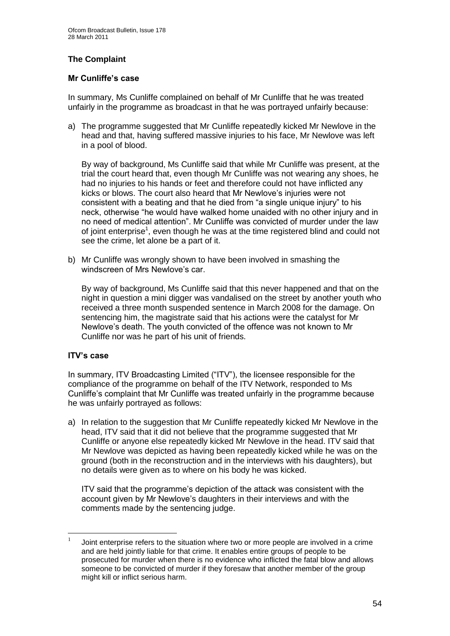#### **The Complaint**

#### **Mr Cunliffe's case**

In summary, Ms Cunliffe complained on behalf of Mr Cunliffe that he was treated unfairly in the programme as broadcast in that he was portrayed unfairly because:

a) The programme suggested that Mr Cunliffe repeatedly kicked Mr Newlove in the head and that, having suffered massive injuries to his face, Mr Newlove was left in a pool of blood.

By way of background, Ms Cunliffe said that while Mr Cunliffe was present, at the trial the court heard that, even though Mr Cunliffe was not wearing any shoes, he had no injuries to his hands or feet and therefore could not have inflicted any kicks or blows. The court also heard that Mr Newlove"s injuries were not consistent with a beating and that he died from "a single unique injury" to his neck, otherwise "he would have walked home unaided with no other injury and in no need of medical attention". Mr Cunliffe was convicted of murder under the law of joint enterprise<sup>1</sup>, even though he was at the time registered blind and could not see the crime, let alone be a part of it.

b) Mr Cunliffe was wrongly shown to have been involved in smashing the windscreen of Mrs Newlove's car.

By way of background, Ms Cunliffe said that this never happened and that on the night in question a mini digger was vandalised on the street by another youth who received a three month suspended sentence in March 2008 for the damage. On sentencing him, the magistrate said that his actions were the catalyst for Mr Newlove"s death. The youth convicted of the offence was not known to Mr Cunliffe nor was he part of his unit of friends.

#### **ITV's case**

In summary, ITV Broadcasting Limited ("ITV"), the licensee responsible for the compliance of the programme on behalf of the ITV Network, responded to Ms Cunliffe"s complaint that Mr Cunliffe was treated unfairly in the programme because he was unfairly portrayed as follows:

a) In relation to the suggestion that Mr Cunliffe repeatedly kicked Mr Newlove in the head, ITV said that it did not believe that the programme suggested that Mr Cunliffe or anyone else repeatedly kicked Mr Newlove in the head. ITV said that Mr Newlove was depicted as having been repeatedly kicked while he was on the ground (both in the reconstruction and in the interviews with his daughters), but no details were given as to where on his body he was kicked.

ITV said that the programme"s depiction of the attack was consistent with the account given by Mr Newlove"s daughters in their interviews and with the comments made by the sentencing judge.

 $\frac{1}{1}$ Joint enterprise refers to the situation where two or more people are involved in a crime and are held jointly liable for that crime. It enables entire groups of people to be prosecuted for murder when there is no evidence who inflicted the fatal blow and allows someone to be convicted of murder if they foresaw that another member of the group might kill or inflict serious harm.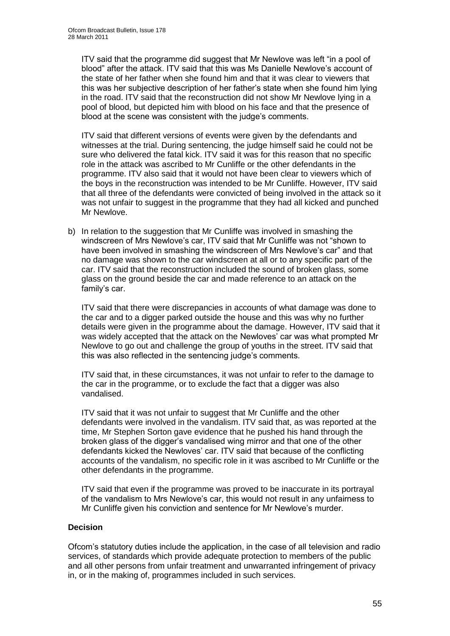ITV said that the programme did suggest that Mr Newlove was left "in a pool of blood" after the attack. ITV said that this was Ms Danielle Newlove's account of the state of her father when she found him and that it was clear to viewers that this was her subjective description of her father"s state when she found him lying in the road. ITV said that the reconstruction did not show Mr Newlove lying in a pool of blood, but depicted him with blood on his face and that the presence of blood at the scene was consistent with the judge"s comments.

ITV said that different versions of events were given by the defendants and witnesses at the trial. During sentencing, the judge himself said he could not be sure who delivered the fatal kick. ITV said it was for this reason that no specific role in the attack was ascribed to Mr Cunliffe or the other defendants in the programme. ITV also said that it would not have been clear to viewers which of the boys in the reconstruction was intended to be Mr Cunliffe. However, ITV said that all three of the defendants were convicted of being involved in the attack so it was not unfair to suggest in the programme that they had all kicked and punched Mr Newlove.

b) In relation to the suggestion that Mr Cunliffe was involved in smashing the windscreen of Mrs Newlove"s car, ITV said that Mr Cunliffe was not "shown to have been involved in smashing the windscreen of Mrs Newlove's car" and that no damage was shown to the car windscreen at all or to any specific part of the car. ITV said that the reconstruction included the sound of broken glass, some glass on the ground beside the car and made reference to an attack on the family's car.

ITV said that there were discrepancies in accounts of what damage was done to the car and to a digger parked outside the house and this was why no further details were given in the programme about the damage. However, ITV said that it was widely accepted that the attack on the Newloves' car was what prompted Mr Newlove to go out and challenge the group of youths in the street. ITV said that this was also reflected in the sentencing judge"s comments.

ITV said that, in these circumstances, it was not unfair to refer to the damage to the car in the programme, or to exclude the fact that a digger was also vandalised.

ITV said that it was not unfair to suggest that Mr Cunliffe and the other defendants were involved in the vandalism. ITV said that, as was reported at the time, Mr Stephen Sorton gave evidence that he pushed his hand through the broken glass of the digger"s vandalised wing mirror and that one of the other defendants kicked the Newloves" car. ITV said that because of the conflicting accounts of the vandalism, no specific role in it was ascribed to Mr Cunliffe or the other defendants in the programme.

ITV said that even if the programme was proved to be inaccurate in its portrayal of the vandalism to Mrs Newlove"s car, this would not result in any unfairness to Mr Cunliffe given his conviction and sentence for Mr Newlove"s murder.

#### **Decision**

Ofcom"s statutory duties include the application, in the case of all television and radio services, of standards which provide adequate protection to members of the public and all other persons from unfair treatment and unwarranted infringement of privacy in, or in the making of, programmes included in such services.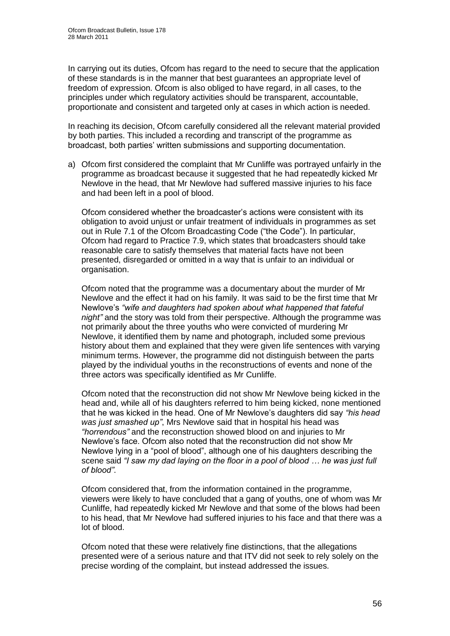In carrying out its duties, Ofcom has regard to the need to secure that the application of these standards is in the manner that best guarantees an appropriate level of freedom of expression. Ofcom is also obliged to have regard, in all cases, to the principles under which regulatory activities should be transparent, accountable, proportionate and consistent and targeted only at cases in which action is needed.

In reaching its decision, Ofcom carefully considered all the relevant material provided by both parties. This included a recording and transcript of the programme as broadcast, both parties" written submissions and supporting documentation.

a) Ofcom first considered the complaint that Mr Cunliffe was portrayed unfairly in the programme as broadcast because it suggested that he had repeatedly kicked Mr Newlove in the head, that Mr Newlove had suffered massive injuries to his face and had been left in a pool of blood.

Ofcom considered whether the broadcaster"s actions were consistent with its obligation to avoid unjust or unfair treatment of individuals in programmes as set out in Rule 7.1 of the Ofcom Broadcasting Code ("the Code"). In particular, Ofcom had regard to Practice 7.9, which states that broadcasters should take reasonable care to satisfy themselves that material facts have not been presented, disregarded or omitted in a way that is unfair to an individual or organisation.

Ofcom noted that the programme was a documentary about the murder of Mr Newlove and the effect it had on his family. It was said to be the first time that Mr Newlove"s *"wife and daughters had spoken about what happened that fateful night"* and the story was told from their perspective. Although the programme was not primarily about the three youths who were convicted of murdering Mr Newlove, it identified them by name and photograph, included some previous history about them and explained that they were given life sentences with varying minimum terms. However, the programme did not distinguish between the parts played by the individual youths in the reconstructions of events and none of the three actors was specifically identified as Mr Cunliffe.

Ofcom noted that the reconstruction did not show Mr Newlove being kicked in the head and, while all of his daughters referred to him being kicked, none mentioned that he was kicked in the head. One of Mr Newlove"s daughters did say *"his head was just smashed up"*, Mrs Newlove said that in hospital his head was *"horrendous"* and the reconstruction showed blood on and injuries to Mr Newlove"s face. Ofcom also noted that the reconstruction did not show Mr Newlove lying in a "pool of blood", although one of his daughters describing the scene said *"I saw my dad laying on the floor in a pool of blood … he was just full of blood"*.

Ofcom considered that, from the information contained in the programme, viewers were likely to have concluded that a gang of youths, one of whom was Mr Cunliffe, had repeatedly kicked Mr Newlove and that some of the blows had been to his head, that Mr Newlove had suffered injuries to his face and that there was a lot of blood.

Ofcom noted that these were relatively fine distinctions, that the allegations presented were of a serious nature and that ITV did not seek to rely solely on the precise wording of the complaint, but instead addressed the issues.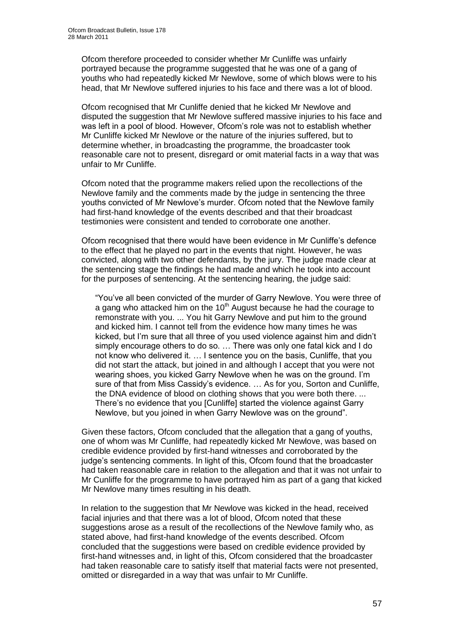Ofcom therefore proceeded to consider whether Mr Cunliffe was unfairly portrayed because the programme suggested that he was one of a gang of youths who had repeatedly kicked Mr Newlove, some of which blows were to his head, that Mr Newlove suffered injuries to his face and there was a lot of blood.

Ofcom recognised that Mr Cunliffe denied that he kicked Mr Newlove and disputed the suggestion that Mr Newlove suffered massive injuries to his face and was left in a pool of blood. However, Ofcom"s role was not to establish whether Mr Cunliffe kicked Mr Newlove or the nature of the injuries suffered, but to determine whether, in broadcasting the programme, the broadcaster took reasonable care not to present, disregard or omit material facts in a way that was unfair to Mr Cunliffe.

Ofcom noted that the programme makers relied upon the recollections of the Newlove family and the comments made by the judge in sentencing the three youths convicted of Mr Newlove"s murder. Ofcom noted that the Newlove family had first-hand knowledge of the events described and that their broadcast testimonies were consistent and tended to corroborate one another.

Ofcom recognised that there would have been evidence in Mr Cunliffe"s defence to the effect that he played no part in the events that night. However, he was convicted, along with two other defendants, by the jury. The judge made clear at the sentencing stage the findings he had made and which he took into account for the purposes of sentencing. At the sentencing hearing, the judge said:

"You"ve all been convicted of the murder of Garry Newlove. You were three of a gang who attacked him on the  $10<sup>th</sup>$  August because he had the courage to remonstrate with you. ... You hit Garry Newlove and put him to the ground and kicked him. I cannot tell from the evidence how many times he was kicked, but I"m sure that all three of you used violence against him and didn"t simply encourage others to do so. … There was only one fatal kick and I do not know who delivered it. … I sentence you on the basis, Cunliffe, that you did not start the attack, but joined in and although I accept that you were not wearing shoes, you kicked Garry Newlove when he was on the ground. I"m sure of that from Miss Cassidy's evidence. ... As for you, Sorton and Cunliffe, the DNA evidence of blood on clothing shows that you were both there. ... There"s no evidence that you [Cunliffe] started the violence against Garry Newlove, but you joined in when Garry Newlove was on the ground".

Given these factors, Ofcom concluded that the allegation that a gang of youths, one of whom was Mr Cunliffe, had repeatedly kicked Mr Newlove, was based on credible evidence provided by first-hand witnesses and corroborated by the judge's sentencing comments. In light of this, Ofcom found that the broadcaster had taken reasonable care in relation to the allegation and that it was not unfair to Mr Cunliffe for the programme to have portrayed him as part of a gang that kicked Mr Newlove many times resulting in his death.

In relation to the suggestion that Mr Newlove was kicked in the head, received facial injuries and that there was a lot of blood, Ofcom noted that these suggestions arose as a result of the recollections of the Newlove family who, as stated above, had first-hand knowledge of the events described. Ofcom concluded that the suggestions were based on credible evidence provided by first-hand witnesses and, in light of this, Ofcom considered that the broadcaster had taken reasonable care to satisfy itself that material facts were not presented, omitted or disregarded in a way that was unfair to Mr Cunliffe.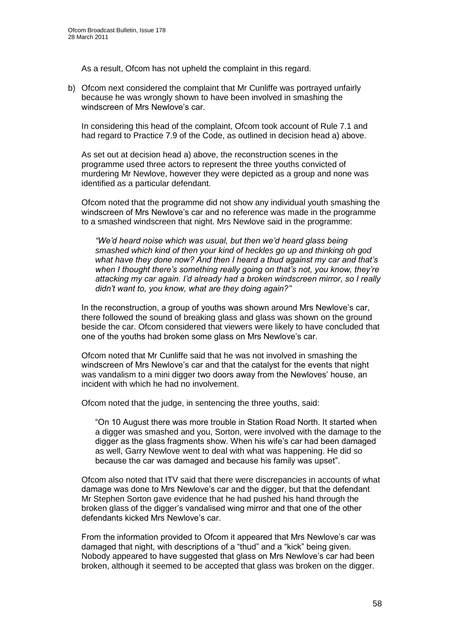As a result, Ofcom has not upheld the complaint in this regard.

b) Ofcom next considered the complaint that Mr Cunliffe was portrayed unfairly because he was wrongly shown to have been involved in smashing the windscreen of Mrs Newlove's car.

In considering this head of the complaint, Ofcom took account of Rule 7.1 and had regard to Practice 7.9 of the Code, as outlined in decision head a) above.

As set out at decision head a) above, the reconstruction scenes in the programme used three actors to represent the three youths convicted of murdering Mr Newlove, however they were depicted as a group and none was identified as a particular defendant.

Ofcom noted that the programme did not show any individual youth smashing the windscreen of Mrs Newlove"s car and no reference was made in the programme to a smashed windscreen that night. Mrs Newlove said in the programme:

*"We'd heard noise which was usual, but then we'd heard glass being smashed which kind of then your kind of heckles go up and thinking oh god what have they done now? And then I heard a thud against my car and that's when I thought there's something really going on that's not, you know, they're attacking my car again. I'd already had a broken windscreen mirror, so I really didn't want to, you know, what are they doing again?"* 

In the reconstruction, a group of youths was shown around Mrs Newlove"s car, there followed the sound of breaking glass and glass was shown on the ground beside the car. Ofcom considered that viewers were likely to have concluded that one of the youths had broken some glass on Mrs Newlove"s car.

Ofcom noted that Mr Cunliffe said that he was not involved in smashing the windscreen of Mrs Newlove"s car and that the catalyst for the events that night was vandalism to a mini digger two doors away from the Newloves' house, an incident with which he had no involvement.

Ofcom noted that the judge, in sentencing the three youths, said:

"On 10 August there was more trouble in Station Road North. It started when a digger was smashed and you, Sorton, were involved with the damage to the digger as the glass fragments show. When his wife"s car had been damaged as well, Garry Newlove went to deal with what was happening. He did so because the car was damaged and because his family was upset".

Ofcom also noted that ITV said that there were discrepancies in accounts of what damage was done to Mrs Newlove"s car and the digger, but that the defendant Mr Stephen Sorton gave evidence that he had pushed his hand through the broken glass of the digger"s vandalised wing mirror and that one of the other defendants kicked Mrs Newlove"s car.

From the information provided to Ofcom it appeared that Mrs Newlove's car was damaged that night, with descriptions of a "thud" and a "kick" being given. Nobody appeared to have suggested that glass on Mrs Newlove"s car had been broken, although it seemed to be accepted that glass was broken on the digger.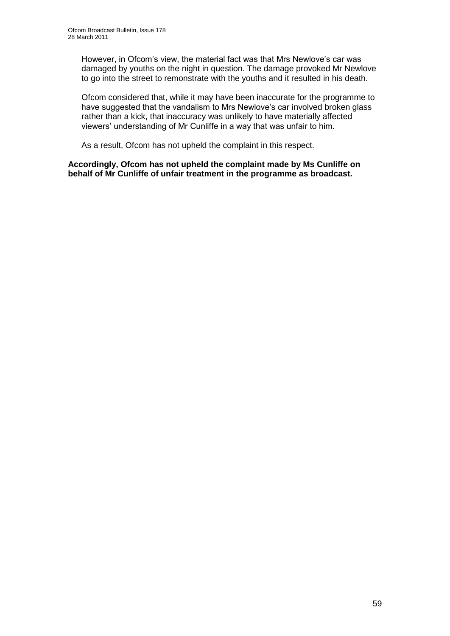However, in Ofcom"s view, the material fact was that Mrs Newlove"s car was damaged by youths on the night in question. The damage provoked Mr Newlove to go into the street to remonstrate with the youths and it resulted in his death.

Ofcom considered that, while it may have been inaccurate for the programme to have suggested that the vandalism to Mrs Newlove's car involved broken glass rather than a kick, that inaccuracy was unlikely to have materially affected viewers" understanding of Mr Cunliffe in a way that was unfair to him.

As a result, Ofcom has not upheld the complaint in this respect.

**Accordingly, Ofcom has not upheld the complaint made by Ms Cunliffe on behalf of Mr Cunliffe of unfair treatment in the programme as broadcast.**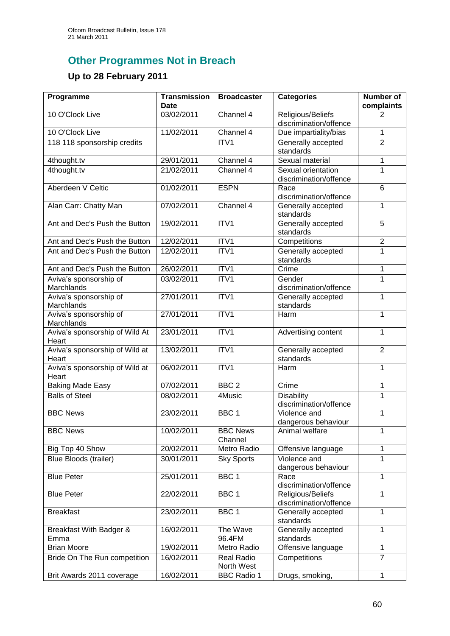# **Other Programmes Not in Breach**

# **Up to 28 February 2011**

| Programme                                        | <b>Transmission</b><br>Date | <b>Broadcaster</b>              | <b>Categories</b>                           | <b>Number of</b><br>complaints |
|--------------------------------------------------|-----------------------------|---------------------------------|---------------------------------------------|--------------------------------|
| 10 O'Clock Live                                  | 03/02/2011                  | Channel 4                       | Religious/Beliefs<br>discrimination/offence | 2                              |
| 10 O'Clock Live                                  | 11/02/2011                  | Channel 4                       | Due impartiality/bias                       | 1                              |
| 118 118 sponsorship credits                      |                             | ITV1                            | Generally accepted                          | $\overline{2}$                 |
| 4thought.tv                                      | 29/01/2011                  | Channel 4                       | standards<br>Sexual material                | 1                              |
| 4thought.tv                                      | 21/02/2011                  | Channel 4                       | Sexual orientation                          | 1                              |
|                                                  |                             |                                 | discrimination/offence                      |                                |
| Aberdeen V Celtic                                | 01/02/2011                  | <b>ESPN</b>                     | Race<br>discrimination/offence              | 6                              |
| Alan Carr: Chatty Man                            | 07/02/2011                  | Channel 4                       | Generally accepted<br>standards             | 1                              |
| Ant and Dec's Push the Button                    | 19/02/2011                  | ITV1                            | Generally accepted<br>standards             | 5                              |
| Ant and Dec's Push the Button                    | 12/02/2011                  | ITV1                            | Competitions                                | $\overline{c}$                 |
| Ant and Dec's Push the Button                    | 12/02/2011                  | ITV1                            | Generally accepted<br>standards             | 1                              |
| Ant and Dec's Push the Button                    | 26/02/2011                  | ITV1                            | Crime                                       | 1                              |
| Aviva's sponsorship of<br>Marchlands             | 03/02/2011                  | ITV1                            | Gender<br>discrimination/offence            | 1                              |
| Aviva's sponsorship of                           | 27/01/2011                  | ITV1                            | Generally accepted                          | 1                              |
| Marchlands<br>Aviva's sponsorship of             | 27/01/2011                  | ITV1                            | standards<br><b>Harm</b>                    | 1                              |
| Marchlands<br>Aviva's sponsorship of Wild At     | 23/01/2011                  | ITV1                            | Advertising content                         | 1                              |
| Heart<br>Aviva's sponsorship of Wild at          | 13/02/2011                  | ITV1                            | Generally accepted                          | $\overline{2}$                 |
| Heart<br>Aviva's sponsorship of Wild at          | 06/02/2011                  | ITV1                            | standards<br>Harm                           | 1                              |
| Heart                                            | 07/02/2011                  | BBC <sub>2</sub>                | Crime                                       |                                |
| <b>Baking Made Easy</b><br><b>Balls of Steel</b> | 08/02/2011                  | 4Music                          | <b>Disability</b>                           | 1<br>1                         |
|                                                  |                             |                                 | discrimination/offence                      |                                |
| <b>BBC News</b>                                  | 23/02/2011                  | BBC <sub>1</sub>                | Violence and<br>dangerous behaviour         | 1                              |
| <b>BBC News</b>                                  | 10/02/2011                  | <b>BBC News</b><br>Channel      | Animal welfare                              | 1                              |
| Big Top 40 Show                                  | 20/02/2011                  | Metro Radio                     | Offensive language                          | 1                              |
| <b>Blue Bloods (trailer)</b>                     | 30/01/2011                  | <b>Sky Sports</b>               | Violence and<br>dangerous behaviour         | 1                              |
| <b>Blue Peter</b>                                | 25/01/2011                  | BBC <sub>1</sub>                | Race<br>discrimination/offence              | 1                              |
| <b>Blue Peter</b>                                | 22/02/2011                  | BBC 1                           | Religious/Beliefs<br>discrimination/offence | $\mathbf{1}$                   |
| <b>Breakfast</b>                                 | 23/02/2011                  | BBC <sub>1</sub>                | Generally accepted<br>standards             | 1                              |
| Breakfast With Badger &<br>Emma                  | 16/02/2011                  | The Wave<br>96.4FM              | Generally accepted<br>standards             | 1                              |
| <b>Brian Moore</b>                               | 19/02/2011                  | Metro Radio                     | Offensive language                          | $\mathbf{1}$                   |
| Bride On The Run competition                     | 16/02/2011                  | <b>Real Radio</b><br>North West | Competitions                                | $\overline{7}$                 |
| Brit Awards 2011 coverage                        | 16/02/2011                  | <b>BBC Radio 1</b>              | Drugs, smoking,                             | $\mathbf{1}$                   |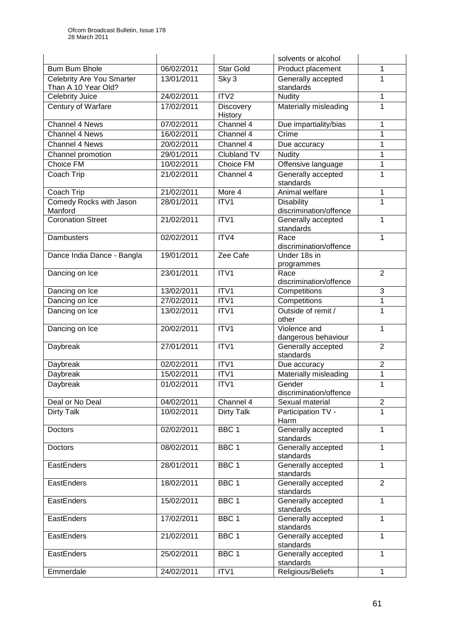|                                  |            |                      | solvents or alcohol                 |                |
|----------------------------------|------------|----------------------|-------------------------------------|----------------|
| <b>Bum Bum Bhole</b>             | 06/02/2011 | <b>Star Gold</b>     | Product placement                   | 1              |
| <b>Celebrity Are You Smarter</b> | 13/01/2011 | Sky 3                | Generally accepted                  | 1              |
| Than A 10 Year Old?              |            |                      | standards                           |                |
| Celebrity Juice                  | 24/02/2011 | ITV2                 | <b>Nudity</b>                       | $\mathbf{1}$   |
| Century of Warfare               | 17/02/2011 | Discovery<br>History | Materially misleading               | 1              |
| Channel 4 News                   | 07/02/2011 | Channel 4            | Due impartiality/bias               | 1              |
| <b>Channel 4 News</b>            | 16/02/2011 | Channel 4            | Crime                               | 1              |
| Channel 4 News                   | 20/02/2011 | Channel 4            | Due accuracy                        | 1              |
| Channel promotion                | 29/01/2011 | Clubland TV          | <b>Nudity</b>                       | 1              |
| Choice FM                        | 10/02/2011 | Choice FM            | Offensive language                  | 1              |
| Coach Trip                       | 21/02/2011 | Channel 4            | Generally accepted<br>standards     | 1              |
| Coach Trip                       | 21/02/2011 | More 4               | Animal welfare                      | 1              |
| Comedy Rocks with Jason          | 28/01/2011 | ITV1                 | Disability                          | 1              |
| Manford                          |            |                      | discrimination/offence              |                |
| <b>Coronation Street</b>         | 21/02/2011 | ITV1                 | Generally accepted<br>standards     | 1              |
| Dambusters                       | 02/02/2011 | ITV4                 | Race<br>discrimination/offence      | 1              |
| Dance India Dance - Bangla       | 19/01/2011 | Zee Cafe             | Under 18s in<br>programmes          |                |
| Dancing on Ice                   | 23/01/2011 | ITV1                 | Race<br>discrimination/offence      | $\overline{2}$ |
| Dancing on Ice                   | 13/02/2011 | ITV1                 | Competitions                        | 3              |
| Dancing on Ice                   | 27/02/2011 | ITV1                 | Competitions                        | $\mathbf 1$    |
| Dancing on Ice                   | 13/02/2011 | ITV1                 | Outside of remit /                  | 1              |
|                                  |            |                      | other                               |                |
| Dancing on Ice                   | 20/02/2011 | ITV1                 | Violence and<br>dangerous behaviour | 1              |
| Daybreak                         | 27/01/2011 | ITV1                 | Generally accepted<br>standards     | $\overline{2}$ |
| Daybreak                         | 02/02/2011 | ITV1                 | Due accuracy                        | $\overline{2}$ |
| Daybreak                         | 15/02/2011 | ITV1                 | Materially misleading               | $\mathbf 1$    |
| Daybreak                         | 01/02/2011 | ITV1                 | Gender<br>discrimination/offence    | 1              |
| Deal or No Deal                  | 04/02/2011 | Channel 4            | Sexual material                     | $\overline{2}$ |
| <b>Dirty Talk</b>                | 10/02/2011 | Dirty Talk           | Participation TV -<br>Harm          | 1              |
| Doctors                          | 02/02/2011 | BBC 1                | Generally accepted<br>standards     | $\mathbf{1}$   |
| Doctors                          | 08/02/2011 | BBC <sub>1</sub>     | Generally accepted<br>standards     | 1              |
| EastEnders                       | 28/01/2011 | BBC <sub>1</sub>     | Generally accepted<br>standards     | $\mathbf{1}$   |
| EastEnders                       | 18/02/2011 | BBC <sub>1</sub>     | Generally accepted<br>standards     | $\overline{2}$ |
| EastEnders                       | 15/02/2011 | BBC 1                | Generally accepted<br>standards     | 1              |
| EastEnders                       | 17/02/2011 | BBC <sub>1</sub>     | Generally accepted<br>standards     | $\mathbf{1}$   |
| EastEnders                       | 21/02/2011 | BBC <sub>1</sub>     | Generally accepted<br>standards     | 1              |
| EastEnders                       | 25/02/2011 | BBC <sub>1</sub>     | Generally accepted<br>standards     | $\mathbf{1}$   |
| Emmerdale                        | 24/02/2011 | ITV1                 | Religious/Beliefs                   | $\mathbf{1}$   |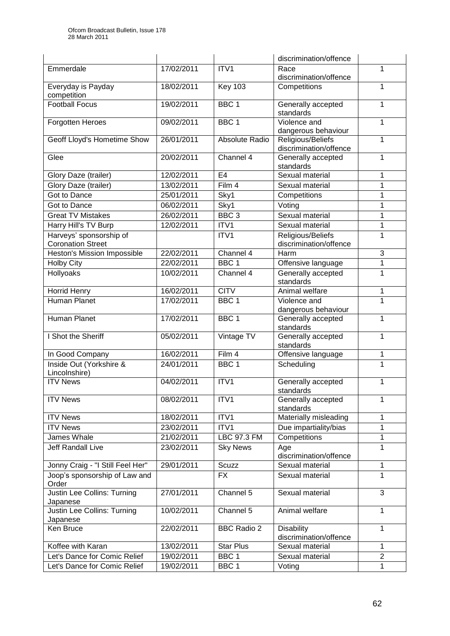|                                         |            |                       | discrimination/offence                      |                |
|-----------------------------------------|------------|-----------------------|---------------------------------------------|----------------|
| Emmerdale                               | 17/02/2011 | ITV1                  | Race                                        | 1              |
|                                         |            |                       | discrimination/offence                      |                |
| Everyday is Payday                      | 18/02/2011 | <b>Key 103</b>        | Competitions                                | 1              |
| competition                             |            |                       |                                             |                |
| <b>Football Focus</b>                   | 19/02/2011 | BBC <sub>1</sub>      | Generally accepted<br>standards             | 1              |
| Forgotten Heroes                        | 09/02/2011 | BBC <sub>1</sub>      | Violence and<br>dangerous behaviour         | 1              |
| Geoff Lloyd's Hometime Show             | 26/01/2011 | <b>Absolute Radio</b> | Religious/Beliefs<br>discrimination/offence | 1              |
| Glee                                    | 20/02/2011 | Channel 4             | Generally accepted<br>standards             | 1              |
| Glory Daze (trailer)                    | 12/02/2011 | E4                    | Sexual material                             | 1              |
| Glory Daze (trailer)                    | 13/02/2011 | Film 4                | Sexual material                             | 1              |
| Got to Dance                            | 25/01/2011 | Sky1                  | Competitions                                | 1              |
| Got to Dance                            | 06/02/2011 | Sky1                  | Voting                                      | 1              |
| <b>Great TV Mistakes</b>                | 26/02/2011 | BBC <sub>3</sub>      | Sexual material                             | 1              |
| Harry Hill's TV Burp                    | 12/02/2011 | ITV1                  | Sexual material                             | 1              |
| Harveys' sponsorship of                 |            | ITV1                  | Religious/Beliefs                           | 1              |
| <b>Coronation Street</b>                |            |                       | discrimination/offence                      |                |
| <b>Heston's Mission Impossible</b>      | 22/02/2011 | Channel 4             | Harm                                        | 3              |
| <b>Holby City</b>                       | 22/02/2011 | BBC <sub>1</sub>      | Offensive language                          | 1              |
| Hollyoaks                               | 10/02/2011 | Channel 4             | Generally accepted                          | 1              |
|                                         |            |                       | standards                                   |                |
| <b>Horrid Henry</b>                     | 16/02/2011 | <b>CITV</b>           | Animal welfare                              | 1              |
| Human Planet                            | 17/02/2011 | BBC <sub>1</sub>      | Violence and                                | 1              |
|                                         |            |                       | dangerous behaviour                         |                |
| Human Planet                            | 17/02/2011 | BBC <sub>1</sub>      | Generally accepted<br>standards             | 1              |
| I Shot the Sheriff                      | 05/02/2011 | Vintage TV            | Generally accepted<br>standards             | 1              |
| In Good Company                         | 16/02/2011 | Film 4                | Offensive language                          | 1              |
| Inside Out (Yorkshire &                 | 24/01/2011 | BBC <sub>1</sub>      | Scheduling                                  | 1              |
| Lincolnshire)                           |            |                       |                                             |                |
| <b>ITV News</b>                         | 04/02/2011 | ITV1                  | Generally accepted<br>standards             | 1              |
| <b>ITV News</b>                         | 08/02/2011 | ITV1                  | Generally accepted<br>standards             | 1              |
| <b>ITV News</b>                         | 18/02/2011 | ITV1                  | Materially misleading                       | 1              |
| <b>ITV News</b>                         | 23/02/2011 | ITV1                  | Due impartiality/bias                       | 1              |
| James Whale                             | 21/02/2011 | LBC 97.3 FM           | Competitions                                | 1              |
| Jeff Randall Live                       | 23/02/2011 | <b>Sky News</b>       | Age<br>discrimination/offence               | 1              |
| Jonny Craig - "I Still Feel Her"        | 29/01/2011 | Scuzz                 | Sexual material                             | 1              |
| Joop's sponsorship of Law and<br>Order  |            | <b>FX</b>             | Sexual material                             | 1              |
| Justin Lee Collins: Turning<br>Japanese | 27/01/2011 | Channel 5             | Sexual material                             | 3              |
| Justin Lee Collins: Turning<br>Japanese | 10/02/2011 | Channel 5             | Animal welfare                              | 1              |
| Ken Bruce                               | 22/02/2011 | <b>BBC Radio 2</b>    | <b>Disability</b><br>discrimination/offence | 1              |
| Koffee with Karan                       | 13/02/2011 | <b>Star Plus</b>      | Sexual material                             | 1              |
| Let's Dance for Comic Relief            | 19/02/2011 | BBC <sub>1</sub>      | Sexual material                             | $\overline{2}$ |
| Let's Dance for Comic Relief            | 19/02/2011 | BBC 1                 | Voting                                      | 1              |
|                                         |            |                       |                                             |                |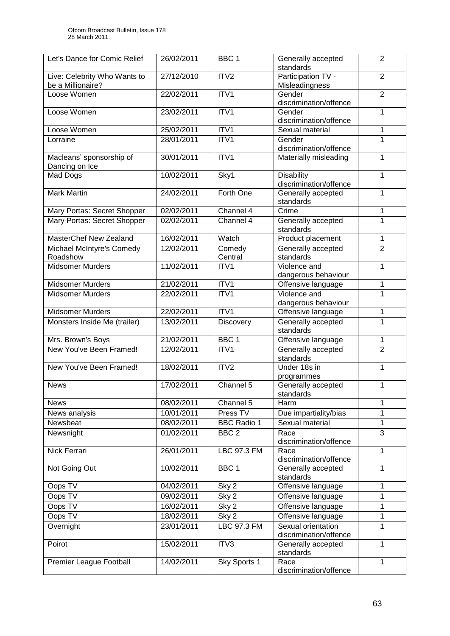| Let's Dance for Comic Relief                      | 26/02/2011 | BBC <sub>1</sub>    | Generally accepted<br>standards              | 2              |
|---------------------------------------------------|------------|---------------------|----------------------------------------------|----------------|
| Live: Celebrity Who Wants to<br>be a Millionaire? | 27/12/2010 | ITV <sub>2</sub>    | Participation TV -<br>Misleadingness         | $\overline{2}$ |
| Loose Women                                       | 22/02/2011 | ITV1                | Gender<br>discrimination/offence             | $\overline{2}$ |
| Loose Women                                       | 23/02/2011 | ITV1                | Gender<br>discrimination/offence             | 1              |
| Loose Women                                       | 25/02/2011 | ITV1                | Sexual material                              | 1              |
| Lorraine                                          | 28/01/2011 | ITV1                | Gender<br>discrimination/offence             | 1              |
| Macleans' sponsorship of<br>Dancing on Ice        | 30/01/2011 | ITV1                | Materially misleading                        | 1              |
| Mad Dogs                                          | 10/02/2011 | Sky1                | <b>Disability</b><br>discrimination/offence  | 1              |
| <b>Mark Martin</b>                                | 24/02/2011 | Forth One           | Generally accepted<br>standards              | 1              |
| Mary Portas: Secret Shopper                       | 02/02/2011 | Channel 4           | Crime                                        | 1              |
| Mary Portas: Secret Shopper                       | 02/02/2011 | Channel 4           | Generally accepted<br>standards              | 1              |
| MasterChef New Zealand                            | 16/02/2011 | Watch               | Product placement                            | 1              |
| Michael McIntyre's Comedy<br>Roadshow             | 12/02/2011 | Comedy<br>Central   | Generally accepted<br>standards              | $\overline{2}$ |
| <b>Midsomer Murders</b>                           | 11/02/2011 | ITV1                | Violence and<br>dangerous behaviour          | 1              |
| <b>Midsomer Murders</b>                           | 21/02/2011 | ITVI                | Offensive language                           | 1              |
| <b>Midsomer Murders</b>                           | 22/02/2011 | ITV1                | Violence and<br>dangerous behaviour          | 1              |
| <b>Midsomer Murders</b>                           | 22/02/2011 | ITV1                | Offensive language                           | 1              |
| Monsters Inside Me (trailer)                      | 13/02/2011 | Discovery           | Generally accepted<br>standards              | $\mathbf 1$    |
| Mrs. Brown's Boys                                 | 21/02/2011 | BBC <sub>1</sub>    | Offensive language                           | 1              |
| New You've Been Framed!                           | 12/02/2011 | ITV1                | Generally accepted<br>standards              | $\overline{2}$ |
| New You've Been Framed!                           | 18/02/2011 | ITV2                | Under 18s in<br>programmes                   | 1              |
| <b>News</b>                                       | 17/02/2011 | Channel 5           | Generally accepted<br>standards              | 1              |
| <b>News</b>                                       | 08/02/2011 | Channel 5           | Harm                                         | 1              |
| News analysis                                     | 10/01/2011 | Press <sub>TV</sub> | Due impartiality/bias                        | 1              |
| Newsbeat                                          | 08/02/2011 | <b>BBC Radio 1</b>  | Sexual material                              | $\mathbf{1}$   |
| Newsnight                                         | 01/02/2011 | BBC <sub>2</sub>    | Race<br>discrimination/offence               | $\overline{3}$ |
| Nick Ferrari                                      | 26/01/2011 | LBC 97.3 FM         | Race<br>discrimination/offence               | 1              |
| Not Going Out                                     | 10/02/2011 | BBC <sub>1</sub>    | Generally accepted<br>standards              | 1              |
| Oops TV                                           | 04/02/2011 | Sky 2               | Offensive language                           | 1              |
| Oops TV                                           | 09/02/2011 | Sky 2               | Offensive language                           | 1              |
| Oops TV                                           | 16/02/2011 | Sky 2               | Offensive language                           | 1              |
| Oops TV                                           | 18/02/2011 | Sky 2               | Offensive language                           | 1              |
| Overnight                                         | 23/01/2011 | LBC 97.3 FM         | Sexual orientation<br>discrimination/offence | 1              |
| Poirot                                            | 15/02/2011 | ITV3                | Generally accepted<br>standards              | 1              |
| Premier League Football                           | 14/02/2011 | Sky Sports 1        | Race<br>discrimination/offence               | $\mathbf{1}$   |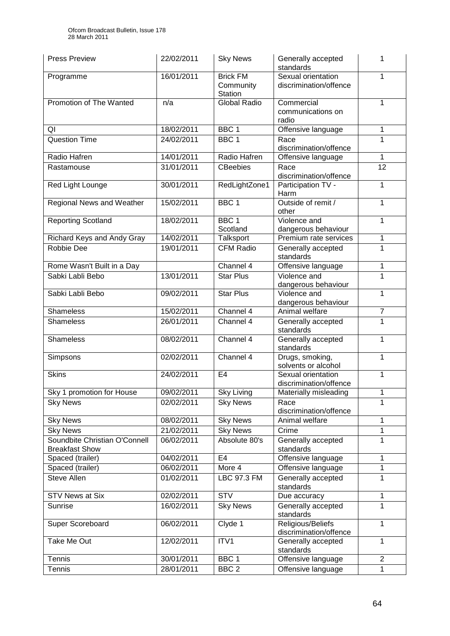| <b>Press Preview</b>                                   | 22/02/2011 | <b>Sky News</b>                         | Generally accepted<br>standards              | 1              |
|--------------------------------------------------------|------------|-----------------------------------------|----------------------------------------------|----------------|
| Programme                                              | 16/01/2011 | <b>Brick FM</b><br>Community<br>Station | Sexual orientation<br>discrimination/offence | 1              |
| Promotion of The Wanted                                | n/a        | Global Radio                            | Commercial<br>communications on<br>radio     | 1              |
| QI                                                     | 18/02/2011 | BBC <sub>1</sub>                        | Offensive language                           | 1              |
| <b>Question Time</b>                                   | 24/02/2011 | BBC <sub>1</sub>                        | Race<br>discrimination/offence               | 1              |
| Radio Hafren                                           | 14/01/2011 | Radio Hafren                            | Offensive language                           | 1              |
| Rastamouse                                             | 31/01/2011 | <b>CBeebies</b>                         | Race<br>discrimination/offence               | 12             |
| Red Light Lounge                                       | 30/01/2011 | RedLightZone1                           | Participation TV -<br>Harm                   | 1              |
| <b>Regional News and Weather</b>                       | 15/02/2011 | BBC <sub>1</sub>                        | Outside of remit /<br>other                  | 1              |
| <b>Reporting Scotland</b>                              | 18/02/2011 | BBC <sub>1</sub><br>Scotland            | Violence and<br>dangerous behaviour          | 1              |
| Richard Keys and Andy Gray                             | 14/02/2011 | Talksport                               | Premium rate services                        | 1              |
| Robbie Dee                                             | 19/01/2011 | <b>CFM Radio</b>                        | Generally accepted<br>standards              | 1              |
| Rome Wasn't Built in a Day                             |            | Channel 4                               | Offensive language                           | 1              |
| Sabki Labli Bebo                                       | 13/01/2011 | <b>Star Plus</b>                        | Violence and<br>dangerous behaviour          | 1              |
| Sabki Labli Bebo                                       | 09/02/2011 | <b>Star Plus</b>                        | Violence and<br>dangerous behaviour          | 1              |
| <b>Shameless</b>                                       | 15/02/2011 | Channel 4                               | Animal welfare                               | $\overline{7}$ |
| <b>Shameless</b>                                       | 26/01/2011 | Channel 4                               | Generally accepted<br>standards              | 1              |
| <b>Shameless</b>                                       | 08/02/2011 | Channel 4                               | Generally accepted<br>standards              | 1              |
| Simpsons                                               | 02/02/2011 | Channel 4                               | Drugs, smoking,<br>solvents or alcohol       | 1              |
| <b>Skins</b>                                           | 24/02/2011 | E <sub>4</sub>                          | Sexual orientation<br>discrimination/offence | 1              |
| Sky 1 promotion for House                              | 09/02/2011 | <b>Sky Living</b>                       | Materially misleading                        | 1              |
| <b>Sky News</b>                                        | 02/02/2011 | <b>Sky News</b>                         | Race<br>discrimination/offence               | 1              |
| <b>Sky News</b>                                        | 08/02/2011 | <b>Sky News</b>                         | Animal welfare                               | 1              |
| <b>Sky News</b>                                        | 21/02/2011 | <b>Sky News</b>                         | Crime                                        | 1              |
| Soundbite Christian O'Connell<br><b>Breakfast Show</b> | 06/02/2011 | Absolute 80's                           | Generally accepted<br>standards              | 1              |
| Spaced (trailer)                                       | 04/02/2011 | E <sub>4</sub>                          | Offensive language                           | 1              |
| Spaced (trailer)                                       | 06/02/2011 | More 4                                  | Offensive language                           | 1              |
| <b>Steve Allen</b>                                     | 01/02/2011 | LBC 97.3 FM                             | Generally accepted<br>standards              | 1              |
| <b>STV News at Six</b>                                 | 02/02/2011 | $\overline{\text{STV}}$                 | Due accuracy                                 | 1              |
| <b>Sunrise</b>                                         | 16/02/2011 | <b>Sky News</b>                         | Generally accepted<br>standards              | 1              |
| Super Scoreboard                                       | 06/02/2011 | Clyde 1                                 | Religious/Beliefs<br>discrimination/offence  | $\mathbf{1}$   |
| Take Me Out                                            | 12/02/2011 | ITV1                                    | Generally accepted<br>standards              | 1              |
| Tennis                                                 | 30/01/2011 | BBC 1                                   | Offensive language                           | $\overline{2}$ |
| Tennis                                                 | 28/01/2011 | BBC <sub>2</sub>                        | Offensive language                           | 1              |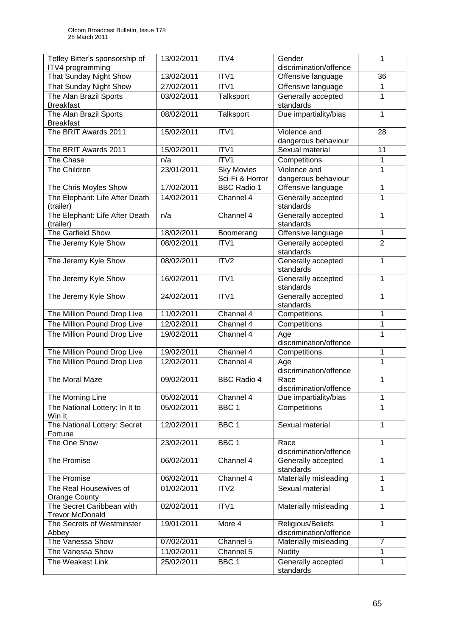| Tetley Bitter's sponsorship of<br>ITV4 programming  | 13/02/2011 | ITV4                                 | Gender<br>discrimination/offence            | 1              |
|-----------------------------------------------------|------------|--------------------------------------|---------------------------------------------|----------------|
| That Sunday Night Show                              | 13/02/2011 | ITV1                                 | Offensive language                          | 36             |
| That Sunday Night Show                              | 27/02/2011 | ITV1                                 | Offensive language                          | 1              |
| The Alan Brazil Sports<br><b>Breakfast</b>          | 03/02/2011 | Talksport                            | Generally accepted<br>standards             | $\mathbf{1}$   |
| The Alan Brazil Sports<br><b>Breakfast</b>          | 08/02/2011 | Talksport                            | Due impartiality/bias                       | $\mathbf{1}$   |
| The BRIT Awards 2011                                | 15/02/2011 | ITV1                                 | Violence and<br>dangerous behaviour         | 28             |
| The BRIT Awards 2011                                | 15/02/2011 | ITV1                                 | Sexual material                             | 11             |
| The Chase                                           | n/a        | ITV1                                 | Competitions                                | 1              |
| The Children                                        | 23/01/2011 | <b>Sky Movies</b><br>Sci-Fi & Horror | Violence and<br>dangerous behaviour         | 1              |
| The Chris Moyles Show                               | 17/02/2011 | <b>BBC Radio 1</b>                   | Offensive language                          | 1              |
| The Elephant: Life After Death<br>(trailer)         | 14/02/2011 | Channel 4                            | Generally accepted<br>standards             | 1              |
| The Elephant: Life After Death<br>(trailer)         | n/a        | Channel 4                            | Generally accepted<br>standards             | 1              |
| The Garfield Show                                   | 18/02/2011 | Boomerang                            | Offensive language                          | $\mathbf{1}$   |
| The Jeremy Kyle Show                                | 08/02/2011 | ITV1                                 | Generally accepted<br>standards             | $\overline{2}$ |
| The Jeremy Kyle Show                                | 08/02/2011 | ITV2                                 | Generally accepted<br>standards             | 1              |
| The Jeremy Kyle Show                                | 16/02/2011 | ITV1                                 | Generally accepted<br>standards             | 1              |
| The Jeremy Kyle Show                                | 24/02/2011 | ITV1                                 | Generally accepted<br>standards             | 1              |
| The Million Pound Drop Live                         | 11/02/2011 | Channel 4                            | Competitions                                | 1              |
| The Million Pound Drop Live                         | 12/02/2011 | Channel 4                            | Competitions                                | 1              |
| The Million Pound Drop Live                         | 19/02/2011 | Channel 4                            | Age<br>discrimination/offence               | 1              |
| The Million Pound Drop Live                         | 19/02/2011 | Channel 4                            | Competitions                                | $\mathbf{1}$   |
| The Million Pound Drop Live                         | 12/02/2011 | Channel 4                            | Age<br>discrimination/offence               | 1              |
| The Moral Maze                                      | 09/02/2011 | <b>BBC Radio 4</b>                   | Race<br>discrimination/offence              | 1              |
| The Morning Line                                    | 05/02/2011 | Channel 4                            | Due impartiality/bias                       | 1              |
| The National Lottery: In It to<br>Win It            | 05/02/2011 | BBC <sub>1</sub>                     | <b>Competitions</b>                         | 1              |
| The National Lottery: Secret<br>Fortune             | 12/02/2011 | BBC <sub>1</sub>                     | Sexual material                             | 1              |
| The One Show                                        | 23/02/2011 | BBC <sub>1</sub>                     | Race<br>discrimination/offence              | 1              |
| The Promise                                         | 06/02/2011 | Channel 4                            | Generally accepted<br>standards             | 1              |
| The Promise                                         | 06/02/2011 | Channel 4                            | Materially misleading                       | 1              |
| The Real Housewives of<br>Orange County             | 01/02/2011 | ITV <sub>2</sub>                     | Sexual material                             | 1              |
| The Secret Caribbean with<br><b>Trevor McDonald</b> | 02/02/2011 | ITV1                                 | Materially misleading                       | 1              |
| The Secrets of Westminster<br>Abbey                 | 19/01/2011 | More 4                               | Religious/Beliefs<br>discrimination/offence | 1              |
| The Vanessa Show                                    | 07/02/2011 | Channel 5                            | Materially misleading                       | $\overline{7}$ |
| The Vanessa Show                                    | 11/02/2011 | Channel 5                            | <b>Nudity</b>                               | 1              |
| The Weakest Link                                    | 25/02/2011 | BBC <sub>1</sub>                     | Generally accepted<br>standards             | 1              |